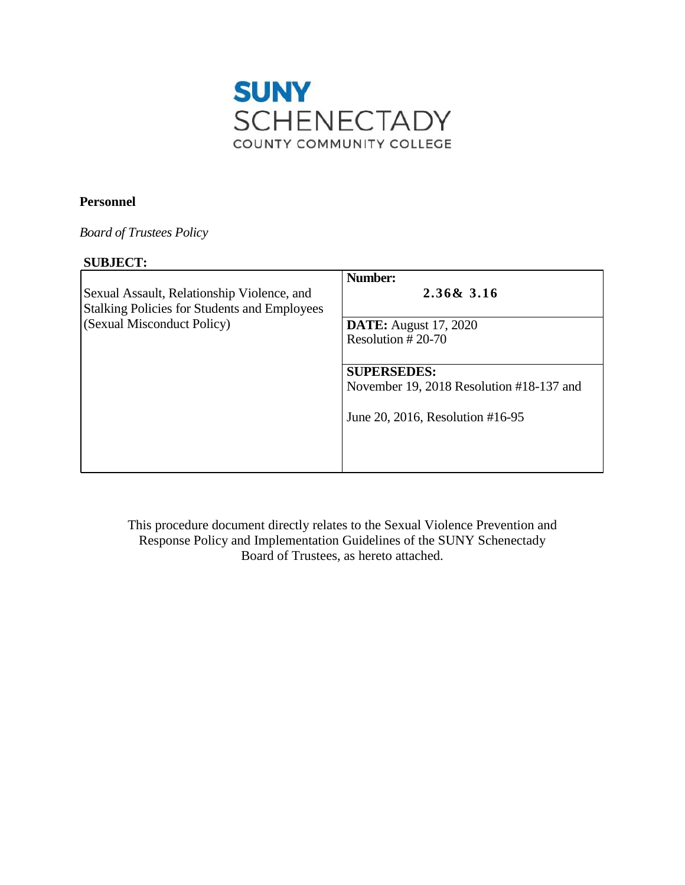

# **Personnel**

*Board of Trustees Policy* 

# **SUBJECT:**

| <b>DATE:</b> August 17, 2020             |
|------------------------------------------|
| Resolution $#20-70$                      |
| <b>SUPERSEDES:</b>                       |
| November 19, 2018 Resolution #18-137 and |
| June 20, 2016, Resolution #16-95         |
|                                          |
|                                          |

 Response Policy and Implementation Guidelines of the SUNY Schenectady Board of Trustees, as hereto attached. This procedure document directly relates to the Sexual Violence Prevention and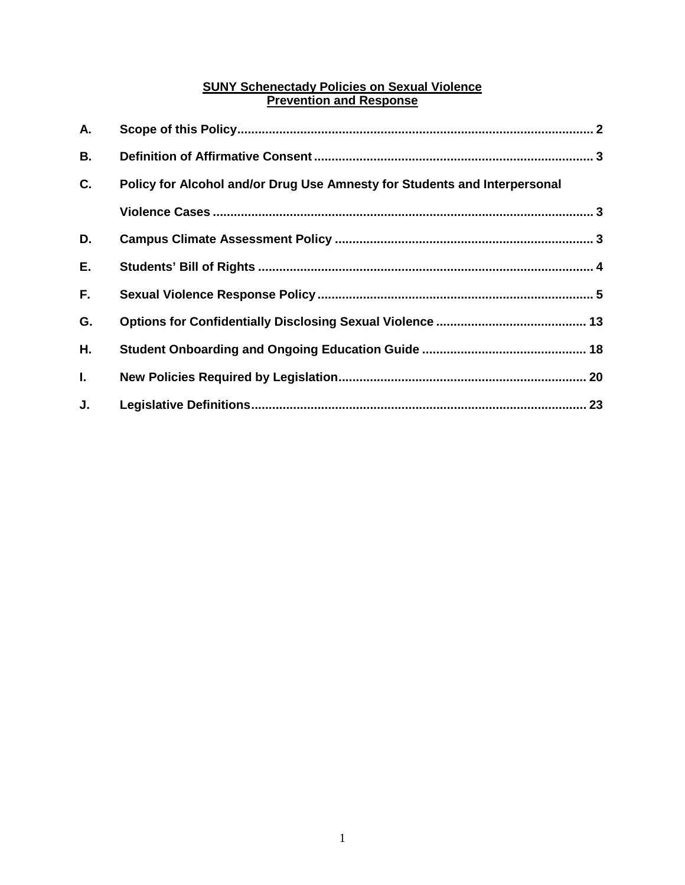# **SUNY Schenectady Policies on Sexual Violence Prevention and Response**

| А.        |                                                                           |  |
|-----------|---------------------------------------------------------------------------|--|
| <b>B.</b> |                                                                           |  |
| C.        | Policy for Alcohol and/or Drug Use Amnesty for Students and Interpersonal |  |
|           |                                                                           |  |
| D.        |                                                                           |  |
| Е.        |                                                                           |  |
| F.        |                                                                           |  |
| G.        |                                                                           |  |
| Η.        |                                                                           |  |
| L.        |                                                                           |  |
| J.        |                                                                           |  |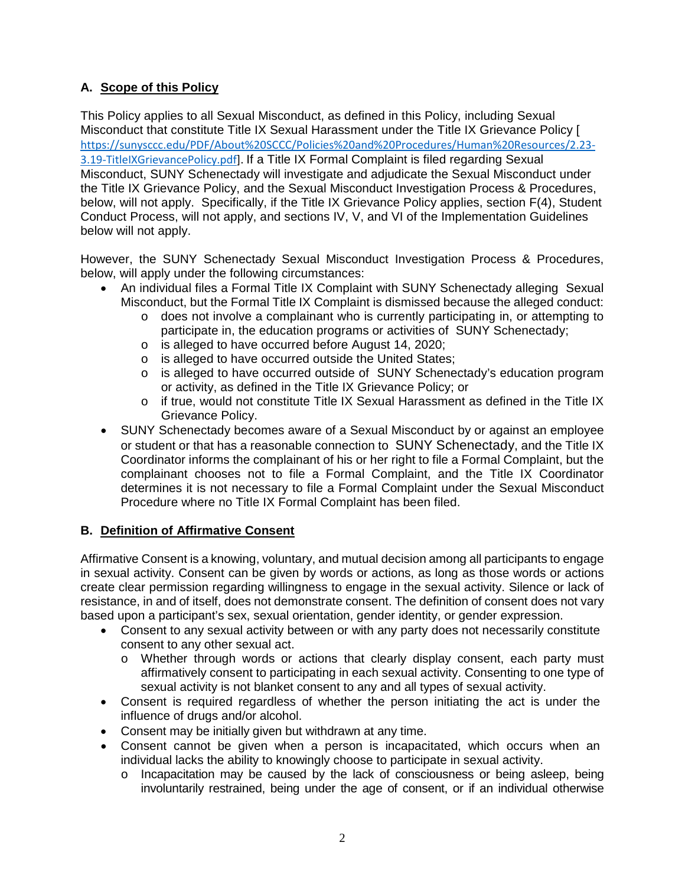# <span id="page-2-0"></span>**A. Scope of this Policy**

 This Policy applies to all Sexual Misconduct, as defined in this Policy, including Sexual below, will not apply. Specifically, if the Title IX Grievance Policy applies, section F(4), Student Conduct Process, will not apply, and sections IV, V, and VI of the Implementation Guidelines below will not apply. Misconduct that constitute Title IX Sexual Harassment under the Title IX Grievance Policy [ [https://sunysccc.edu/PDF/About%20SCCC/Policies%20and%20Procedures/Human%20Resources/2.23-](https://sunysccc.edu/PDF/About%20SCCC/Policies%20and%20Procedures/Human%20Resources/2.23-3.19-TitleIXGrievancePolicy.pdf) [3.19-TitleIXGrievancePolicy.pdf\]](https://sunysccc.edu/PDF/About%20SCCC/Policies%20and%20Procedures/Human%20Resources/2.23-3.19-TitleIXGrievancePolicy.pdf). If a Title IX Formal Complaint is filed regarding Sexual Misconduct, SUNY Schenectady will investigate and adjudicate the Sexual Misconduct under the Title IX Grievance Policy, and the Sexual Misconduct Investigation Process & Procedures,

 below, will apply under the following circumstances: However, the SUNY Schenectady Sexual Misconduct Investigation Process & Procedures,

- • An individual files a Formal Title IX Complaint with SUNY Schenectady alleging Sexual Misconduct, but the Formal Title IX Complaint is dismissed because the alleged conduct:
	- o does not involve a complainant who is currently participating in, or attempting to participate in, the education programs or activities of SUNY Schenectady;
	- o is alleged to have occurred before August 14, 2020;<br>o is alleged to have occurred outside the United States
	- o is alleged to have occurred outside the United States;<br>
	o is alleged to have occurred outside of SUNY Schene
	- is alleged to have occurred outside of SUNY Schenectady's education program or activity, as defined in the Title IX Grievance Policy; or
	- o if true, would not constitute Title IX Sexual Harassment as defined in the Title IX Grievance Policy.
- • SUNY Schenectady becomes aware of a Sexual Misconduct by or against an employee or student or that has a reasonable connection to SUNY Schenectady, and the Title IX Coordinator informs the complainant of his or her right to file a Formal Complaint, but the complainant chooses not to file a Formal Complaint, and the Title IX Coordinator determines it is not necessary to file a Formal Complaint under the Sexual Misconduct Procedure where no Title IX Formal Complaint has been filed.

# **B. Definition of Affirmative Consent**

 Affirmative Consent is a knowing, voluntary, and mutual decision among all participants to engage based upon a participant's sex, sexual orientation, gender identity, or gender expression. in sexual activity. Consent can be given by words or actions, as long as those words or actions create clear permission regarding willingness to engage in the sexual activity. Silence or lack of resistance, in and of itself, does not demonstrate consent. The definition of consent does not vary

- • Consent to any sexual activity between or with any party does not necessarily constitute consent to any other sexual act.
	- affirmatively consent to participating in each sexual activity. Consenting to one type of o Whether through words or actions that clearly display consent, each party must sexual activity is not blanket consent to any and all types of sexual activity.
- Consent is required regardless of whether the person initiating the act is under the influence of drugs and/or alcohol.
- Consent may be initially given but withdrawn at any time.
- Consent cannot be given when a person is incapacitated, which occurs when an individual lacks the ability to knowingly choose to participate in sexual activity.
	- o Incapacitation may be caused by the lack of consciousness or being asleep, being involuntarily restrained, being under the age of consent, or if an individual otherwise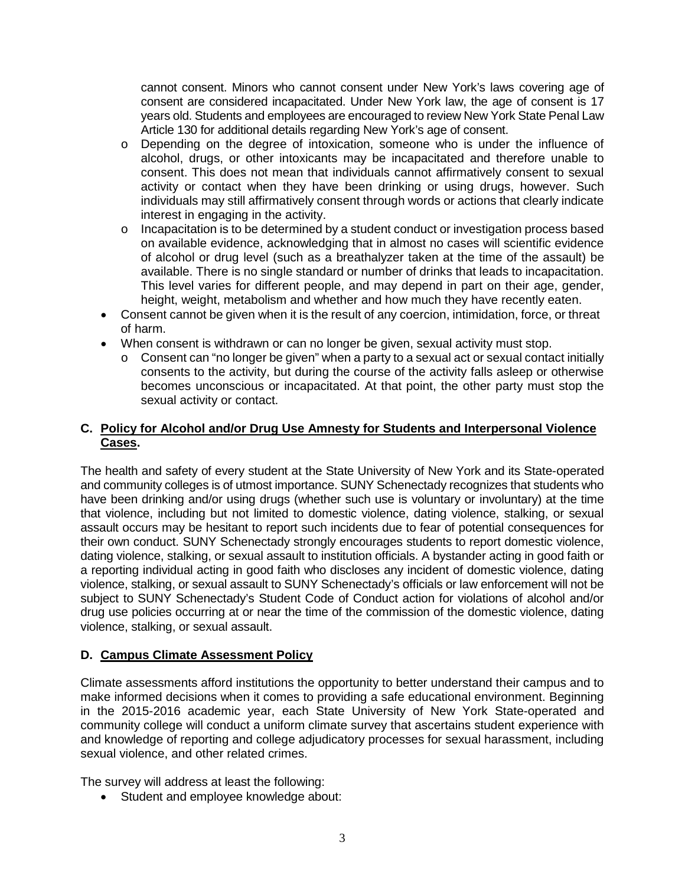<span id="page-3-0"></span> cannot consent. Minors who cannot consent under New York's laws covering age of consent are considered incapacitated. Under New York law, the age of consent is 17 years old. Students and employees are encouraged to review New York State Penal Law Article 130 for additional details regarding New York's age of consent.

- o Depending on the degree of intoxication, someone who is under the influence of alcohol, drugs, or other intoxicants may be incapacitated and therefore unable to consent. This does not mean that individuals cannot affirmatively consent to sexual activity or contact when they have been drinking or using drugs, however. Such individuals may still affirmatively consent through words or actions that clearly indicate interest in engaging in the activity.
- on available evidence, acknowledging that in almost no cases will scientific evidence available. There is no single standard or number of drinks that leads to incapacitation. This level varies for different people, and may depend in part on their age, gender, o Incapacitation is to be determined by a student conduct or investigation process based of alcohol or drug level (such as a breathalyzer taken at the time of the assault) be height, weight, metabolism and whether and how much they have recently eaten.
- • Consent cannot be given when it is the result of any coercion, intimidation, force, or threat of harm.
- • When consent is withdrawn or can no longer be given, sexual activity must stop.
	- $\circ$  Consent can "no longer be given" when a party to a sexual act or sexual contact initially becomes unconscious or incapacitated. At that point, the other party must stop the consents to the activity, but during the course of the activity falls asleep or otherwise sexual activity or contact.

# **Cases. C. Policy for Alcohol and/or Drug Use Amnesty for Students and Interpersonal Violence**

 The health and safety of every student at the State University of New York and its State-operated their own conduct. SUNY Schenectady strongly encourages students to report domestic violence, a reporting individual acting in good faith who discloses any incident of domestic violence, dating subject to SUNY Schenectady's Student Code of Conduct action for violations of alcohol and/or drug use policies occurring at or near the time of the commission of the domestic violence, dating and community colleges is of utmost importance. SUNY Schenectady recognizes that students who have been drinking and/or using drugs (whether such use is voluntary or involuntary) at the time that violence, including but not limited to domestic violence, dating violence, stalking, or sexual assault occurs may be hesitant to report such incidents due to fear of potential consequences for dating violence, stalking, or sexual assault to institution officials. A bystander acting in good faith or violence, stalking, or sexual assault to SUNY Schenectady's officials or law enforcement will not be violence, stalking, or sexual assault.

# **D. Campus Climate Assessment Policy**

 make informed decisions when it comes to providing a safe educational environment. Beginning community college will conduct a uniform climate survey that ascertains student experience with Climate assessments afford institutions the opportunity to better understand their campus and to in the 2015-2016 academic year, each State University of New York State-operated and and knowledge of reporting and college adjudicatory processes for sexual harassment, including sexual violence, and other related crimes.

The survey will address at least the following:

• Student and employee knowledge about: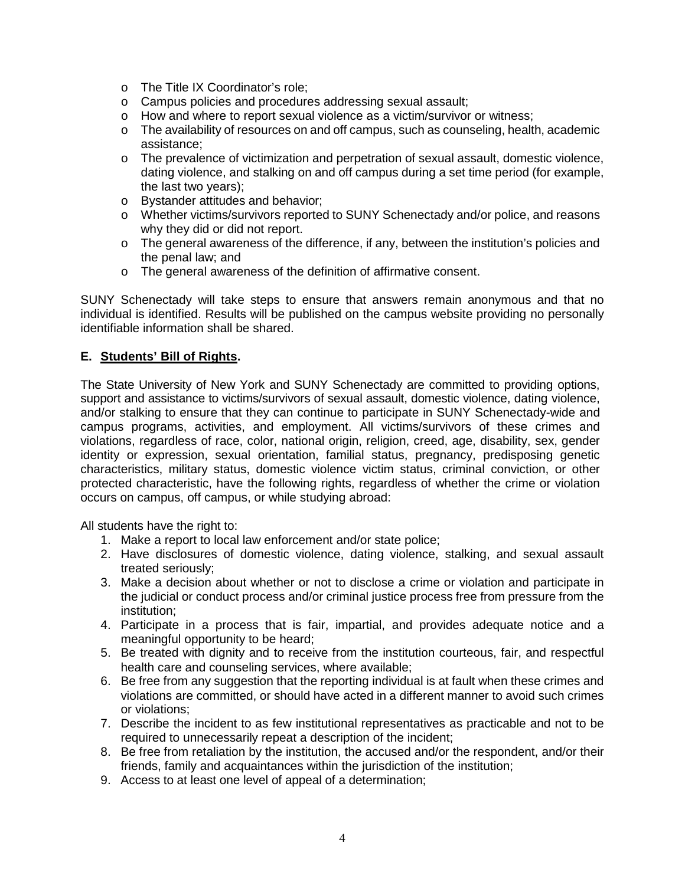- <span id="page-4-0"></span>o The Title IX Coordinator's role;
- o Campus policies and procedures addressing sexual assault;
- o How and where to report sexual violence as a victim/survivor or witness;
- o The availability of resources on and off campus, such as counseling, health, academic assistance;
- o The prevalence of victimization and perpetration of sexual assault, domestic violence, dating violence, and stalking on and off campus during a set time period (for example, the last two years);
- o Bystander attitudes and behavior;
- o Whether victims/survivors reported to SUNY Schenectady and/or police, and reasons why they did or did not report.
- o The general awareness of the difference, if any, between the institution's policies and the penal law; and
- o The general awareness of the definition of affirmative consent.

SUNY Schenectady will take steps to ensure that answers remain anonymous and that no individual is identified. Results will be published on the campus website providing no personally identifiable information shall be shared.

# **E. Students' Bill of Rights.**

 The State University of New York and SUNY Schenectady are committed to providing options, support and assistance to victims/survivors of sexual assault, domestic violence, dating violence, campus programs, activities, and employment. All victims/survivors of these crimes and violations, regardless of race, color, national origin, religion, creed, age, disability, sex, gender identity or expression, sexual orientation, familial status, pregnancy, predisposing genetic characteristics, military status, domestic violence victim status, criminal conviction, or other and/or stalking to ensure that they can continue to participate in SUNY Schenectady-wide and protected characteristic, have the following rights, regardless of whether the crime or violation occurs on campus, off campus, or while studying abroad:

All students have the right to:

- 1. Make a report to local law enforcement and/or state police;
- 2. Have disclosures of domestic violence, dating violence, stalking, and sexual assault treated seriously;
- 3. Make a decision about whether or not to disclose a crime or violation and participate in the judicial or conduct process and/or criminal justice process free from pressure from the institution;
- 4. Participate in a process that is fair, impartial, and provides adequate notice and a meaningful opportunity to be heard;
- 5. Be treated with dignity and to receive from the institution courteous, fair, and respectful health care and counseling services, where available;
- violations are committed, or should have acted in a different manner to avoid such crimes 6. Be free from any suggestion that the reporting individual is at fault when these crimes and or violations;
- 7. Describe the incident to as few institutional representatives as practicable and not to be required to unnecessarily repeat a description of the incident;
- 8. Be free from retaliation by the institution, the accused and/or the respondent, and/or their friends, family and acquaintances within the jurisdiction of the institution;
- 9. Access to at least one level of appeal of a determination;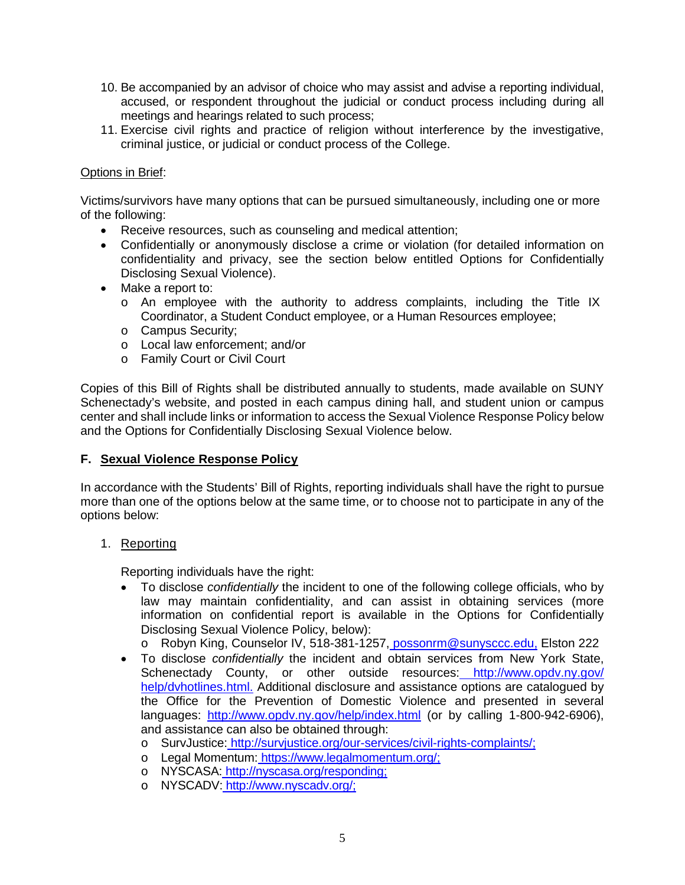- <span id="page-5-0"></span>10. Be accompanied by an advisor of choice who may assist and advise a reporting individual, accused, or respondent throughout the judicial or conduct process including during all meetings and hearings related to such process;
- 11. Exercise civil rights and practice of religion without interference by the investigative, criminal justice, or judicial or conduct process of the College.

# Options in Brief:

Victims/survivors have many options that can be pursued simultaneously, including one or more of the following:

- Receive resources, such as counseling and medical attention;
- • Confidentially or anonymously disclose a crime or violation (for detailed information on confidentiality and privacy, see the section below entitled Options for Confidentially Disclosing Sexual Violence).
- Make a report to:
	- o An employee with the authority to address complaints, including the Title IX Coordinator, a Student Conduct employee, or a Human Resources employee;
	- o Campus Security;
	- o Local law enforcement; and/or
	- o Family Court or Civil Court

 Schenectady's website, and posted in each campus dining hall, and student union or campus center and shall include links or information to access the Sexual Violence Response Policy below Copies of this Bill of Rights shall be distributed annually to students, made available on SUNY and the Options for Confidentially Disclosing Sexual Violence below.

# **F. Sexual Violence Response Policy**

 more than one of the options below at the same time, or to choose not to participate in any of the In accordance with the Students' Bill of Rights, reporting individuals shall have the right to pursue options below:

# 1. Reporting

Reporting individuals have the right:

 • To disclose *confidentially* the incident to one of the following college officials, who by law may maintain confidentiality, and can assist in obtaining services (more information on confidential report is available in the Options for Confidentially Disclosing Sexual Violence Policy, below):

o Robyn King, Counselor IV, 518-381-1257, [possonrm@sunysccc.edu,](mailto:possonrm@sunysccc.edu) Elston 222

- Schenectady County, or other outside resources: http://www.opdv.ny.gov/ the Office for the Prevention of Domestic Violence and presented in several • To disclose *confidentially* the incident and obtain services from New York State, [help/dvhotlines.html.](http://www.opdv.ny.gov/%20help/dvhotlines.html) Additional disclosure and assistance options are catalogued by languages: <http://www.opdv.ny.gov/help/index.html>(or by calling 1-800-942-6906), and assistance can also be obtained through:
	- o SurvJustice[: http://survjustice.org/our-services/civil-rights-complaints/;](http://survjustice.org/our-services/civil-rights-complaints/)
	- o Legal Momentum[: https://www.legalmomentum.org/;](https://www.legalmomentum.org/)
	- o NYSCASA[: http://nyscasa.org/responding;](http://nyscasa.org/responding)
	- o NYSCADV[: http://www.nyscadv.org/;](http://www.nyscadv.org/)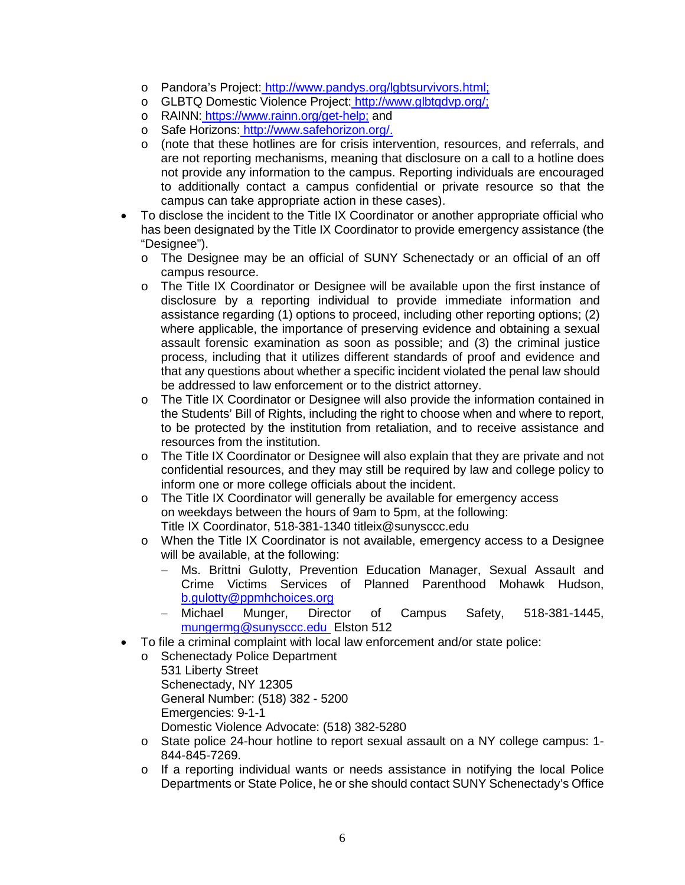- o Pandora's Project: [http://www.pandys.org/lgbtsurvivors.html;](http://www.pandys.org/lgbtsurvivors.html)
- o GLBTQ Domestic Violence Project: http://www.glbtqdvp.org/;
- o RAINN[:](https://www.rainn.org/get-help) <u>[https://www.rainn.org/get-help;](https://and/)</u> and
- o Safe Horizons[: http://www.safehorizon.org/.](http://www.safehorizon.org/)
- are not reporting mechanisms, meaning that disclosure on a call to a hotline does not provide any information to the campus. Reporting individuals are encouraged to additionally contact a campus confidential or private resource so that the o (note that these hotlines are for crisis intervention, resources, and referrals, and campus can take appropriate action in these cases).
- • To disclose the incident to the Title IX Coordinator or another appropriate official who has been designated by the Title IX Coordinator to provide emergency assistance (the "Designee").
	- o The Designee may be an official of SUNY Schenectady or an official of an off campus resource.
	- assistance regarding (1) options to proceed, including other reporting options; (2) process, including that it utilizes different standards of proof and evidence and that any questions about whether a specific incident violated the penal law should o The Title IX Coordinator or Designee will be available upon the first instance of disclosure by a reporting individual to provide immediate information and where applicable, the importance of preserving evidence and obtaining a sexual assault forensic examination as soon as possible; and (3) the criminal justice be addressed to law enforcement or to the district attorney.
	- o The Title IX Coordinator or Designee will also provide the information contained in the Students' Bill of Rights, including the right to choose when and where to report, to be protected by the institution from retaliation, and to receive assistance and resources from the institution.
	- confidential resources, and they may still be required by law and college policy to  $\circ$  The Title IX Coordinator or Designee will also explain that they are private and not inform one or more college officials about the incident.
	- o The Title IX Coordinator will generally be available for emergency access on weekdays between the hours of 9am to 5pm, at the following: Title IX Coordinator, 518-381-1340 [titleix@sunysccc.edu](mailto:titleix@sunysccc.edu)
	- o When the Title IX Coordinator is not available, emergency access to a Designee will be available, at the following:
		- [b.gulotty@ppmhchoices.org](mailto:b.gulotty@ppmhchoices.org) − Ms. Brittni Gulotty, Prevention Education Manager, Sexual Assault and Crime Victims Services of Planned Parenthood Mohawk Hudson,
		- mungermg@sunysccc.edu\_Elston 512 − Michael Munger, Director of Campus Safety, 518-381-1445,
- To file a criminal complaint with local law enforcement and/or state police:
	- General Number: (518) 382 5200 o Schenectady Police Department 531 Liberty Street Schenectady, NY 12305 Emergencies: 9-1-1 Domestic Violence Advocate: (518) 382-5280
	- o State police 24-hour hotline to report sexual assault on a NY college campus: 1- 844-845-7269.
	- Departments or State Police, he or she should contact SUNY Schenectady's Office o If a reporting individual wants or needs assistance in notifying the local Police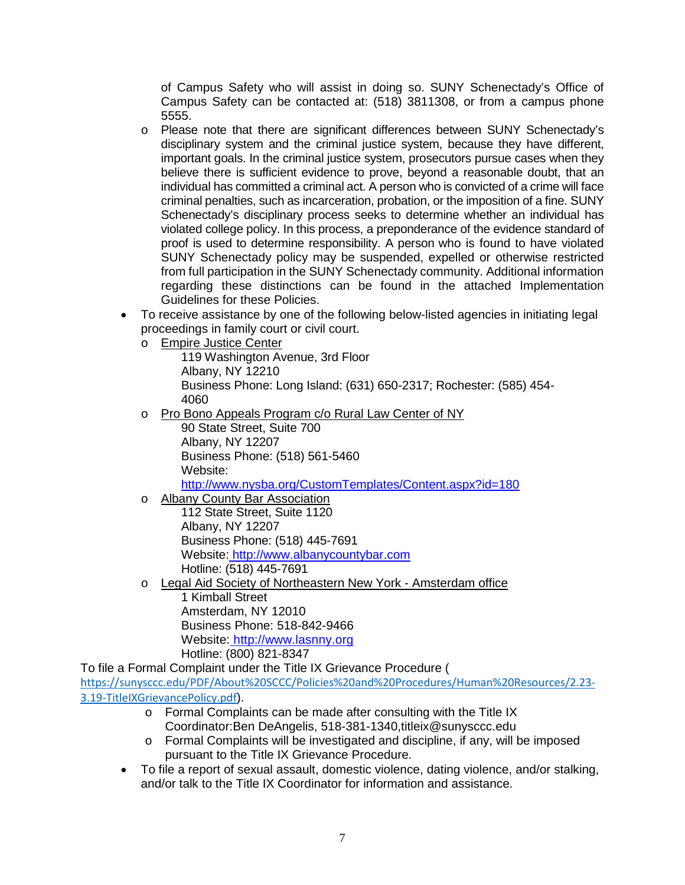of Campus Safety who will assist in doing so. SUNY Schenectady's Office of Campus Safety can be contacted at: (518) 3811308, or from a campus phone 5555.

- o Please note that there are significant differences between SUNY Schenectady's violated college policy. In this process, a preponderance of the evidence standard of proof is used to determine responsibility. A person who is found to have violated regarding these distinctions can be found in the attached Implementation disciplinary system and the criminal justice system, because they have different, important goals. In the criminal justice system, prosecutors pursue cases when they believe there is sufficient evidence to prove, beyond a reasonable doubt, that an individual has committed a criminal act. A person who is convicted of a crime will face criminal penalties, such as incarceration, probation, or the imposition of a fine. SUNY Schenectady's disciplinary process seeks to determine whether an individual has SUNY Schenectady policy may be suspended, expelled or otherwise restricted from full participation in the SUNY Schenectady community. Additional information Guidelines for these Policies.
- To receive assistance by one of the following below-listed agencies in initiating legal proceedings in family court or civil court.
	- o Empire Justice Center

119 Washington Avenue, 3rd Floor Albany, NY 12210 Business Phone: Long Island: (631) 650-2317; Rochester: (585) 454- 4060

o Pro Bono Appeals Program c/o Rural Law Center of NY

90 State Street, Suite 700 Albany, NY 12207 Business Phone: (518) 561-5460 Website:

<http://www.nysba.org/CustomTemplates/Content.aspx?id=180>

o Albany County Bar Association

Website: http://www.albanycountybar.com Hotline: (518) 445-7691 112 State Street, Suite 1120 Albany, NY 12207 Business Phone: (518) 445-7691

o Legal Aid Society of Northeastern New York - Amsterdam office 1 Kimball Street

Website:<u>\_http://www.lasnny.org</u><br>Hotline: (800) 821-8347 Amsterdam, NY 12010 Business Phone: 518-842-9466

To file a Formal Complaint under the Title IX Grievance Procedure (

[https://sunysccc.edu/PDF/About%20SCCC/Policies%20and%20Procedures/Human%20Resources/2.23-](https://sunysccc.edu/PDF/About%20SCCC/Policies%20and%20Procedures/Human%20Resources/2.23-3.19-TitleIXGrievancePolicy.pdf) [3.19-TitleIXGrievancePolicy.pdf](https://sunysccc.edu/PDF/About%20SCCC/Policies%20and%20Procedures/Human%20Resources/2.23-3.19-TitleIXGrievancePolicy.pdf)).

- o Formal Complaints can be made after consulting with the Title IX Coordinator:Ben DeAngelis, [518-381-1340,titleix@sunysccc.edu](mailto:518-381-1340,titleix@sunysccc.edu)
- pursuant to the Title IX Grievance Procedure. o Formal Complaints will be investigated and discipline, if any, will be imposed
- and/or talk to the Title IX Coordinator for information and assistance. • To file a report of sexual assault, domestic violence, dating violence, and/or stalking,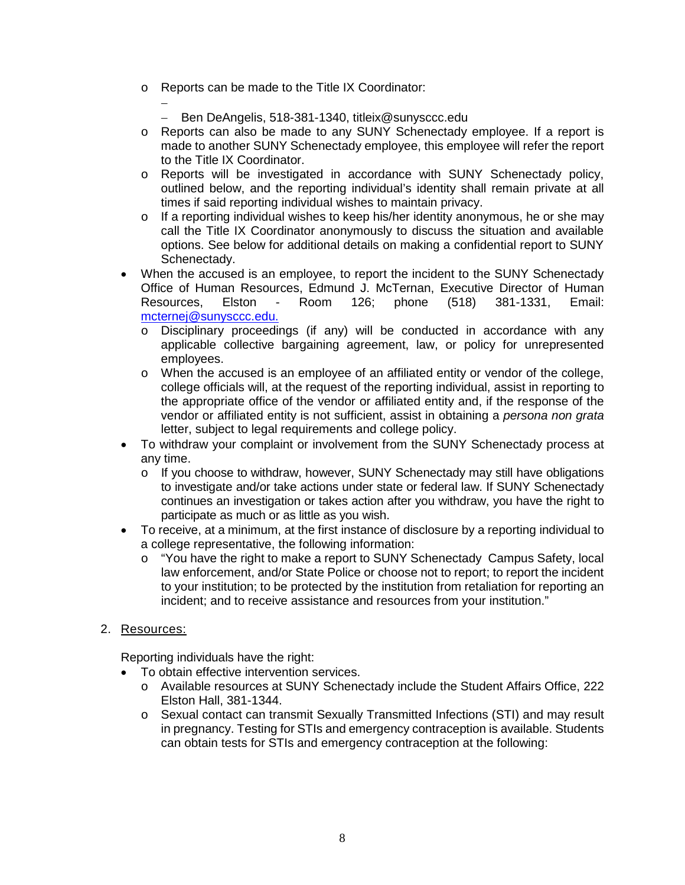- o Reports can be made to the Title IX Coordinator:
	- − − Ben DeAngelis, 518-381-1340, [titleix@sunysccc.edu](mailto:titleix@sunysccc.edu)
- to the Title IX Coordinator. o Reports can also be made to any SUNY Schenectady employee. If a report is made to another SUNY Schenectady employee, this employee will refer the report
- o Reports will be investigated in accordance with SUNY Schenectady policy, outlined below, and the reporting individual's identity shall remain private at all times if said reporting individual wishes to maintain privacy.
- o If a reporting individual wishes to keep his/her identity anonymous, he or she may call the Title IX Coordinator anonymously to discuss the situation and available options. See below for additional details on making a confidential report to SUNY Schenectady.
- • When the accused is an employee, to report the incident to the SUNY Schenectady Room Office of Human Resources, Edmund J. McTernan, Executive Director of Human Resources, Elston - Room 126; phone (518) 381-1331, Email: [mcternej@sunysccc.edu.](mailto:mcternej@sunysccc.edu)
	- o Disciplinary proceedings (if any) will be conducted in accordance with any applicable collective bargaining agreement, law, or policy for unrepresented employees.
	- the appropriate office of the vendor or affiliated entity and, if the response of the letter, subject to legal requirements and college policy.  $\circ$  When the accused is an employee of an affiliated entity or vendor of the college, college officials will, at the request of the reporting individual, assist in reporting to vendor or affiliated entity is not sufficient, assist in obtaining a *persona non grata*
- To withdraw your complaint or involvement from the SUNY Schenectady process at any time.
	- o If you choose to withdraw, however, SUNY Schenectady may still have obligations to investigate and/or take actions under state or federal law. If SUNY Schenectady continues an investigation or takes action after you withdraw, you have the right to participate as much or as little as you wish.
- To receive, at a minimum, at the first instance of disclosure by a reporting individual to a college representative, the following information:
	- law enforcement, and/or State Police or choose not to report; to report the incident to your institution; to be protected by the institution from retaliation for reporting an o "You have the right to make a report to SUNY Schenectady Campus Safety, local incident; and to receive assistance and resources from your institution."
- 2. Resources:

Reporting individuals have the right:

- To obtain effective intervention services.
	- o Available resources at SUNY Schenectady include the Student Affairs Office, 222 Elston Hall, 381-1344.
	- o Sexual contact can transmit Sexually Transmitted Infections (STI) and may result in pregnancy. Testing for STIs and emergency contraception is available. Students can obtain tests for STIs and emergency contraception at the following: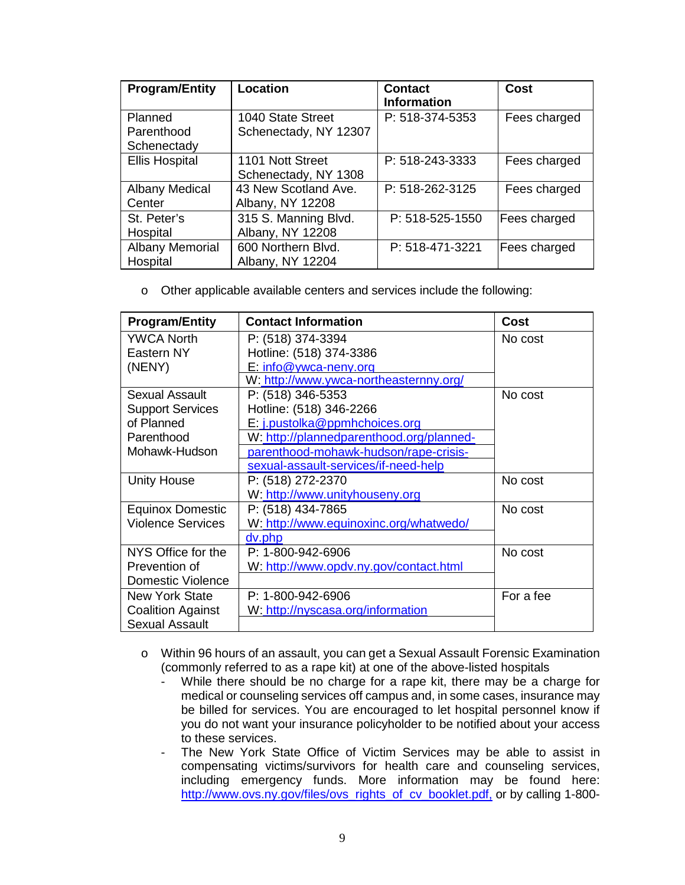| <b>Program/Entity</b>              | Location                                   | <b>Contact</b><br><b>Information</b> | Cost         |
|------------------------------------|--------------------------------------------|--------------------------------------|--------------|
| Planned<br>Parenthood              | 1040 State Street<br>Schenectady, NY 12307 | P: 518-374-5353                      | Fees charged |
| Schenectady                        |                                            |                                      |              |
| <b>Ellis Hospital</b>              | 1101 Nott Street<br>Schenectady, NY 1308   | P: 518-243-3333                      | Fees charged |
| <b>Albany Medical</b><br>Center    | 43 New Scotland Ave.<br>Albany, NY 12208   | P: 518-262-3125                      | Fees charged |
| St. Peter's<br>Hospital            | 315 S. Manning Blvd.<br>Albany, NY 12208   | P: 518-525-1550                      | Fees charged |
| <b>Albany Memorial</b><br>Hospital | 600 Northern Blvd.<br>Albany, NY 12204     | P: 518-471-3221                      | Fees charged |

o Other applicable available centers and services include the following:

| <b>Program/Entity</b>    | <b>Contact Information</b>               | Cost      |
|--------------------------|------------------------------------------|-----------|
| <b>YWCA North</b>        | P: (518) 374-3394                        | No cost   |
| Eastern NY               | Hotline: (518) 374-3386                  |           |
| (NENY)                   | $E: info@ywca-neny.org$                  |           |
|                          | W: http://www.ywca-northeasternny.org/   |           |
| Sexual Assault           | P: (518) 346-5353                        | No cost   |
| <b>Support Services</b>  | Hotline: (518) 346-2266                  |           |
| of Planned               | E: j.pustolka@ppmhchoices.org            |           |
| Parenthood               | W: http://plannedparenthood.org/planned- |           |
| Mohawk-Hudson            | parenthood-mohawk-hudson/rape-crisis-    |           |
|                          | sexual-assault-services/if-need-help     |           |
| <b>Unity House</b>       | P: (518) 272-2370                        | No cost   |
|                          | W: http://www.unityhouseny.org           |           |
| <b>Equinox Domestic</b>  | P: (518) 434-7865                        | No cost   |
| <b>Violence Services</b> | W: http://www.equinoxinc.org/whatwedo/   |           |
|                          | dv.php                                   |           |
| NYS Office for the       | P: 1-800-942-6906                        | No cost   |
| Prevention of            | W: http://www.opdv.ny.gov/contact.html   |           |
| Domestic Violence        |                                          |           |
| <b>New York State</b>    | $P: 1 - 800 - 942 - 6906$                | For a fee |
| <b>Coalition Against</b> | W: http://nyscasa.org/information        |           |
| <b>Sexual Assault</b>    |                                          |           |

- o Within 96 hours of an assault, you can get a Sexual Assault Forensic Examination (commonly referred to as a rape kit) at one of the above-listed hospitals
	- - While there should be no charge for a rape kit, there may be a charge for medical or counseling services off campus and, in some cases, insurance may be billed for services. You are encouraged to let hospital personnel know if you do not want your insurance policyholder to be notified about your access to these services.
	- The New York State Office of Victim Services may be able to assist in compensating victims/survivors for health care and counseling services, including emergency funds. More information may be found here: [http://www.ovs.ny.gov/files/ovs\\_rights\\_of\\_cv\\_booklet.pdf,](http://www.ovs.ny.gov/files/ovs_rights_of_cv_booklet.pdf) or by calling 1-800-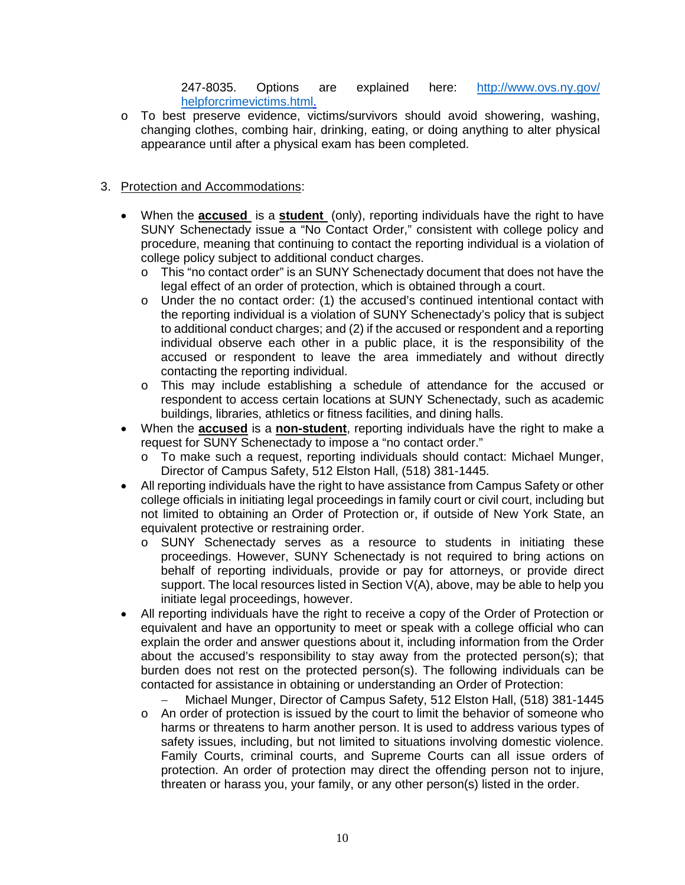247-8035. Options are explained here: [http://www.ovs.ny.gov/](http://www.ovs.ny.gov/%20helpforcrimevictims.html)  [helpforcrimevictims.html.](http://www.ovs.ny.gov/%20helpforcrimevictims.html)

o To best preserve evidence, victims/survivors should avoid showering, washing, changing clothes, combing hair, drinking, eating, or doing anything to alter physical appearance until after a physical exam has been completed.

# 3. Protection and Accommodations:

- • When the **accused** is a **student** (only), reporting individuals have the right to have SUNY Schenectady issue a "No Contact Order," consistent with college policy and procedure, meaning that continuing to contact the reporting individual is a violation of college policy subject to additional conduct charges.
	- o This "no contact order" is an SUNY Schenectady document that does not have the legal effect of an order of protection, which is obtained through a court.
	- o Under the no contact order: (1) the accused's continued intentional contact with the reporting individual is a violation of SUNY Schenectady's policy that is subject to additional conduct charges; and (2) if the accused or respondent and a reporting accused or respondent to leave the area immediately and without directly individual observe each other in a public place, it is the responsibility of the contacting the reporting individual.
	- o This may include establishing a schedule of attendance for the accused or respondent to access certain locations at SUNY Schenectady, such as academic buildings, libraries, athletics or fitness facilities, and dining halls.
- When the **accused** is a **non-student**, reporting individuals have the right to make a request for SUNY Schenectady to impose a "no contact order."
	- o To make such a request, reporting individuals should contact: Michael Munger, Director of Campus Safety, 512 Elston Hall, (518) 381-1445.
- All reporting individuals have the right to have assistance from Campus Safety or other college officials in initiating legal proceedings in family court or civil court, including but not limited to obtaining an Order of Protection or, if outside of New York State, an equivalent protective or restraining order.
	- proceedings. However, SUNY Schenectady is not required to bring actions on support. The local resources listed in Section V(A), above, may be able to help you o SUNY Schenectady serves as a resource to students in initiating these behalf of reporting individuals, provide or pay for attorneys, or provide direct initiate legal proceedings, however.
- equivalent and have an opportunity to meet or speak with a college official who can explain the order and answer questions about it, including information from the Order burden does not rest on the protected person(s). The following individuals can be contacted for assistance in obtaining or understanding an Order of Protection: • All reporting individuals have the right to receive a copy of the Order of Protection or about the accused's responsibility to stay away from the protected person(s); that

− Michael Munger, Director of Campus Safety, 512 Elston Hall, (518) 381-1445

 o An order of protection is issued by the court to limit the behavior of someone who harms or threatens to harm another person. It is used to address various types of safety issues, including, but not limited to situations involving domestic violence. Family Courts, criminal courts, and Supreme Courts can all issue orders of protection. An order of protection may direct the offending person not to injure, threaten or harass you, your family, or any other person(s) listed in the order.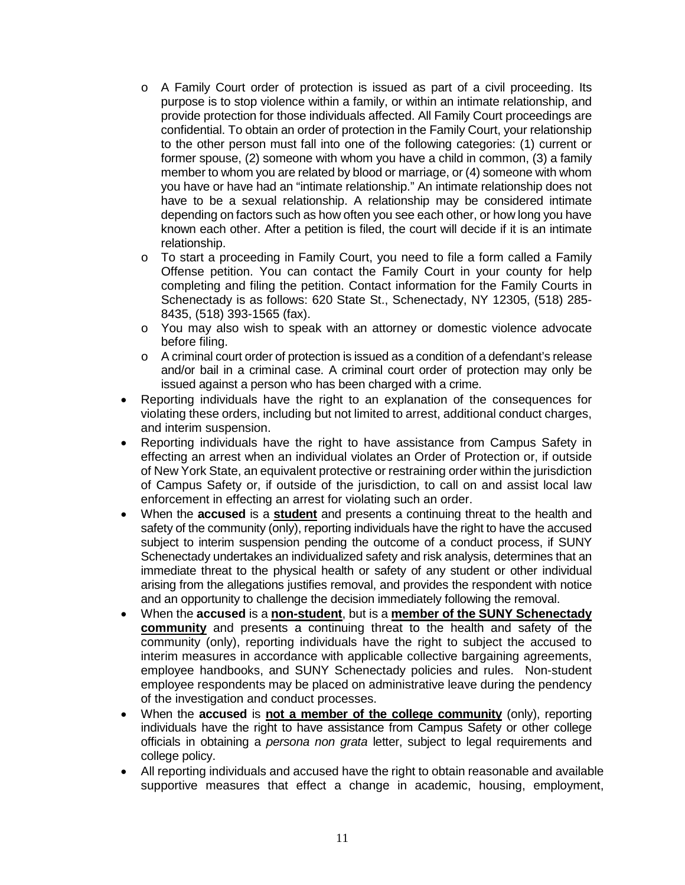- o A Family Court order of protection is issued as part of a civil proceeding. Its purpose is to stop violence within a family, or within an intimate relationship, and to the other person must fall into one of the following categories: (1) current or member to whom you are related by blood or marriage, or (4) someone with whom depending on factors such as how often you see each other, or how long you have provide protection for those individuals affected. All Family Court proceedings are confidential. To obtain an order of protection in the Family Court, your relationship former spouse, (2) someone with whom you have a child in common, (3) a family you have or have had an "intimate relationship." An intimate relationship does not have to be a sexual relationship. A relationship may be considered intimate known each other. After a petition is filed, the court will decide if it is an intimate relationship.
- Offense petition. You can contact the Family Court in your county for help Schenectady is as follows: 620 State St., Schenectady, NY 12305, (518) 285 o To start a proceeding in Family Court, you need to file a form called a Family completing and filing the petition. Contact information for the Family Courts in 8435, (518) 393-1565 (fax).
- o You may also wish to speak with an attorney or domestic violence advocate before filing.
- $\circ$  A criminal court order of protection is issued as a condition of a defendant's release and/or bail in a criminal case. A criminal court order of protection may only be issued against a person who has been charged with a crime.
- • Reporting individuals have the right to an explanation of the consequences for violating these orders, including but not limited to arrest, additional conduct charges, and interim suspension.
- • Reporting individuals have the right to have assistance from Campus Safety in of New York State, an equivalent protective or restraining order within the jurisdiction of Campus Safety or, if outside of the jurisdiction, to call on and assist local law enforcement in effecting an arrest for violating such an order. effecting an arrest when an individual violates an Order of Protection or, if outside
- subject to interim suspension pending the outcome of a conduct process, if SUNY Schenectady undertakes an individualized safety and risk analysis, determines that an immediate threat to the physical health or safety of any student or other individual arising from the allegations justifies removal, and provides the respondent with notice • When the **accused** is a **student** and presents a continuing threat to the health and safety of the community (only), reporting individuals have the right to have the accused and an opportunity to challenge the decision immediately following the removal.
- **community** and presents a continuing threat to the health and safety of the community (only), reporting individuals have the right to subject the accused to employee handbooks, and SUNY Schenectady policies and rules. Non-student • When the **accused** is a **non-student**, but is a **member of the SUNY Schenectady**  interim measures in accordance with applicable collective bargaining agreements, employee respondents may be placed on administrative leave during the pendency of the investigation and conduct processes.
- officials in obtaining a *persona non grata* letter, subject to legal requirements and • When the **accused** is **not a member of the college community** (only), reporting individuals have the right to have assistance from Campus Safety or other college college policy.
- • All reporting individuals and accused have the right to obtain reasonable and available supportive measures that effect a change in academic, housing, employment,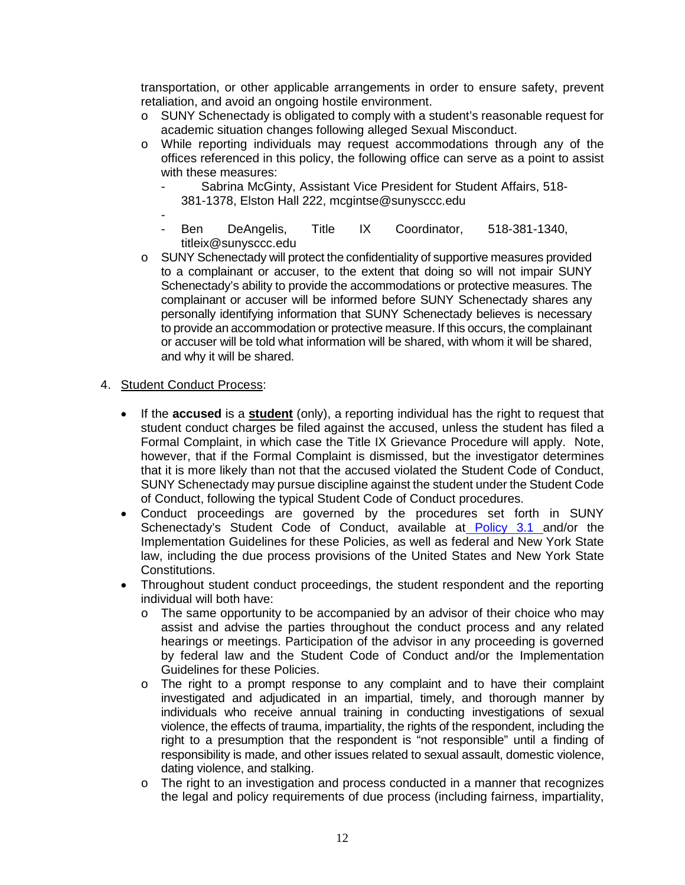transportation, or other applicable arrangements in order to ensure safety, prevent retaliation, and avoid an ongoing hostile environment.

- $\circ$  SUNY Schenectady is obligated to comply with a student's reasonable request for academic situation changes following alleged Sexual Misconduct.
- o While reporting individuals may request accommodations through any of the offices referenced in this policy, the following office can serve as a point to assist with these measures:
	- Sabrina McGinty, Assistant Vice President for Student Affairs, 518- 381-1378, Elston Hall 222, [mcgintse@sunysccc.edu](mailto:mcgintse@sunysccc.edu)
	- Ben DeAngelis, Title IX Coordinator, 518-381-1340, [titleix@sunysccc.edu](mailto:titleix@sunysccc.edu)
- o SUNY Schenectady will protect the confidentiality of supportive measures provided to a complainant or accuser, to the extent that doing so will not impair SUNY Schenectady's ability to provide the accommodations or protective measures. The complainant or accuser will be informed before SUNY Schenectady shares any to provide an accommodation or protective measure. If this occurs, the complainant personally identifying information that SUNY Schenectady believes is necessary or accuser will be told what information will be shared, with whom it will be shared, and why it will be shared.

### 4. Student Conduct Process:

- • If the **accused** is a **student** (only), a reporting individual has the right to request that student conduct charges be filed against the accused, unless the student has filed a however, that if the Formal Complaint is dismissed, but the investigator determines that it is more likely than not that the accused violated the Student Code of Conduct, SUNY Schenectady may pursue discipline against the student under the Student Code Formal Complaint, in which case the Title IX Grievance Procedure will apply. Note, of Conduct, following the typical Student Code of Conduct procedures.
- • Conduct proceedings are governed by the procedures set forth in SUNY Implementation Guidelines for these Policies, as well as federal and New York State law, including the due process provisions of the United States and New York State Schenectady's Student Code of Conduct, available a[t Policy 3.1](http://sunysccc.edu/Portals/1/PDF/About%20SCCC/Policies%20and%20Procedures/Student/3.1-StudentCodeOfConduct.pdf?ver=2016-07-11-113405-343) and/or the Constitutions.
- Throughout student conduct proceedings, the student respondent and the reporting individual will both have:
	- assist and advise the parties throughout the conduct process and any related  $\circ$  The same opportunity to be accompanied by an advisor of their choice who may hearings or meetings. Participation of the advisor in any proceeding is governed by federal law and the Student Code of Conduct and/or the Implementation Guidelines for these Policies.
	- o The right to a prompt response to any complaint and to have their complaint investigated and adjudicated in an impartial, timely, and thorough manner by individuals who receive annual training in conducting investigations of sexual violence, the effects of trauma, impartiality, the rights of the respondent, including the right to a presumption that the respondent is "not responsible" until a finding of responsibility is made, and other issues related to sexual assault, domestic violence, dating violence, and stalking.
	- o The right to an investigation and process conducted in a manner that recognizes the legal and policy requirements of due process (including fairness, impartiality,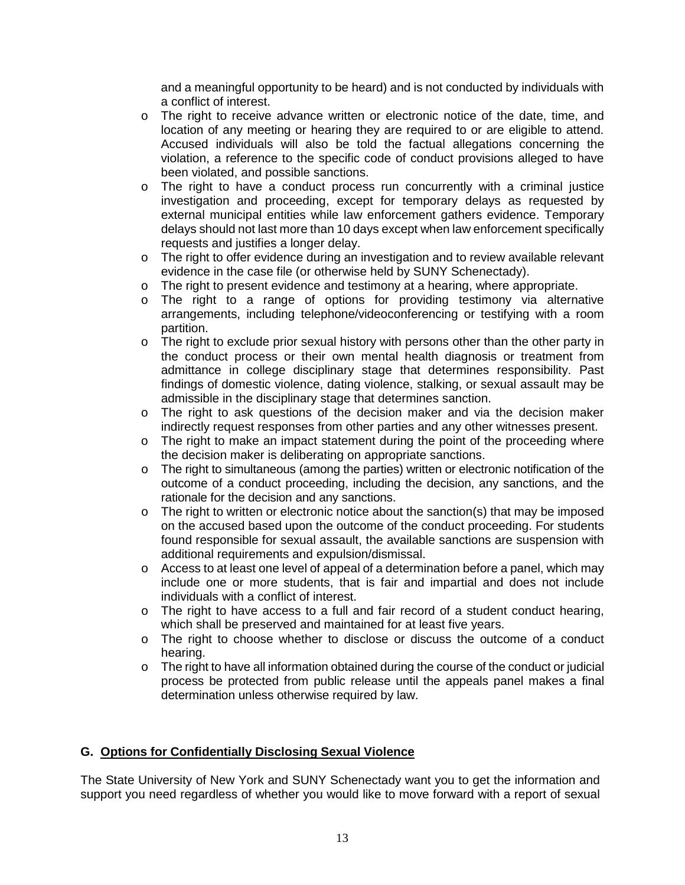<span id="page-13-0"></span>and a meaningful opportunity to be heard) and is not conducted by individuals with a conflict of interest.

- o The right to receive advance written or electronic notice of the date, time, and location of any meeting or hearing they are required to or are eligible to attend. Accused individuals will also be told the factual allegations concerning the violation, a reference to the specific code of conduct provisions alleged to have been violated, and possible sanctions.
- external municipal entities while law enforcement gathers evidence. Temporary delays should not last more than 10 days except when law enforcement specifically  $\circ$  The right to have a conduct process run concurrently with a criminal justice investigation and proceeding, except for temporary delays as requested by requests and justifies a longer delay.
- evidence in the case file (or otherwise held by SUNY Schenectady). o The right to offer evidence during an investigation and to review available relevant
- $\circ$  The right to present evidence and testimony at a hearing, where appropriate.<br> $\circ$  The right to a range of options for providing testimony via alterna
- The right to a range of options for providing testimony via alternative arrangements, including telephone/videoconferencing or testifying with a room partition.
- $\circ$  The right to exclude prior sexual history with persons other than the other party in admittance in college disciplinary stage that determines responsibility. Past findings of domestic violence, dating violence, stalking, or sexual assault may be the conduct process or their own mental health diagnosis or treatment from admissible in the disciplinary stage that determines sanction.
- o The right to ask questions of the decision maker and via the decision maker indirectly request responses from other parties and any other witnesses present.
- $\circ$  The right to make an impact statement during the point of the proceeding where the decision maker is deliberating on appropriate sanctions.
- o The right to simultaneous (among the parties) written or electronic notification of the outcome of a conduct proceeding, including the decision, any sanctions, and the rationale for the decision and any sanctions.
- found responsible for sexual assault, the available sanctions are suspension with o The right to written or electronic notice about the sanction(s) that may be imposed on the accused based upon the outcome of the conduct proceeding. For students additional requirements and expulsion/dismissal.
- $\circ$  Access to at least one level of appeal of a determination before a panel, which may include one or more students, that is fair and impartial and does not include individuals with a conflict of interest.
- o The right to have access to a full and fair record of a student conduct hearing, which shall be preserved and maintained for at least five years.
- o The right to choose whether to disclose or discuss the outcome of a conduct hearing.
- o The right to have all information obtained during the course of the conduct or judicial process be protected from public release until the appeals panel makes a final determination unless otherwise required by law.

# **G. Options for Confidentially Disclosing Sexual Violence**

The State University of New York and SUNY Schenectady want you to get the information and support you need regardless of whether you would like to move forward with a report of sexual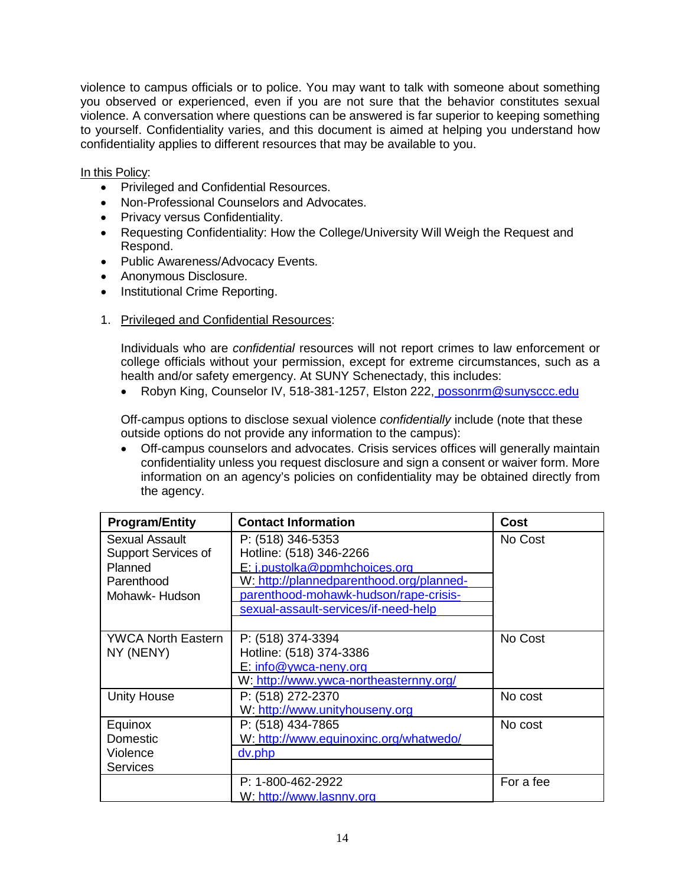you observed or experienced, even if you are not sure that the behavior constitutes sexual to yourself. Confidentiality varies, and this document is aimed at helping you understand how confidentiality applies to different resources that may be available to you. violence to campus officials or to police. You may want to talk with someone about something violence. A conversation where questions can be answered is far superior to keeping something

#### <u>In this Policy</u>:

- Privileged and Confidential Resources.
- Non-Professional Counselors and Advocates.
- Privacy versus Confidentiality.
- • Requesting Confidentiality: How the College/University Will Weigh the Request and Respond.
- Public Awareness/Advocacy Events.
- Anonymous Disclosure.
- Institutional Crime Reporting.
- 1. Privileged and Confidential Resources:

 college officials without your permission, except for extreme circumstances, such as a Individuals who are *confidential* resources will not report crimes to law enforcement or health and/or safety emergency. At SUNY Schenectady, this includes:

• Robyn King, Counselor IV, 518-381-1257, Elston 222, possonrm@sunysccc.edu

 $O$ ff-campus options to disclose sexual violence *confidentially* include (note that these outside options do not provide any information to the campus):

 confidentiality unless you request disclosure and sign a consent or waiver form. More • Off-campus counselors and advocates. Crisis services offices will generally maintain information on an agency's policies on confidentiality may be obtained directly from the agency.

| <b>Program/Entity</b> | <b>Contact Information</b>               | <b>Cost</b> |
|-----------------------|------------------------------------------|-------------|
| <b>Sexual Assault</b> | P: (518) 346-5353                        | No Cost     |
| Support Services of   | Hotline: (518) 346-2266                  |             |
| Planned               | E: j.pustolka@ppmhchoices.org            |             |
| Parenthood            | W: http://plannedparenthood.org/planned- |             |
| Mohawk- Hudson        | parenthood-mohawk-hudson/rape-crisis-    |             |
|                       | sexual-assault-services/if-need-help     |             |
|                       |                                          |             |
| YWCA North Eastern    | P: (518) 374-3394                        | No Cost     |
| NY (NENY)             | Hotline: (518) 374-3386                  |             |
|                       | E: info@vwca-nenv.org                    |             |
|                       | W: http://www.ywca-northeasternny.org/   |             |
| <b>Unity House</b>    | P: (518) 272-2370                        | No cost     |
|                       | W: http://www.unityhouseny.org           |             |
| Equinox               | P: (518) 434-7865                        | No cost     |
| Domestic              | W: http://www.equinoxinc.org/whatwedo/   |             |
| Violence              | dv.php                                   |             |
| <b>Services</b>       |                                          |             |
|                       | P: 1-800-462-2922                        | For a fee   |
|                       | W: http://www.lasnny.org                 |             |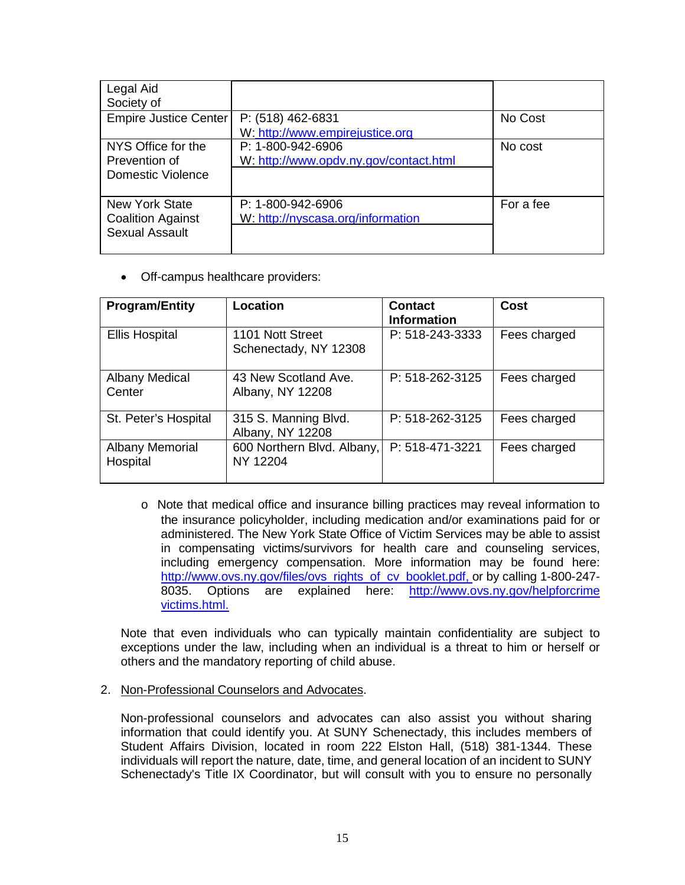| Legal Aid<br>Society of                                                    |                                                             |           |
|----------------------------------------------------------------------------|-------------------------------------------------------------|-----------|
| Empire Justice Center                                                      | P: (518) 462-6831<br>W: http://www.empirejustice.org        | No Cost   |
| NYS Office for the<br>Prevention of<br>Domestic Violence                   | P: 1-800-942-6906<br>W: http://www.opdv.ny.gov/contact.html | No cost   |
| <b>New York State</b><br><b>Coalition Against</b><br><b>Sexual Assault</b> | P: 1-800-942-6906<br>W: http://nyscasa.org/information      | For a fee |

• Off-campus healthcare providers:

| <b>Program/Entity</b>           | Location                                  | <b>Contact</b><br><b>Information</b> | Cost         |
|---------------------------------|-------------------------------------------|--------------------------------------|--------------|
| <b>Ellis Hospital</b>           | 1101 Nott Street<br>Schenectady, NY 12308 | P: 518-243-3333                      | Fees charged |
| <b>Albany Medical</b><br>Center | 43 New Scotland Ave.<br>Albany, NY 12208  | P: 518-262-3125                      | Fees charged |
| St. Peter's Hospital            | 315 S. Manning Blvd.<br>Albany, NY 12208  | P: 518-262-3125                      | Fees charged |
| Albany Memorial<br>Hospital     | 600 Northern Blvd. Albany,<br>NY 12204    | P: 518-471-3221                      | Fees charged |

 in compensating victims/survivors for health care and counseling services, including emergency compensation. More information may be found here: 8035. o Note that medical office and insurance billing practices may reveal information to the insurance policyholder, including medication and/or examinations paid for or administered. The New York State Office of Victim Services may be able to assist [http://www.ovs.ny.gov/files/ovs\\_rights\\_of\\_cv\\_booklet.pdf, o](http://www.ovs.ny.gov/files/ovs_rights_of_cv_booklet.pdf)r by calling 1-800-247-<br>8035. Options\_are explained here: http://www.ovs.nv.gov/helpforcrime Options are explained here: http://www.ovs.ny.gov/helpforcrime [victims.html.](http://www.ovs.ny.gov/%20helpforcrimevictims.html)

 Note that even individuals who can typically maintain confidentiality are subject to exceptions under the law, including when an individual is a threat to him or herself or others and the mandatory reporting of child abuse.

2. Non-Professional Counselors and Advocates.

2. Non-Professional Counselors and Advocates.<br>Non-professional counselors and advocates can also assist you without sharing information that could identify you. At SUNY Schenectady, this includes members of Student Affairs Division, located in room 222 Elston Hall, (518) 381-1344. These individuals will report the nature, date, time, and general location of an incident to SUNY Schenectady's Title IX Coordinator, but will consult with you to ensure no personally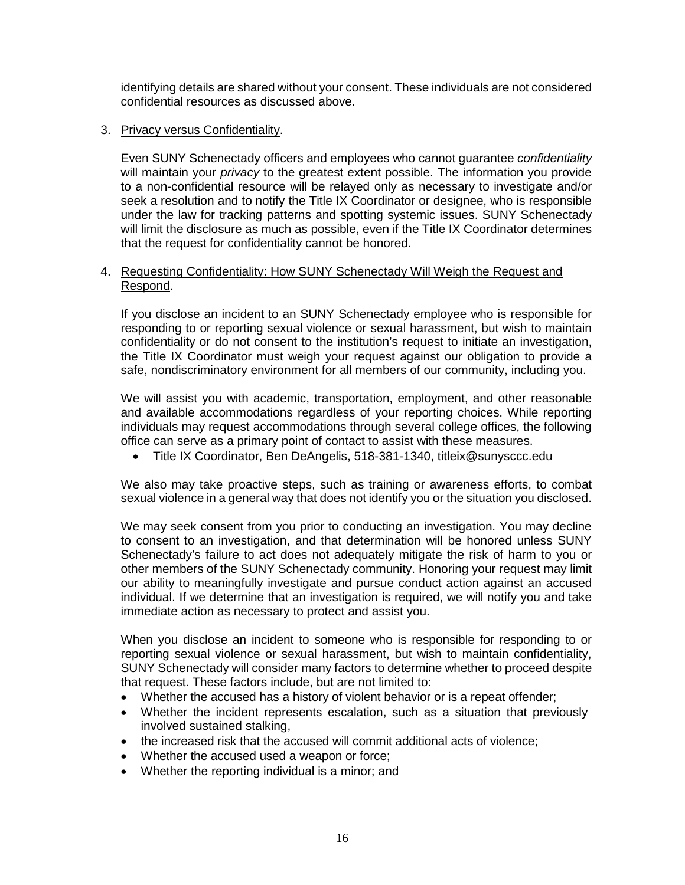identifying details are shared without your consent. These individuals are not considered confidential resources as discussed above.

# 3. Privacy versus Confidentiality.

 will maintain your *privacy* to the greatest extent possible. The information you provide seek a resolution and to notify the Title IX Coordinator or designee, who is responsible will limit the disclosure as much as possible, even if the Title IX Coordinator determines Even SUNY Schenectady officers and employees who cannot guarantee *confidentiality*  to a non-confidential resource will be relayed only as necessary to investigate and/or under the law for tracking patterns and spotting systemic issues. SUNY Schenectady that the request for confidentiality cannot be honored.

#### 4. Requesting Confidentiality: How SUNY Schenectady Will Weigh the Request and Respond.

 confidentiality or do not consent to the institution's request to initiate an investigation, If you disclose an incident to an SUNY Schenectady employee who is responsible for responding to or reporting sexual violence or sexual harassment, but wish to maintain the Title IX Coordinator must weigh your request against our obligation to provide a safe, nondiscriminatory environment for all members of our community, including you.

 We will assist you with academic, transportation, employment, and other reasonable individuals may request accommodations through several college offices, the following office can serve as a primary point of contact to assist with these measures. and available accommodations regardless of your reporting choices. While reporting

• Title IX Coordinator, Ben DeAngelis, 518-381-1340, [titleix@sunysccc.edu](mailto:titleix@sunysccc.edu)

 We also may take proactive steps, such as training or awareness efforts, to combat sexual violence in a general way that does not identify you or the situation you disclosed.

 We may seek consent from you prior to conducting an investigation. You may decline other members of the SUNY Schenectady community. Honoring your request may limit our ability to meaningfully investigate and pursue conduct action against an accused to consent to an investigation, and that determination will be honored unless SUNY Schenectady's failure to act does not adequately mitigate the risk of harm to you or individual. If we determine that an investigation is required, we will notify you and take immediate action as necessary to protect and assist you.

 When you disclose an incident to someone who is responsible for responding to or that request. These factors include, but are not limited to: reporting sexual violence or sexual harassment, but wish to maintain confidentiality, SUNY Schenectady will consider many factors to determine whether to proceed despite

- Whether the accused has a history of violent behavior or is a repeat offender;
- • Whether the incident represents escalation, such as a situation that previously involved sustained stalking,
- the increased risk that the accused will commit additional acts of violence;
- Whether the accused used a weapon or force;
- Whether the reporting individual is a minor; and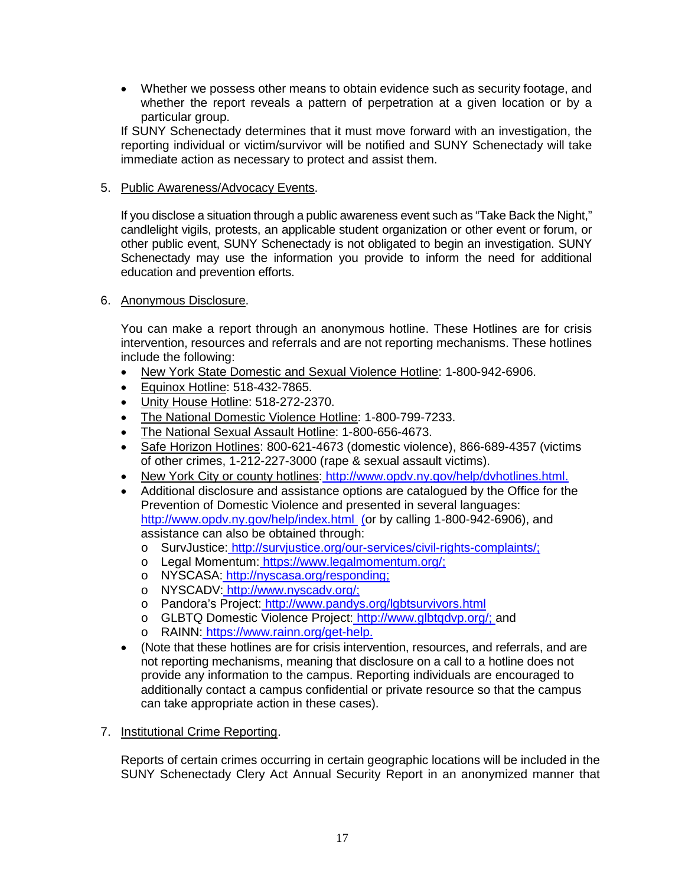whether the report reveals a pattern of perpetration at a given location or by a • Whether we possess other means to obtain evidence such as security footage, and particular group.

 If SUNY Schenectady determines that it must move forward with an investigation, the reporting individual or victim/survivor will be notified and SUNY Schenectady will take immediate action as necessary to protect and assist them.

# 5. Public Awareness/Advocacy Events.

5. <u>Public Awareness/Advocacy Events</u>.<br>If you disclose a situation through a public awareness event such as "Take Back the Night," candlelight vigils, protests, an applicable student organization or other event or forum, or Schenectady may use the information you provide to inform the need for additional other public event, SUNY Schenectady is not obligated to begin an investigation. SUNY education and prevention efforts.

#### 6. Anonymous Disclosure.

6. Anonymous Disclosure.<br>You can make a report through an anonymous hotline. These Hotlines are for crisis intervention, resources and referrals and are not reporting mechanisms. These hotlines include the following:

- New York State Domestic and Sexual Violence Hotline: 1-800-942-6906.
- Equinox Hotline: 518-432-7865.
- Unity House Hotline: 518-272-2370.
- The National Domestic Violence Hotline: 1-800-799-7233.
- The National Sexual Assault Hotline: 1-800-656-4673.
- Safe Horizon Hotlines: 800-621-4673 (domestic violence), 866-689-4357 (victims of other crimes, 1-212-227-3000 (rape & sexual assault victims).
- New York City or county hotlines[: http://www.opdv.ny.gov/help/dvhotlines.html.](http://www.opdv.ny.gov/help/dvhotlines.html)
- • Additional disclosure and assistance options are catalogued by the Office for the http://www.opdv.ny.gov/help/index.html [\(o](http://www.opdv.ny.gov/help/index.html)r by calling 1-800-942-6906), and<br>assistance can also be obtained through: Prevention of Domestic Violence and presented in several languages: assistance can also be obtained through:
	- o SurvJustice[: http://survjustice.org/our-services/civil-rights-complaints/;](http://survjustice.org/our-services/civil-rights-complaints/)
	- o Legal Momentum[: https://www.legalmomentum.org/;](https://www.legalmomentum.org/)
	- o NYSCASA[: http://nyscasa.org/responding;](http://nyscasa.org/responding)
	- o NYSCADV: http://www.nyscadv.org/;
	- o Pandora's Project[: http://www.pandys.org/lgbtsurvivors.html](http://www.pandys.org/lgbtsurvivors.html)
	- o GLBTQ Domestic Violence Project[:](http://www.glbtqdvp.org/%3B) [http://www.glbtqdvp.org/; a](http://and/)nd
	- o RAINN[: https://www.rainn.org/get-help.](https://www.rainn.org/get-help)
- (Note that these hotlines are for crisis intervention, resources, and referrals, and are not reporting mechanisms, meaning that disclosure on a call to a hotline does not provide any information to the campus. Reporting individuals are encouraged to additionally contact a campus confidential or private resource so that the campus can take appropriate action in these cases).
- 7. Institutional Crime Reporting.

Reports of certain crimes occurring in certain geographic locations will be included in the SUNY Schenectady Clery Act Annual Security Report in an anonymized manner that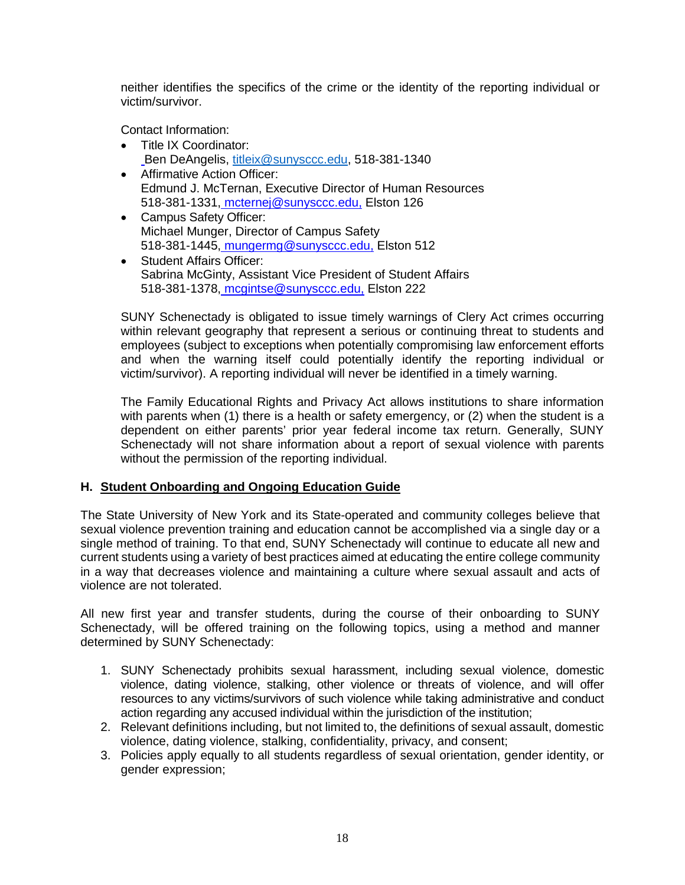<span id="page-18-0"></span> neither identifies the specifics of the crime or the identity of the reporting individual or victim/survivor.

Contact Information:

- Title IX Coordinator: Ben DeAngelis, [titleix@sunysccc.edu,](mailto:titleix@sunysccc.edu) 518-381-1340
- 518-381-1331<u>[, mcternej@sunysccc.edu,](mailto:mcternej@sunysccc.edu)</u> Elston 126 • Affirmative Action Officer: Edmund J. McTernan, Executive Director of Human Resources
- 518-381-1445<u>[, mungermg@sunysccc.edu,](mailto:mungermg@sunysccc.edu)</u> Elston 512 • Campus Safety Officer: Michael Munger, Director of Campus Safety
- 518-381-1378<u>[, mcgintse@sunysccc.edu,](mailto:mcgintse@sunysccc.edu)</u> Elston 222 • Student Affairs Officer: Sabrina McGinty, Assistant Vice President of Student Affairs

 SUNY Schenectady is obligated to issue timely warnings of Clery Act crimes occurring within relevant geography that represent a serious or continuing threat to students and and when the warning itself could potentially identify the reporting individual or employees (subject to exceptions when potentially compromising law enforcement efforts victim/survivor). A reporting individual will never be identified in a timely warning.

 with parents when (1) there is a health or safety emergency, or (2) when the student is a The Family Educational Rights and Privacy Act allows institutions to share information dependent on either parents' prior year federal income tax return. Generally, SUNY Schenectady will not share information about a report of sexual violence with parents without the permission of the reporting individual.

# **H. Student Onboarding and Ongoing Education Guide**

 sexual violence prevention training and education cannot be accomplished via a single day or a single method of training. To that end, SUNY Schenectady will continue to educate all new and current students using a variety of best practices aimed at educating the entire college community in a way that decreases violence and maintaining a culture where sexual assault and acts of The State University of New York and its State-operated and community colleges believe that violence are not tolerated.

All new first year and transfer students, during the course of their onboarding to SUNY Schenectady, will be offered training on the following topics, using a method and manner determined by SUNY Schenectady:

- 1. SUNY Schenectady prohibits sexual harassment, including sexual violence, domestic resources to any victims/survivors of such violence while taking administrative and conduct violence, dating violence, stalking, other violence or threats of violence, and will offer action regarding any accused individual within the jurisdiction of the institution;
- 2. Relevant definitions including, but not limited to, the definitions of sexual assault, domestic violence, dating violence, stalking, confidentiality, privacy, and consent;
- 3. Policies apply equally to all students regardless of sexual orientation, gender identity, or gender expression;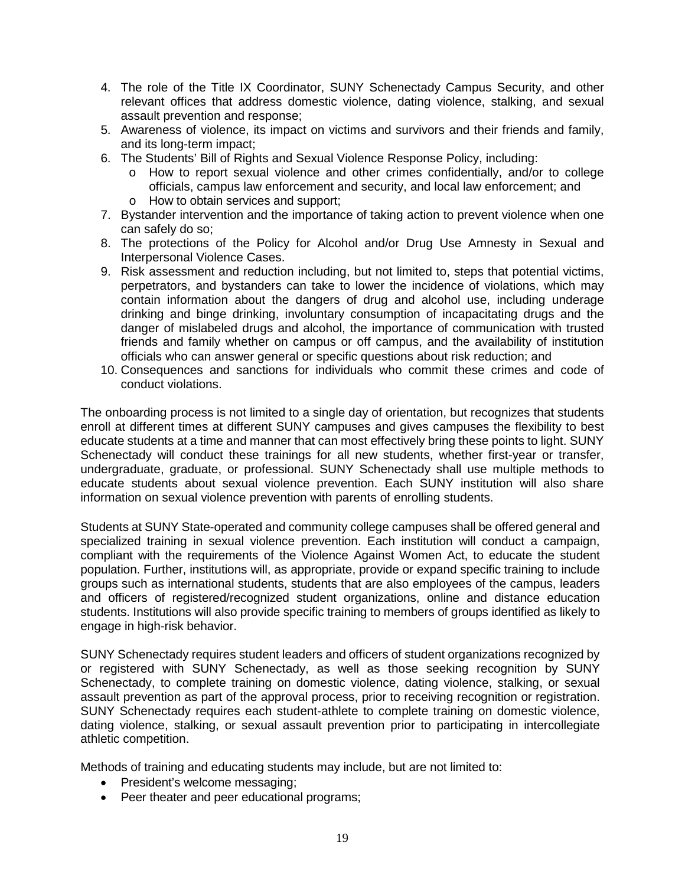- 4. The role of the Title IX Coordinator, SUNY Schenectady Campus Security, and other relevant offices that address domestic violence, dating violence, stalking, and sexual assault prevention and response;
- 5. Awareness of violence, its impact on victims and survivors and their friends and family, and its long-term impact;
- 6. The Students' Bill of Rights and Sexual Violence Response Policy, including:
	- o How to report sexual violence and other crimes confidentially, and/or to college officials, campus law enforcement and security, and local law enforcement; and o How to obtain services and support;
- 7. Bystander intervention and the importance of taking action to prevent violence when one can safely do so;
- 8. The protections of the Policy for Alcohol and/or Drug Use Amnesty in Sexual and Interpersonal Violence Cases.
- danger of mislabeled drugs and alcohol, the importance of communication with trusted 9. Risk assessment and reduction including, but not limited to, steps that potential victims, perpetrators, and bystanders can take to lower the incidence of violations, which may contain information about the dangers of drug and alcohol use, including underage drinking and binge drinking, involuntary consumption of incapacitating drugs and the friends and family whether on campus or off campus, and the availability of institution officials who can answer general or specific questions about risk reduction; and
- 10. Consequences and sanctions for individuals who commit these crimes and code of conduct violations.

 The onboarding process is not limited to a single day of orientation, but recognizes that students enroll at different times at different SUNY campuses and gives campuses the flexibility to best Schenectady will conduct these trainings for all new students, whether first-year or transfer, undergraduate, graduate, or professional. SUNY Schenectady shall use multiple methods to educate students at a time and manner that can most effectively bring these points to light. SUNY educate students about sexual violence prevention. Each SUNY institution will also share information on sexual violence prevention with parents of enrolling students.

 specialized training in sexual violence prevention. Each institution will conduct a campaign, population. Further, institutions will, as appropriate, provide or expand specific training to include groups such as international students, students that are also employees of the campus, leaders students. Institutions will also provide specific training to members of groups identified as likely to Students at SUNY State-operated and community college campuses shall be offered general and compliant with the requirements of the Violence Against Women Act, to educate the student and officers of registered/recognized student organizations, online and distance education engage in high-risk behavior.

 assault prevention as part of the approval process, prior to receiving recognition or registration. dating violence, stalking, or sexual assault prevention prior to participating in intercollegiate SUNY Schenectady requires student leaders and officers of student organizations recognized by or registered with SUNY Schenectady, as well as those seeking recognition by SUNY Schenectady, to complete training on domestic violence, dating violence, stalking, or sexual SUNY Schenectady requires each student-athlete to complete training on domestic violence, athletic competition.

Methods of training and educating students may include, but are not limited to:

- President's welcome messaging;
- Peer theater and peer educational programs;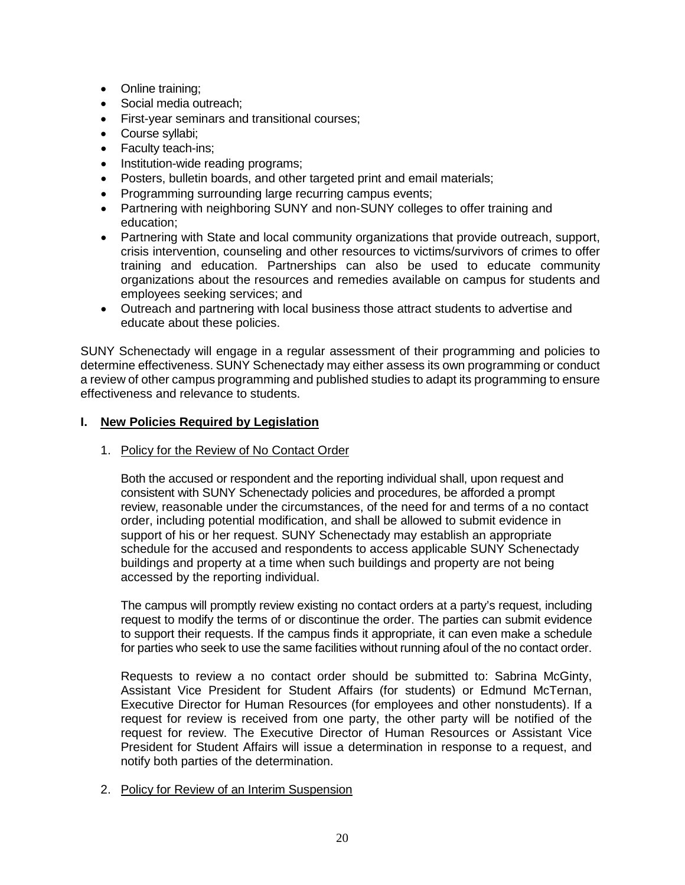- <span id="page-20-0"></span>• Online training;
- Social media outreach;
- First-year seminars and transitional courses;
- Course syllabi;
- Faculty teach-ins;
- Institution-wide reading programs;
- Posters, bulletin boards, and other targeted print and email materials;
- Programming surrounding large recurring campus events;
- Partnering with neighboring SUNY and non-SUNY colleges to offer training and education;
- • Partnering with State and local community organizations that provide outreach, support, crisis intervention, counseling and other resources to victims/survivors of crimes to offer training and education. Partnerships can also be used to educate community organizations about the resources and remedies available on campus for students and employees seeking services; and
- Outreach and partnering with local business those attract students to advertise and educate about these policies.

 a review of other campus programming and published studies to adapt its programming to ensure SUNY Schenectady will engage in a regular assessment of their programming and policies to determine effectiveness. SUNY Schenectady may either assess its own programming or conduct effectiveness and relevance to students.

# **I. New Policies Required by Legislation**

1. Policy for the Review of No Contact Order

 Both the accused or respondent and the reporting individual shall, upon request and consistent with SUNY Schenectady policies and procedures, be afforded a prompt review, reasonable under the circumstances, of the need for and terms of a no contact order, including potential modification, and shall be allowed to submit evidence in support of his or her request. SUNY Schenectady may establish an appropriate schedule for the accused and respondents to access applicable SUNY Schenectady buildings and property at a time when such buildings and property are not being accessed by the reporting individual.

 The campus will promptly review existing no contact orders at a party's request, including request to modify the terms of or discontinue the order. The parties can submit evidence to support their requests. If the campus finds it appropriate, it can even make a schedule for parties who seek to use the same facilities without running afoul of the no contact order.

 request for review is received from one party, the other party will be notified of the request for review. The Executive Director of Human Resources or Assistant Vice President for Student Affairs will issue a determination in response to a request, and Requests to review a no contact order should be submitted to: Sabrina McGinty, Assistant Vice President for Student Affairs (for students) or Edmund McTernan, Executive Director for Human Resources (for employees and other nonstudents). If a notify both parties of the determination.

2. Policy for Review of an Interim Suspension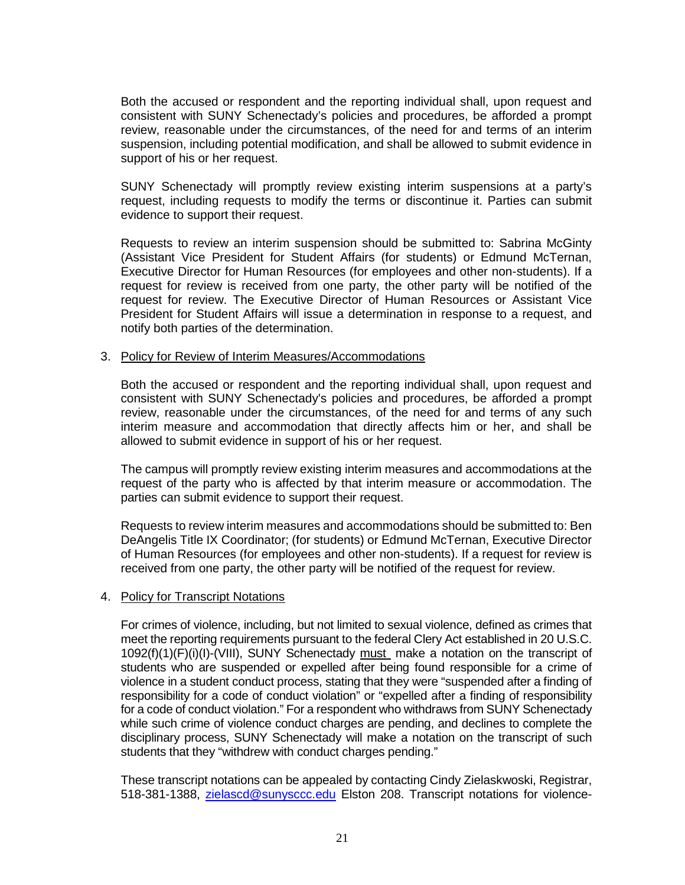Both the accused or respondent and the reporting individual shall, upon request and review, reasonable under the circumstances, of the need for and terms of an interim consistent with SUNY Schenectady's policies and procedures, be afforded a prompt suspension, including potential modification, and shall be allowed to submit evidence in support of his or her request.

SUNY Schenectady will promptly review existing interim suspensions at a party's request, including requests to modify the terms or discontinue it. Parties can submit evidence to support their request.

 Executive Director for Human Resources (for employees and other non-students). If a request for review is received from one party, the other party will be notified of the request for review. The Executive Director of Human Resources or Assistant Vice President for Student Affairs will issue a determination in response to a request, and Requests to review an interim suspension should be submitted to: Sabrina McGinty (Assistant Vice President for Student Affairs (for students) or Edmund McTernan, notify both parties of the determination.

#### 3. Policy for Review of Interim Measures/Accommodations

 Both the accused or respondent and the reporting individual shall, upon request and consistent with SUNY Schenectady's policies and procedures, be afforded a prompt review, reasonable under the circumstances, of the need for and terms of any such interim measure and accommodation that directly affects him or her, and shall be allowed to submit evidence in support of his or her request.

 request of the party who is affected by that interim measure or accommodation. The The campus will promptly review existing interim measures and accommodations at the parties can submit evidence to support their request.

 Requests to review interim measures and accommodations should be submitted to: Ben of Human Resources (for employees and other non-students). If a request for review is received from one party, the other party will be notified of the request for review. DeAngelis Title IX Coordinator; (for students) or Edmund McTernan, Executive Director

#### 4. Policy for Transcript Notations

 For crimes of violence, including, but not limited to sexual violence, defined as crimes that meet the reporting requirements pursuant to the federal Clery Act established in 20 U.S.C.  $1092(f)(1)(F)(i)(I)-(VIII)$ , SUNY Schenectady must make a notation on the transcript of students who are suspended or expelled after being found responsible for a crime of violence in a student conduct process, stating that they were "suspended after a finding of responsibility for a code of conduct violation" or "expelled after a finding of responsibility for a code of conduct violation." For a respondent who withdraws from SUNY Schenectady while such crime of violence conduct charges are pending, and declines to complete the disciplinary process, SUNY Schenectady will make a notation on the transcript of such students that they "withdrew with conduct charges pending."

 These transcript notations can be appealed by contacting Cindy Zielaskwoski, Registrar, 518-381-1388, [zielascd@sunysccc.edu](mailto:zielascd@sunysccc.edu) Elston 208. Transcript notations for violence-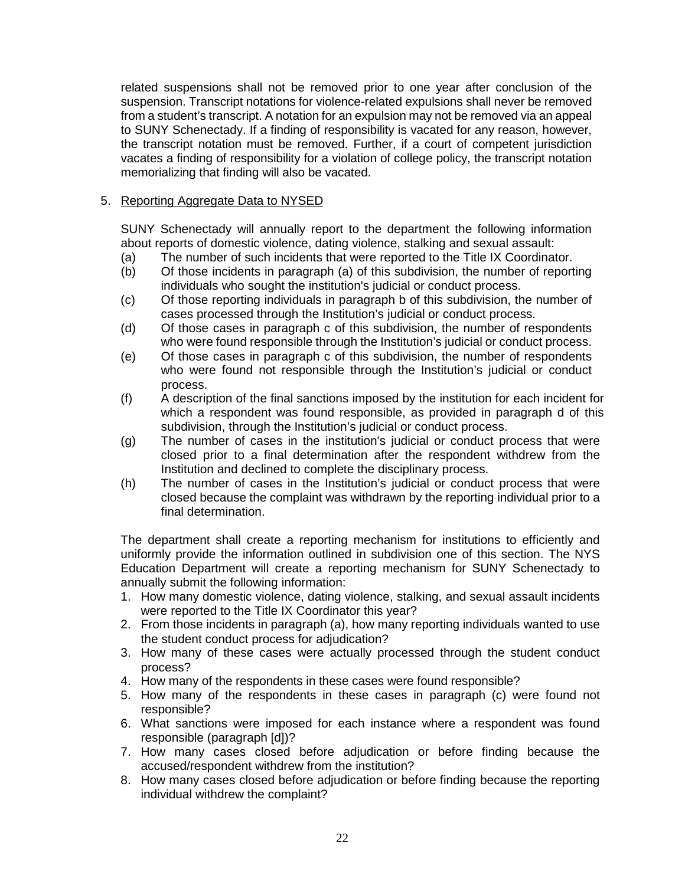related suspensions shall not be removed prior to one year after conclusion of the from a student's transcript. A notation for an expulsion may not be removed via an appeal to SUNY Schenectady. If a finding of responsibility is vacated for any reason, however, the transcript notation must be removed. Further, if a court of competent jurisdiction vacates a finding of responsibility for a violation of college policy, the transcript notation memorializing that finding will also be vacated. suspension. Transcript notations for violence-related expulsions shall never be removed

### 5. Reporting Aggregate Data to NYSED

 SUNY Schenectady will annually report to the department the following information about reports of domestic violence, dating violence, stalking and sexual assault:

- (a) The number of such incidents that were reported to the Title IX Coordinator.
- individuals who sought the institution's judicial or conduct process. (b) Of those incidents in paragraph (a) of this subdivision, the number of reporting
- (c) Of those reporting individuals in paragraph b of this subdivision, the number of cases processed through the Institution's judicial or conduct process.
- (d) Of those cases in paragraph c of this subdivision, the number of respondents who were found responsible through the Institution's judicial or conduct process.
- (e) Of those cases in paragraph c of this subdivision, the number of respondents who were found not responsible through the Institution's judicial or conduct process.
- (f) A description of the final sanctions imposed by the institution for each incident for which a respondent was found responsible, as provided in paragraph d of this subdivision, through the Institution's judicial or conduct process.
- (g) The number of cases in the institution's judicial or conduct process that were closed prior to a final determination after the respondent withdrew from the Institution and declined to complete the disciplinary process.
- (h) The number of cases in the Institution's judicial or conduct process that were closed because the complaint was withdrawn by the reporting individual prior to a final determination.

 The department shall create a reporting mechanism for institutions to efficiently and uniformly provide the information outlined in subdivision one of this section. The NYS Education Department will create a reporting mechanism for SUNY Schenectady to annually submit the following information:

- 1. How many domestic violence, dating violence, stalking, and sexual assault incidents were reported to the Title IX Coordinator this year?
- 2. From those incidents in paragraph (a), how many reporting individuals wanted to use the student conduct process for adjudication?
- 3. How many of these cases were actually processed through the student conduct process?
- 4. How many of the respondents in these cases were found responsible?
- 5. How many of the respondents in these cases in paragraph (c) were found not responsible?
- 6. What sanctions were imposed for each instance where a respondent was found responsible (paragraph [d])?
- 7. How many cases closed before adjudication or before finding because the accused/respondent withdrew from the institution?
- 8. How many cases closed before adjudication or before finding because the reporting individual withdrew the complaint?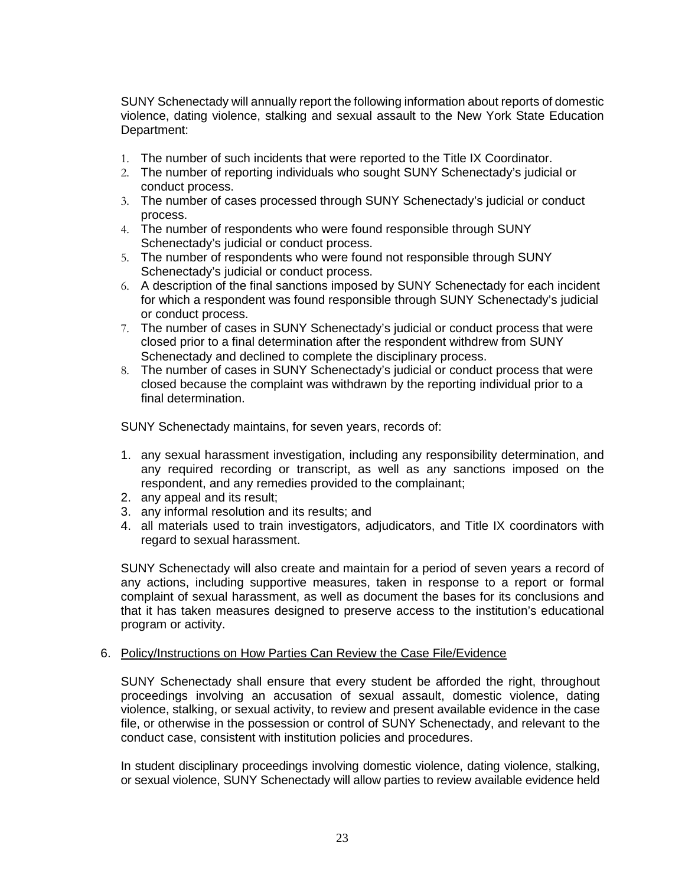<span id="page-23-0"></span> SUNY Schenectady will annually report the following information about reports of domestic violence, dating violence, stalking and sexual assault to the New York State Education Department:

- 1. The number of such incidents that were reported to the Title IX Coordinator.
- 2. The number of reporting individuals who sought SUNY Schenectady's judicial or conduct process.
- 3. The number of cases processed through SUNY Schenectady's judicial or conduct process.
- 4. The number of respondents who were found responsible through SUNY Schenectady's judicial or conduct process.
- 5. The number of respondents who were found not responsible through SUNY Schenectady's judicial or conduct process.
- 6. A description of the final sanctions imposed by SUNY Schenectady for each incident for which a respondent was found responsible through SUNY Schenectady's judicial or conduct process.
- 7. The number of cases in SUNY Schenectady's judicial or conduct process that were closed prior to a final determination after the respondent withdrew from SUNY Schenectady and declined to complete the disciplinary process.
- 8. The number of cases in SUNY Schenectady's judicial or conduct process that were closed because the complaint was withdrawn by the reporting individual prior to a final determination.

SUNY Schenectady maintains, for seven years, records of:

- any required recording or transcript, as well as any sanctions imposed on the 1. any sexual harassment investigation, including any responsibility determination, and respondent, and any remedies provided to the complainant;
- 2. any appeal and its result;
- 3. any informal resolution and its results; and
- 4. all materials used to train investigators, adjudicators, and Title IX coordinators with regard to sexual harassment.

 any actions, including supportive measures, taken in response to a report or formal complaint of sexual harassment, as well as document the bases for its conclusions and that it has taken measures designed to preserve access to the institution's educational SUNY Schenectady will also create and maintain for a period of seven years a record of program or activity.

#### 6. Policy/Instructions on How Parties Can Review the Case File/Evidence

 violence, stalking, or sexual activity, to review and present available evidence in the case file, or otherwise in the possession or control of SUNY Schenectady, and relevant to the SUNY Schenectady shall ensure that every student be afforded the right, throughout proceedings involving an accusation of sexual assault, domestic violence, dating conduct case, consistent with institution policies and procedures.

In student disciplinary proceedings involving domestic violence, dating violence, stalking, or sexual violence, SUNY Schenectady will allow parties to review available evidence held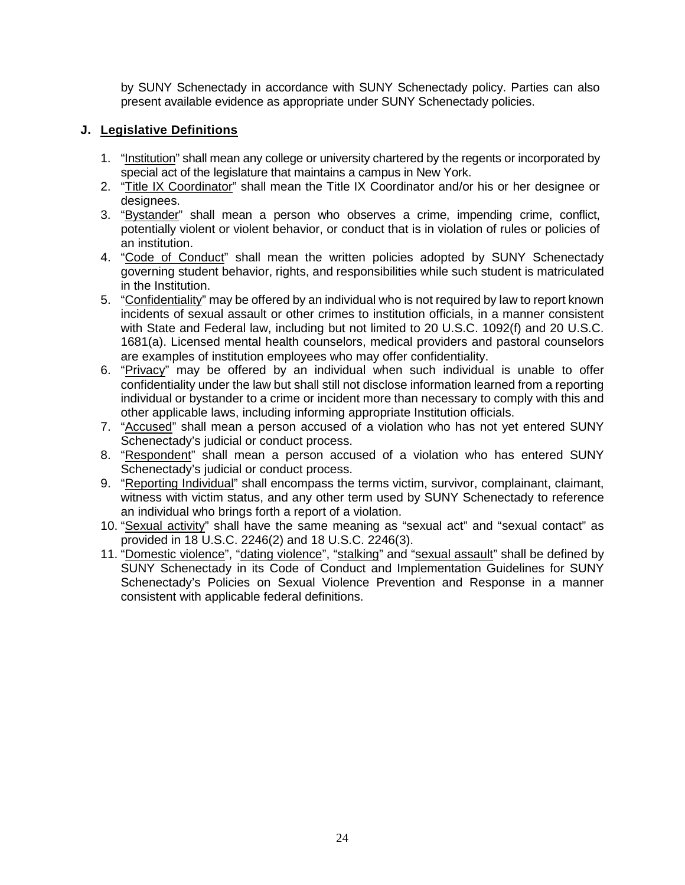by SUNY Schenectady in accordance with SUNY Schenectady policy. Parties can also present available evidence as appropriate under SUNY Schenectady policies.

# **J. Legislative Definitions**

- 1. "Institution" shall mean any college or university chartered by the regents or incorporated by special act of the legislature that maintains a campus in New York.
- 2. "Title IX Coordinator" shall mean the Title IX Coordinator and/or his or her designee or designees.
- 3. "Bystander" shall mean a person who observes a crime, impending crime, conflict, potentially violent or violent behavior, or conduct that is in violation of rules or policies of an institution.
- 4. "Code of Conduct" shall mean the written policies adopted by SUNY Schenectady governing student behavior, rights, and responsibilities while such student is matriculated in the Institution.
- 5. "Confidentiality" may be offered by an individual who is not required by law to report known incidents of sexual assault or other crimes to institution officials, in a manner consistent with State and Federal law, including but not limited to 20 U.S.C. 1092(f) and 20 U.S.C. 1681(a). Licensed mental health counselors, medical providers and pastoral counselors are examples of institution employees who may offer confidentiality.
- individual or bystander to a crime or incident more than necessary to comply with this and 6. "Privacy" may be offered by an individual when such individual is unable to offer confidentiality under the law but shall still not disclose information learned from a reporting other applicable laws, including informing appropriate Institution officials.
- 7. "Accused" shall mean a person accused of a violation who has not yet entered SUNY Schenectady's judicial or conduct process.
- 8. "Respondent" shall mean a person accused of a violation who has entered SUNY Schenectady's judicial or conduct process.
- 9. "Reporting Individual" shall encompass the terms victim, survivor, complainant, claimant, witness with victim status, and any other term used by SUNY Schenectady to reference an individual who brings forth a report of a violation.
- 10. "Sexual activity" shall have the same meaning as "sexual act" and "sexual contact" as provided in 18 U.S.C. 2246(2) and 18 U.S.C. 2246(3).
- 11. "Domestic violence", "dating violence", "stalking" and "sexual assault" shall be defined by SUNY Schenectady in its Code of Conduct and Implementation Guidelines for SUNY Schenectady's Policies on Sexual Violence Prevention and Response in a manner consistent with applicable federal definitions.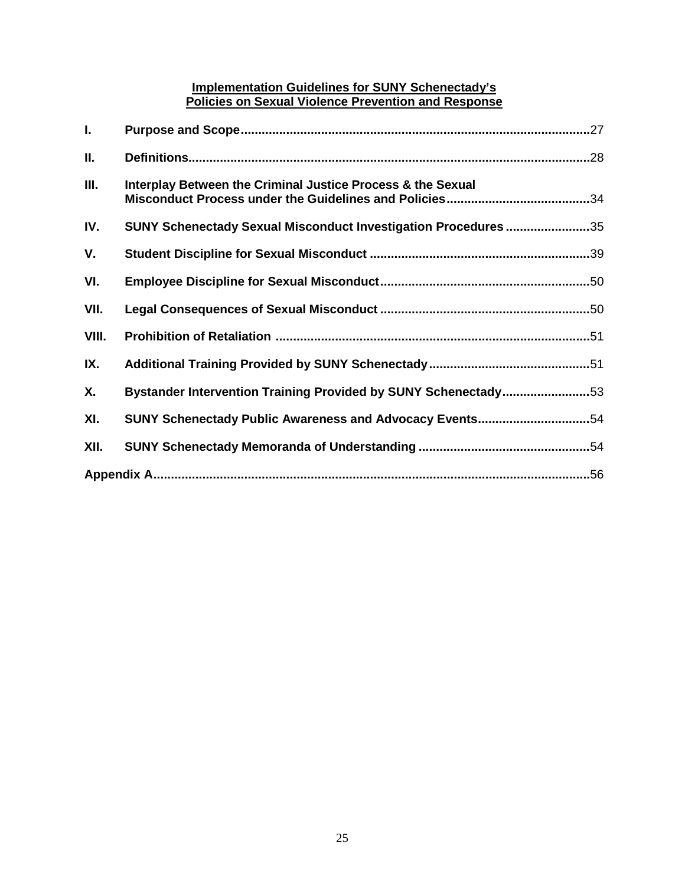### **Implementation Guidelines for SUNY Schenectady's Policies on Sexual Violence Prevention and Response**

| ı.    |                                                                       |
|-------|-----------------------------------------------------------------------|
| II.   |                                                                       |
| Ш.    | Interplay Between the Criminal Justice Process & the Sexual           |
| IV.   | SUNY Schenectady Sexual Misconduct Investigation Procedures 35        |
| V.    |                                                                       |
| VI.   |                                                                       |
| VII.  |                                                                       |
| VIII. |                                                                       |
| IX.   |                                                                       |
| Х.    | <b>Bystander Intervention Training Provided by SUNY Schenectady53</b> |
| XI.   | SUNY Schenectady Public Awareness and Advocacy Events54               |
| XII.  |                                                                       |
|       |                                                                       |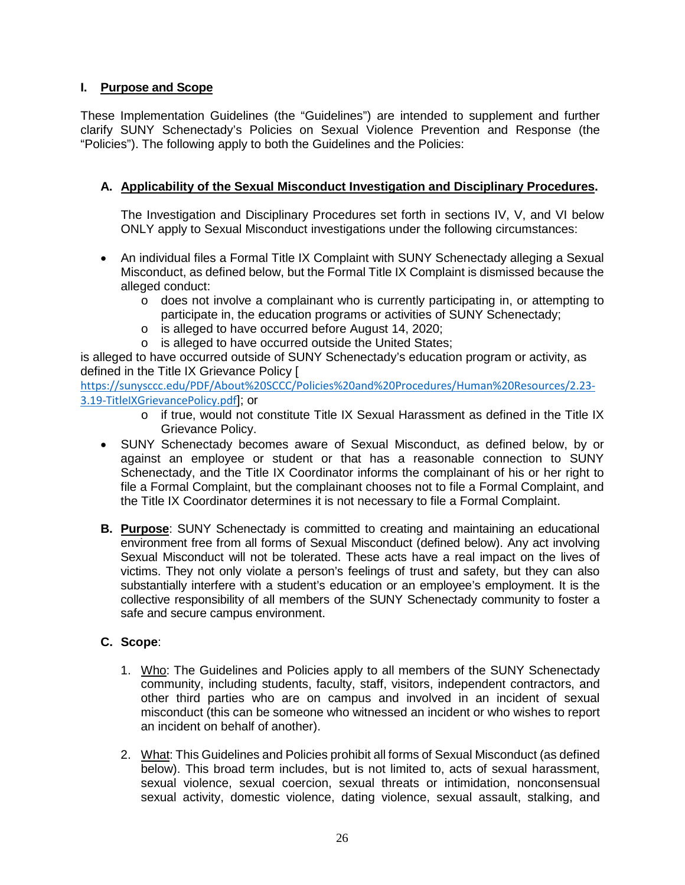# **I. Purpose and Scope**

 These Implementation Guidelines (the "Guidelines") are intended to supplement and further clarify SUNY Schenectady's Policies on Sexual Violence Prevention and Response (the "Policies"). The following apply to both the Guidelines and the Policies:

# **A. Applicability of the Sexual Misconduct Investigation and Disciplinary Procedures.**

 The Investigation and Disciplinary Procedures set forth in sections IV, V, and VI below ONLY apply to Sexual Misconduct investigations under the following circumstances:

- • An individual files a Formal Title IX Complaint with SUNY Schenectady alleging a Sexual Misconduct, as defined below, but the Formal Title IX Complaint is dismissed because the alleged conduct:
	- $\circ$  does not involve a complainant who is currently participating in, or attempting to participate in, the education programs or activities of SUNY Schenectady;
	- o is alleged to have occurred before August 14, 2020;
	- o is alleged to have occurred outside the United States;

is alleged to have occurred outside of SUNY Schenectady's education program or activity, as defined in the Title IX Grievance Policy [

[https://sunysccc.edu/PDF/About%20SCCC/Policies%20and%20Procedures/Human%20Resources/2.23-](https://sunysccc.edu/PDF/About%20SCCC/Policies%20and%20Procedures/Human%20Resources/2.23-3.19-TitleIXGrievancePolicy.pdf) [3.19-TitleIXGrievancePolicy.pdf](https://sunysccc.edu/PDF/About%20SCCC/Policies%20and%20Procedures/Human%20Resources/2.23-3.19-TitleIXGrievancePolicy.pdf)]; or

- o if true, would not constitute Title IX Sexual Harassment as defined in the Title IX Grievance Policy.
- • SUNY Schenectady becomes aware of Sexual Misconduct, as defined below, by or Schenectady, and the Title IX Coordinator informs the complainant of his or her right to file a Formal Complaint, but the complainant chooses not to file a Formal Complaint, and against an employee or student or that has a reasonable connection to SUNY the Title IX Coordinator determines it is not necessary to file a Formal Complaint.
- Sexual Misconduct will not be tolerated. These acts have a real impact on the lives of substantially interfere with a student's education or an employee's employment. It is the **B. Purpose**: SUNY Schenectady is committed to creating and maintaining an educational environment free from all forms of Sexual Misconduct (defined below). Any act involving victims. They not only violate a person's feelings of trust and safety, but they can also collective responsibility of all members of the SUNY Schenectady community to foster a safe and secure campus environment.

# **C. Scope**:

- community, including students, faculty, staff, visitors, independent contractors, and misconduct (this can be someone who witnessed an incident or who wishes to report 1. Who: The Guidelines and Policies apply to all members of the SUNY Schenectady other third parties who are on campus and involved in an incident of sexual an incident on behalf of another).
- 2. What: This Guidelines and Policies prohibit all forms of Sexual Misconduct (as defined below). This broad term includes, but is not limited to, acts of sexual harassment, sexual violence, sexual coercion, sexual threats or intimidation, nonconsensual sexual activity, domestic violence, dating violence, sexual assault, stalking, and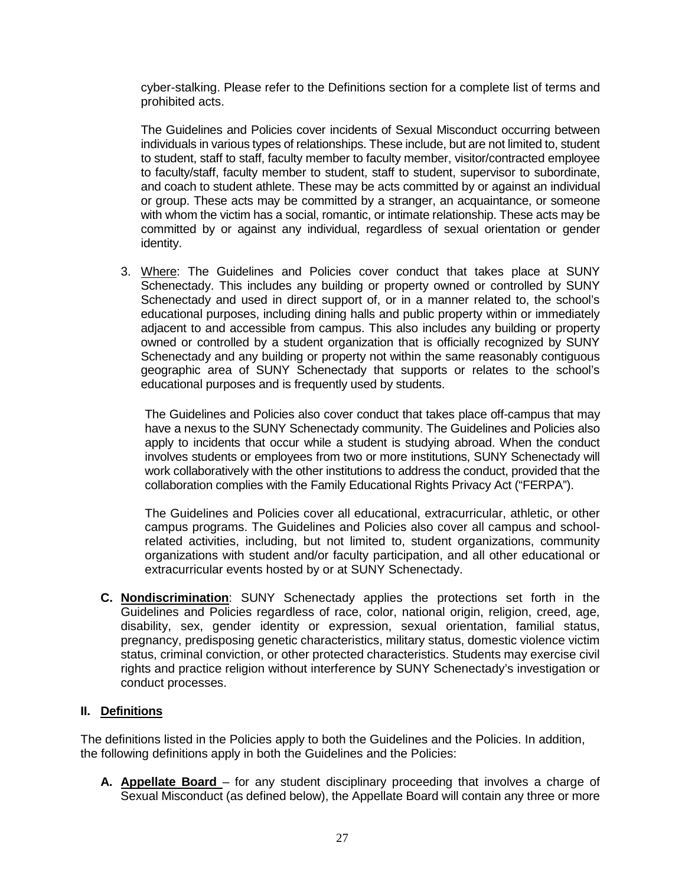<span id="page-27-0"></span> cyber-stalking. Please refer to the Definitions section for a complete list of terms and prohibited acts.

 individuals in various types of relationships. These include, but are not limited to, student to student, staff to staff, faculty member to faculty member, visitor/contracted employee to faculty/staff, faculty member to student, staff to student, supervisor to subordinate, and coach to student athlete. These may be acts committed by or against an individual or group. These acts may be committed by a stranger, an acquaintance, or someone with whom the victim has a social, romantic, or intimate relationship. These acts may be The Guidelines and Policies cover incidents of Sexual Misconduct occurring between committed by or against any individual, regardless of sexual orientation or gender identity.

3. Where: The Guidelines and Policies cover conduct that takes place at SUNY Schenectady. This includes any building or property owned or controlled by SUNY Schenectady and used in direct support of, or in a manner related to, the school's educational purposes, including dining halls and public property within or immediately adjacent to and accessible from campus. This also includes any building or property owned or controlled by a student organization that is officially recognized by SUNY Schenectady and any building or property not within the same reasonably contiguous geographic area of SUNY Schenectady that supports or relates to the school's educational purposes and is frequently used by students.

 The Guidelines and Policies also cover conduct that takes place off-campus that may have a nexus to the SUNY Schenectady community. The Guidelines and Policies also apply to incidents that occur while a student is studying abroad. When the conduct involves students or employees from two or more institutions, SUNY Schenectady will collaboration complies with the Family Educational Rights Privacy Act ("FERPA"). work collaboratively with the other institutions to address the conduct, provided that the

 campus programs. The Guidelines and Policies also cover all campus and school- related activities, including, but not limited to, student organizations, community organizations with student and/or faculty participation, and all other educational or The Guidelines and Policies cover all educational, extracurricular, athletic, or other extracurricular events hosted by or at SUNY Schenectady.

 **C. Nondiscrimination**: SUNY Schenectady applies the protections set forth in the pregnancy, predisposing genetic characteristics, military status, domestic violence victim rights and practice religion without interference by SUNY Schenectady's investigation or Guidelines and Policies regardless of race, color, national origin, religion, creed, age, disability, sex, gender identity or expression, sexual orientation, familial status, status, criminal conviction, or other protected characteristics. Students may exercise civil conduct processes.

# **II. Definitions**

 The definitions listed in the Policies apply to both the Guidelines and the Policies. In addition, the following definitions apply in both the Guidelines and the Policies:

 **A. Appellate Board** – for any student disciplinary proceeding that involves a charge of Sexual Misconduct (as defined below), the Appellate Board will contain any three or more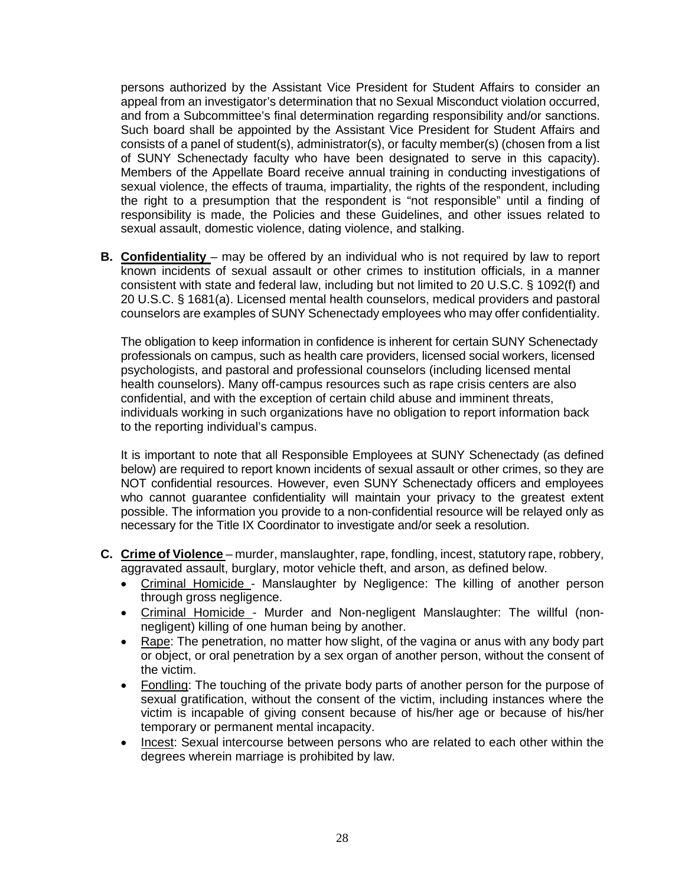<span id="page-28-0"></span> appeal from an investigator's determination that no Sexual Misconduct violation occurred, and from a Subcommittee's final determination regarding responsibility and/or sanctions. Such board shall be appointed by the Assistant Vice President for Student Affairs and consists of a panel of student(s), administrator(s), or faculty member(s) (chosen from a list of SUNY Schenectady faculty who have been designated to serve in this capacity). Members of the Appellate Board receive annual training in conducting investigations of sexual violence, the effects of trauma, impartiality, the rights of the respondent, including the right to a presumption that the respondent is "not responsible" until a finding of responsibility is made, the Policies and these Guidelines, and other issues related to persons authorized by the Assistant Vice President for Student Affairs to consider an sexual assault, domestic violence, dating violence, and stalking.

 known incidents of sexual assault or other crimes to institution officials, in a manner consistent with state and federal law, including but not limited to 20 U.S.C. § 1092(f) and counselors are examples of SUNY Schenectady employees who may offer confidentiality. **B.** Confidentiality – may be offered by an individual who is not required by law to report 20 U.S.C. § 1681(a). Licensed mental health counselors, medical providers and pastoral

 The obligation to keep information in confidence is inherent for certain SUNY Schenectady health counselors). Many off-campus resources such as rape crisis centers are also professionals on campus, such as health care providers, licensed social workers, licensed psychologists, and pastoral and professional counselors (including licensed mental confidential, and with the exception of certain child abuse and imminent threats, individuals working in such organizations have no obligation to report information back to the reporting individual's campus.

 NOT confidential resources. However, even SUNY Schenectady officers and employees It is important to note that all Responsible Employees at SUNY Schenectady (as defined below) are required to report known incidents of sexual assault or other crimes, so they are who cannot guarantee confidentiality will maintain your privacy to the greatest extent possible. The information you provide to a non-confidential resource will be relayed only as necessary for the Title IX Coordinator to investigate and/or seek a resolution.

- **C. Crime of Violence**  murder, manslaughter, rape, fondling, incest, statutory rape, robbery, aggravated assault, burglary, motor vehicle theft, and arson, as defined below.
	- Criminal Homicide Manslaughter by Negligence: The killing of another person through gross negligence.
	- Criminal Homicide Murder and Non-negligent Manslaughter: The willful (nonnegligent) killing of one human being by another.
	- Rape: The penetration, no matter how slight, of the vagina or anus with any body part or object, or oral penetration by a sex organ of another person, without the consent of the victim.
	- Fondling: The touching of the private body parts of another person for the purpose of sexual gratification, without the consent of the victim, including instances where the victim is incapable of giving consent because of his/her age or because of his/her temporary or permanent mental incapacity.
	- Incest: Sexual intercourse between persons who are related to each other within the degrees wherein marriage is prohibited by law.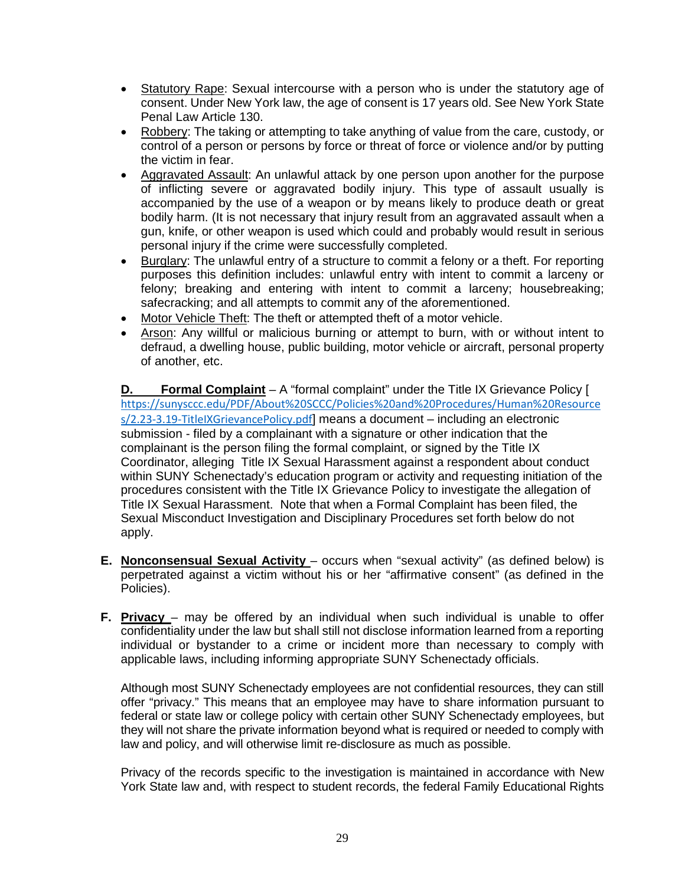- Statutory Rape: Sexual intercourse with a person who is under the statutory age of consent. Under New York law, the age of consent is 17 years old. See New York State Penal Law Article 130.
- Robbery: The taking or attempting to take anything of value from the care, custody, or control of a person or persons by force or threat of force or violence and/or by putting the victim in fear.
- of inflicting severe or aggravated bodily injury. This type of assault usually is bodily harm. (It is not necessary that injury result from an aggravated assault when a gun, knife, or other weapon is used which could and probably would result in serious • Aggravated Assault: An unlawful attack by one person upon another for the purpose accompanied by the use of a weapon or by means likely to produce death or great personal injury if the crime were successfully completed.
- Burglary: The unlawful entry of a structure to commit a felony or a theft. For reporting felony; breaking and entering with intent to commit a larceny; housebreaking; purposes this definition includes: unlawful entry with intent to commit a larceny or safecracking; and all attempts to commit any of the aforementioned.
- Motor Vehicle Theft: The theft or attempted theft of a motor vehicle.
- Arson: Any willful or malicious burning or attempt to burn, with or without intent to defraud, a dwelling house, public building, motor vehicle or aircraft, personal property of another, etc.

 **D. Formal Complaint** – A "formal complaint" under the Title IX Grievance Policy [ complainant is the person filing the formal complaint, or signed by the Title IX Sexual Misconduct Investigation and Disciplinary Procedures set forth below do not [https://sunysccc.edu/PDF/About%20SCCC/Policies%20and%20Procedures/Human%20Resource](https://sunysccc.edu/PDF/About%20SCCC/Policies%20and%20Procedures/Human%20Resources/2.23-3.19-TitleIXGrievancePolicy.pdf)  [s/2.23-3.19-TitleIXGrievancePolicy.pdf](https://sunysccc.edu/PDF/About%20SCCC/Policies%20and%20Procedures/Human%20Resources/2.23-3.19-TitleIXGrievancePolicy.pdf)] means a document – including an electronic submission - filed by a complainant with a signature or other indication that the Coordinator, alleging Title IX Sexual Harassment against a respondent about conduct within SUNY Schenectady's education program or activity and requesting initiation of the procedures consistent with the Title IX Grievance Policy to investigate the allegation of Title IX Sexual Harassment. Note that when a Formal Complaint has been filed, the apply.

- **E. Nonconsensual Sexual Activity**  occurs when "sexual activity" (as defined below) is perpetrated against a victim without his or her "affirmative consent" (as defined in the Policies).
- individual or bystander to a crime or incident more than necessary to comply with **F. Privacy** – may be offered by an individual when such individual is unable to offer confidentiality under the law but shall still not disclose information learned from a reporting applicable laws, including informing appropriate SUNY Schenectady officials.

 offer "privacy." This means that an employee may have to share information pursuant to Although most SUNY Schenectady employees are not confidential resources, they can still federal or state law or college policy with certain other SUNY Schenectady employees, but they will not share the private information beyond what is required or needed to comply with law and policy, and will otherwise limit re-disclosure as much as possible.

 York State law and, with respect to student records, the federal Family Educational Rights Privacy of the records specific to the investigation is maintained in accordance with New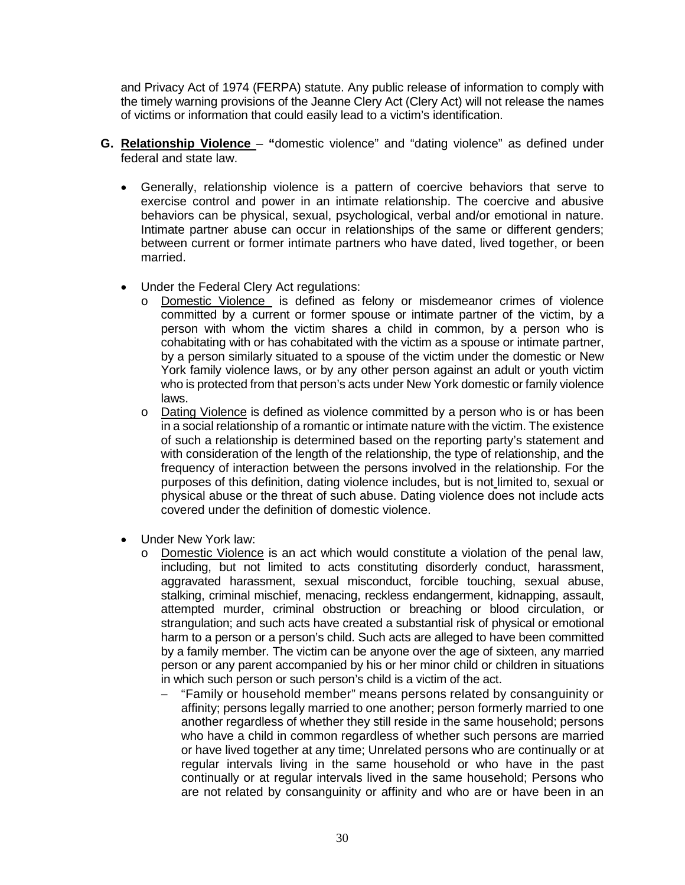and Privacy Act of 1974 (FERPA) statute. Any public release of information to comply with the timely warning provisions of the Jeanne Clery Act (Clery Act) will not release the names of victims or information that could easily lead to a victim's identification.

- **G. Relationship Violence "**domestic violence" and "dating violence" as defined under federal and state law.
	- • Generally, relationship violence is a pattern of coercive behaviors that serve to Intimate partner abuse can occur in relationships of the same or different genders; exercise control and power in an intimate relationship. The coercive and abusive behaviors can be physical, sexual, psychological, verbal and/or emotional in nature. between current or former intimate partners who have dated, lived together, or been married.
	- Under the Federal Clery Act regulations:
		- o Domestic Violence is defined as felony or misdemeanor crimes of violence committed by a current or former spouse or intimate partner of the victim, by a by a person similarly situated to a spouse of the victim under the domestic or New York family violence laws, or by any other person against an adult or youth victim who is protected from that person's acts under New York domestic or family violence person with whom the victim shares a child in common, by a person who is cohabitating with or has cohabitated with the victim as a spouse or intimate partner, laws.
		- in a social relationship of a romantic or intimate nature with the victim. The existence frequency of interaction between the persons involved in the relationship. For the purposes of this definition, dating violence includes, but is not limited to, sexual or physical abuse or the threat of such abuse. Dating violence does not include acts o Dating Violence is defined as violence committed by a person who is or has been of such a relationship is determined based on the reporting party's statement and with consideration of the length of the relationship, the type of relationship, and the covered under the definition of domestic violence.
	- Under New York law:
		- including, but not limited to acts constituting disorderly conduct, harassment, aggravated harassment, sexual misconduct, forcible touching, sexual abuse, stalking, criminal mischief, menacing, reckless endangerment, kidnapping, assault, attempted murder, criminal obstruction or breaching or blood circulation, or strangulation; and such acts have created a substantial risk of physical or emotional by a family member. The victim can be anyone over the age of sixteen, any married person or any parent accompanied by his or her minor child or children in situations in which such person or such person's child is a victim of the act. o Domestic Violence is an act which would constitute a violation of the penal law, harm to a person or a person's child. Such acts are alleged to have been committed
			- who have a child in common regardless of whether such persons are married continually or at regular intervals lived in the same household; Persons who are not related by consanguinity or affinity and who are or have been in an − "Family or household member" means persons related by consanguinity or affinity; persons legally married to one another; person formerly married to one another regardless of whether they still reside in the same household; persons or have lived together at any time; Unrelated persons who are continually or at regular intervals living in the same household or who have in the past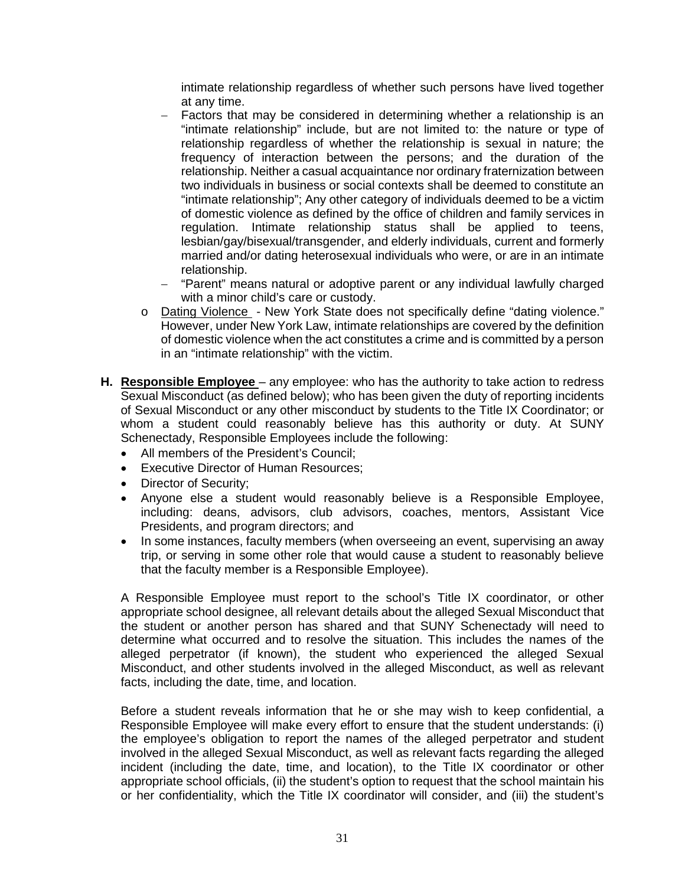intimate relationship regardless of whether such persons have lived together at any time.

- "intimate relationship" include, but are not limited to: the nature or type of relationship. Neither a casual acquaintance nor ordinary fraternization between regulation. Intimate relationship status shall be applied to teens, lesbian/gay/bisexual/transgender, and elderly individuals, current and formerly − Factors that may be considered in determining whether a relationship is an relationship regardless of whether the relationship is sexual in nature; the frequency of interaction between the persons; and the duration of the two individuals in business or social contexts shall be deemed to constitute an "intimate relationship"; Any other category of individuals deemed to be a victim of domestic violence as defined by the office of children and family services in married and/or dating heterosexual individuals who were, or are in an intimate relationship.
- with a minor child's care or custody. − "Parent" means natural or adoptive parent or any individual lawfully charged
- o Dating Violence New York State does not specifically define "dating violence." of domestic violence when the act constitutes a crime and is committed by a person However, under New York Law, intimate relationships are covered by the definition in an "intimate relationship" with the victim.
- of Sexual Misconduct or any other misconduct by students to the Title IX Coordinator; or whom a student could reasonably believe has this authority or duty. At SUNY **H. Responsible Employee** – any employee: who has the authority to take action to redress Sexual Misconduct (as defined below); who has been given the duty of reporting incidents Schenectady, Responsible Employees include the following:
	- All members of the President's Council;
	- Executive Director of Human Resources;
	- Director of Security;
	- • Anyone else a student would reasonably believe is a Responsible Employee, including: deans, advisors, club advisors, coaches, mentors, Assistant Vice Presidents, and program directors; and
	- In some instances, faculty members (when overseeing an event, supervising an away trip, or serving in some other role that would cause a student to reasonably believe that the faculty member is a Responsible Employee).

 A Responsible Employee must report to the school's Title IX coordinator, or other appropriate school designee, all relevant details about the alleged Sexual Misconduct that determine what occurred and to resolve the situation. This includes the names of the alleged perpetrator (if known), the student who experienced the alleged Sexual facts, including the date, time, and location. the student or another person has shared and that SUNY Schenectady will need to Misconduct, and other students involved in the alleged Misconduct, as well as relevant

 the employee's obligation to report the names of the alleged perpetrator and student involved in the alleged Sexual Misconduct, as well as relevant facts regarding the alleged incident (including the date, time, and location), to the Title IX coordinator or other or her confidentiality, which the Title IX coordinator will consider, and (iii) the student's Before a student reveals information that he or she may wish to keep confidential, a Responsible Employee will make every effort to ensure that the student understands: (i) appropriate school officials, (ii) the student's option to request that the school maintain his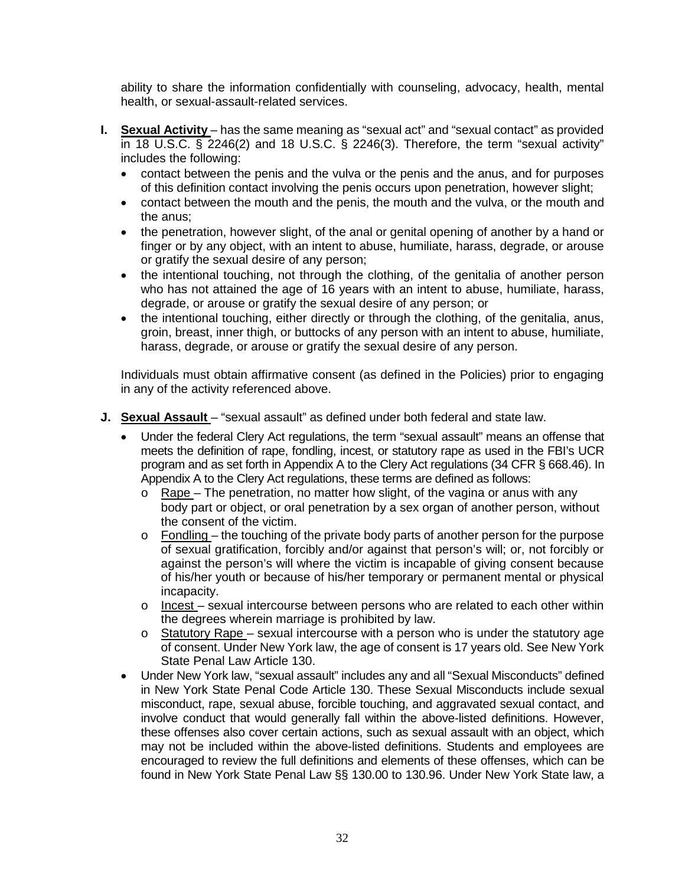ability to share the information confidentially with counseling, advocacy, health, mental health, or sexual-assault-related services.

- in 18 U.S.C. § 2246(2) and 18 U.S.C. § 2246(3). Therefore, the term "sexual activity" **I. Sexual Activity** – has the same meaning as "sexual act" and "sexual contact" as provided includes the following:
	- • contact between the penis and the vulva or the penis and the anus, and for purposes of this definition contact involving the penis occurs upon penetration, however slight;
	- contact between the mouth and the penis, the mouth and the vulva, or the mouth and the anus;
	- • the penetration, however slight, of the anal or genital opening of another by a hand or finger or by any object, with an intent to abuse, humiliate, harass, degrade, or arouse or gratify the sexual desire of any person;
	- • the intentional touching, not through the clothing, of the genitalia of another person who has not attained the age of 16 years with an intent to abuse, humiliate, harass, degrade, or arouse or gratify the sexual desire of any person; or
	- the intentional touching, either directly or through the clothing, of the genitalia, anus, groin, breast, inner thigh, or buttocks of any person with an intent to abuse, humiliate, harass, degrade, or arouse or gratify the sexual desire of any person.

Individuals must obtain affirmative consent (as defined in the Policies) prior to engaging in any of the activity referenced above.

- **J. Sexual Assault**  "sexual assault" as defined under both federal and state law.
	- • Under the federal Clery Act regulations, the term "sexual assault" means an offense that program and as set forth in Appendix A to the Clery Act regulations (34 CFR § 668.46). In Appendix A to the Clery Act regulations, these terms are defined as follows: meets the definition of rape, fondling, incest, or statutory rape as used in the FBI's UCR
		- $\circ$  body part or object, or oral penetration by a sex organ of another person, without Rape – The penetration, no matter how slight, of the vagina or anus with any the consent of the victim.
		- of sexual gratification, forcibly and/or against that person's will; or, not forcibly or of his/her youth or because of his/her temporary or permanent mental or physical  $\circ$  Fondling – the touching of the private body parts of another person for the purpose against the person's will where the victim is incapable of giving consent because incapacity.
		- o Incest sexual intercourse between persons who are related to each other within the degrees wherein marriage is prohibited by law.
		- o Statutory Rape sexual intercourse with a person who is under the statutory age of consent. Under New York law, the age of consent is 17 years old. See New York State Penal Law Article 130.
	- • Under New York law, "sexual assault" includes any and all "Sexual Misconducts" defined in New York State Penal Code Article 130. These Sexual Misconducts include sexual misconduct, rape, sexual abuse, forcible touching, and aggravated sexual contact, and may not be included within the above-listed definitions. Students and employees are encouraged to review the full definitions and elements of these offenses, which can be found in New York State Penal Law §§ 130.00 to 130.96. Under New York State law, a involve conduct that would generally fall within the above-listed definitions. However, these offenses also cover certain actions, such as sexual assault with an object, which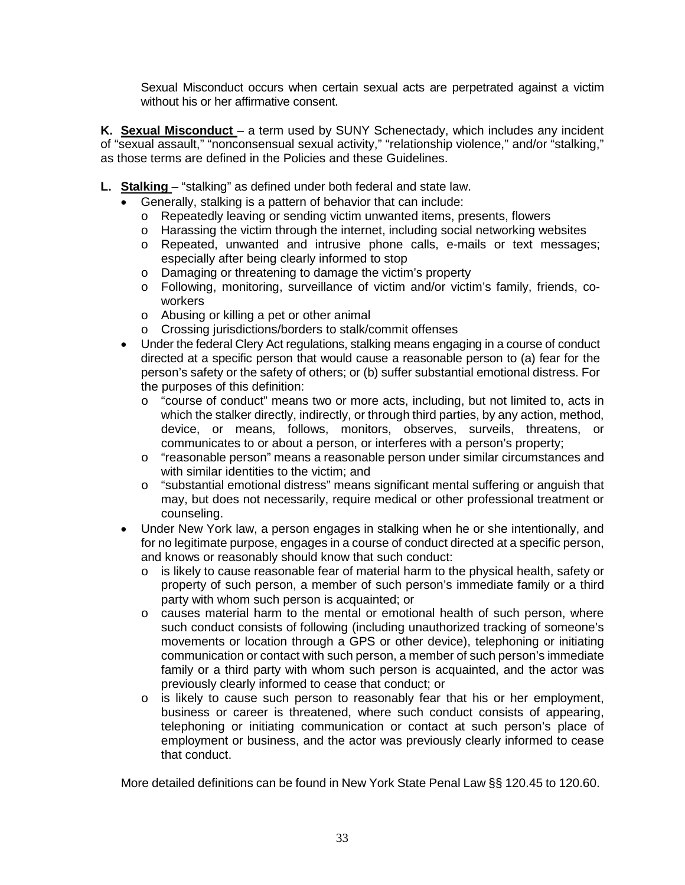Sexual Misconduct occurs when certain sexual acts are perpetrated against a victim without his or her affirmative consent.

 of "sexual assault," "nonconsensual sexual activity," "relationship violence," and/or "stalking," **K. Sexual Misconduct** – a term used by SUNY Schenectady, which includes any incident as those terms are defined in the Policies and these Guidelines.

- **L. Stalking**  "stalking" as defined under both federal and state law.
	- Generally, stalking is a pattern of behavior that can include:
		- o Repeatedly leaving or sending victim unwanted items, presents, flowers
		- $\circ$  Harassing the victim through the internet, including social networking websites
		- o Repeated, unwanted and intrusive phone calls, e-mails or text messages; especially after being clearly informed to stop
		- o Damaging or threatening to damage the victim's property
		- o Following, monitoring, surveillance of victim and/or victim's family, friends, coworkers
		- o Abusing or killing a pet or other animal
		- o Crossing jurisdictions/borders to stalk/commit offenses
	- • Under the federal Clery Act regulations, stalking means engaging in a course of conduct directed at a specific person that would cause a reasonable person to (a) fear for the person's safety or the safety of others; or (b) suffer substantial emotional distress. For the purposes of this definition:
		- o "course of conduct" means two or more acts, including, but not limited to, acts in which the stalker directly, indirectly, or through third parties, by any action, method, device, or means, follows, monitors, observes, surveils, threatens, or communicates to or about a person, or interferes with a person's property;
		- $\circ$  "reasonable person" means a reasonable person under similar circumstances and with similar identities to the victim; and
		- $\circ$  "substantial emotional distress" means significant mental suffering or anguish that may, but does not necessarily, require medical or other professional treatment or counseling.
	- • Under New York law, a person engages in stalking when he or she intentionally, and for no legitimate purpose, engages in a course of conduct directed at a specific person, and knows or reasonably should know that such conduct:
		- o is likely to cause reasonable fear of material harm to the physical health, safety or property of such person, a member of such person's immediate family or a third party with whom such person is acquainted; or
		- such conduct consists of following (including unauthorized tracking of someone's communication or contact with such person, a member of such person's immediate family or a third party with whom such person is acquainted, and the actor was  $\circ$  causes material harm to the mental or emotional health of such person, where movements or location through a GPS or other device), telephoning or initiating previously clearly informed to cease that conduct; or
		- o is likely to cause such person to reasonably fear that his or her employment, business or career is threatened, where such conduct consists of appearing, telephoning or initiating communication or contact at such person's place of employment or business, and the actor was previously clearly informed to cease that conduct.

More detailed definitions can be found in New York State Penal Law §§ 120.45 to 120.60.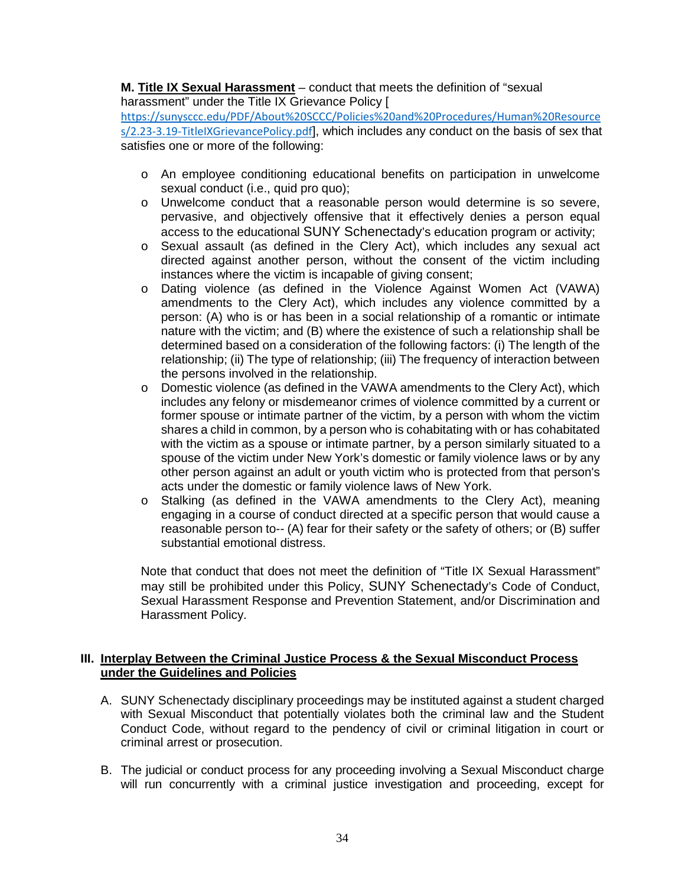# <span id="page-34-0"></span>**M. Title IX Sexual Harassment** – conduct that meets the definition of "sexual

 harassment" under the Title IX Grievance Policy [ satisfies one or more of the following: [https://sunysccc.edu/PDF/About%20SCCC/Policies%20and%20Procedures/Human%20Resource](https://sunysccc.edu/PDF/About%20SCCC/Policies%20and%20Procedures/Human%20Resources/2.23-3.19-TitleIXGrievancePolicy.pdf)  [s/2.23-3.19-TitleIXGrievancePolicy.pdf](https://sunysccc.edu/PDF/About%20SCCC/Policies%20and%20Procedures/Human%20Resources/2.23-3.19-TitleIXGrievancePolicy.pdf)], which includes any conduct on the basis of sex that

- sexual conduct (i.e., quid pro quo); o An employee conditioning educational benefits on participation in unwelcome
- o Unwelcome conduct that a reasonable person would determine is so severe, pervasive, and objectively offensive that it effectively denies a person equal access to the educational SUNY Schenectady's education program or activity;
- directed against another person, without the consent of the victim including instances where the victim is incapable of giving consent; o Sexual assault (as defined in the Clery Act), which includes any sexual act
- o Dating violence (as defined in the Violence Against Women Act (VAWA) relationship; (ii) The type of relationship; (iii) The frequency of interaction between amendments to the Clery Act), which includes any violence committed by a person: (A) who is or has been in a social relationship of a romantic or intimate nature with the victim; and (B) where the existence of such a relationship shall be determined based on a consideration of the following factors: (i) The length of the the persons involved in the relationship.
- spouse of the victim under New York's domestic or family violence laws or by any other person against an adult or youth victim who is protected from that person's acts under the domestic or family violence laws of New York. o Domestic violence (as defined in the VAWA amendments to the Clery Act), which includes any felony or misdemeanor crimes of violence committed by a current or former spouse or intimate partner of the victim, by a person with whom the victim shares a child in common, by a person who is cohabitating with or has cohabitated with the victim as a spouse or intimate partner, by a person similarly situated to a
- o Stalking (as defined in the VAWA amendments to the Clery Act), meaning engaging in a course of conduct directed at a specific person that would cause a reasonable person to-- (A) fear for their safety or the safety of others; or (B) suffer substantial emotional distress.

 Note that conduct that does not meet the definition of "Title IX Sexual Harassment" may still be prohibited under this Policy, SUNY Schenectady's Code of Conduct, Harassment Policy. Sexual Harassment Response and Prevention Statement, and/or Discrimination and

# **III. Interplay Between the Criminal Justice Process & the Sexual Misconduct Process under the Guidelines and Policies**

- A. SUNY Schenectady disciplinary proceedings may be instituted against a student charged with Sexual Misconduct that potentially violates both the criminal law and the Student Conduct Code, without regard to the pendency of civil or criminal litigation in court or criminal arrest or prosecution.
- B. The judicial or conduct process for any proceeding involving a Sexual Misconduct charge will run concurrently with a criminal justice investigation and proceeding, except for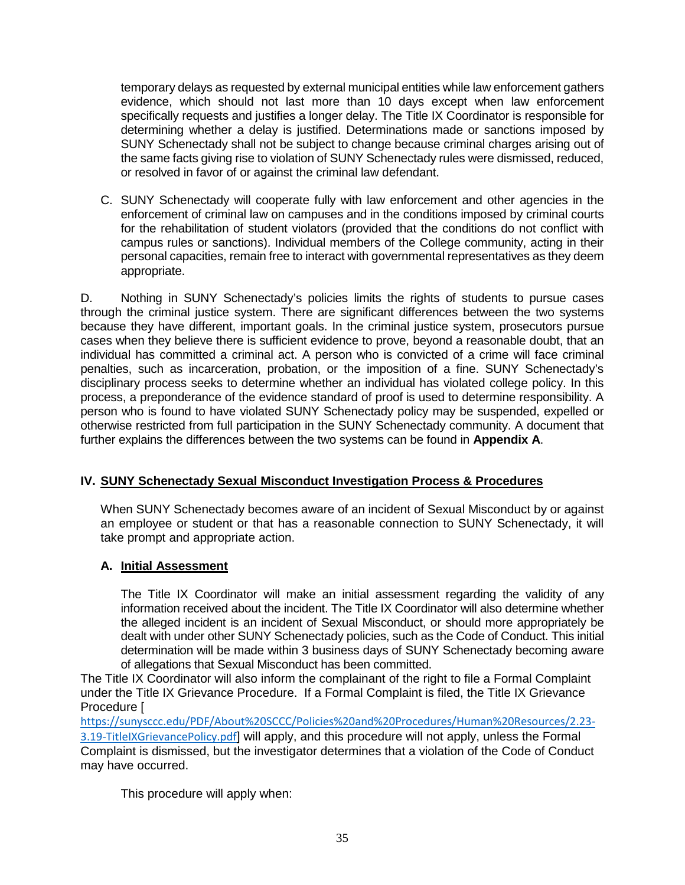<span id="page-35-0"></span> temporary delays as requested by external municipal entities while law enforcement gathers evidence, which should not last more than 10 days except when law enforcement specifically requests and justifies a longer delay. The Title IX Coordinator is responsible for determining whether a delay is justified. Determinations made or sanctions imposed by SUNY Schenectady shall not be subject to change because criminal charges arising out of the same facts giving rise to violation of SUNY Schenectady rules were dismissed, reduced, or resolved in favor of or against the criminal law defendant.

 C. SUNY Schenectady will cooperate fully with law enforcement and other agencies in the for the rehabilitation of student violators (provided that the conditions do not conflict with personal capacities, remain free to interact with governmental representatives as they deem enforcement of criminal law on campuses and in the conditions imposed by criminal courts campus rules or sanctions). Individual members of the College community, acting in their appropriate.

 because they have different, important goals. In the criminal justice system, prosecutors pursue cases when they believe there is sufficient evidence to prove, beyond a reasonable doubt, that an individual has committed a criminal act. A person who is convicted of a crime will face criminal process, a preponderance of the evidence standard of proof is used to determine responsibility. A otherwise restricted from full participation in the SUNY Schenectady community. A document that D. Nothing in SUNY Schenectady's policies limits the rights of students to pursue cases through the criminal justice system. There are significant differences between the two systems penalties, such as incarceration, probation, or the imposition of a fine. SUNY Schenectady's disciplinary process seeks to determine whether an individual has violated college policy. In this person who is found to have violated SUNY Schenectady policy may be suspended, expelled or further explains the differences between the two systems can be found in **Appendix A**.

# **IV. SUNY Schenectady Sexual Misconduct Investigation Process & Procedures**

 an employee or student or that has a reasonable connection to SUNY Schenectady, it will When SUNY Schenectady becomes aware of an incident of Sexual Misconduct by or against take prompt and appropriate action.

# **A. Initial Assessment**

 The Title IX Coordinator will make an initial assessment regarding the validity of any information received about the incident. The Title IX Coordinator will also determine whether the alleged incident is an incident of Sexual Misconduct, or should more appropriately be dealt with under other SUNY Schenectady policies, such as the Code of Conduct. This initial determination will be made within 3 business days of SUNY Schenectady becoming aware of allegations that Sexual Misconduct has been committed.

 The Title IX Coordinator will also inform the complainant of the right to file a Formal Complaint under the Title IX Grievance Procedure. If a Formal Complaint is filed, the Title IX Grievance Procedure [

 Complaint is dismissed, but the investigator determines that a violation of the Code of Conduct may have occurred. [https://sunysccc.edu/PDF/About%20SCCC/Policies%20and%20Procedures/Human%20Resources/2.23-](https://sunysccc.edu/PDF/About%20SCCC/Policies%20and%20Procedures/Human%20Resources/2.23-3.19-TitleIXGrievancePolicy.pdf) [3.19-TitleIXGrievancePolicy.pdf](https://sunysccc.edu/PDF/About%20SCCC/Policies%20and%20Procedures/Human%20Resources/2.23-3.19-TitleIXGrievancePolicy.pdf)] will apply, and this procedure will not apply, unless the Formal

This procedure will apply when: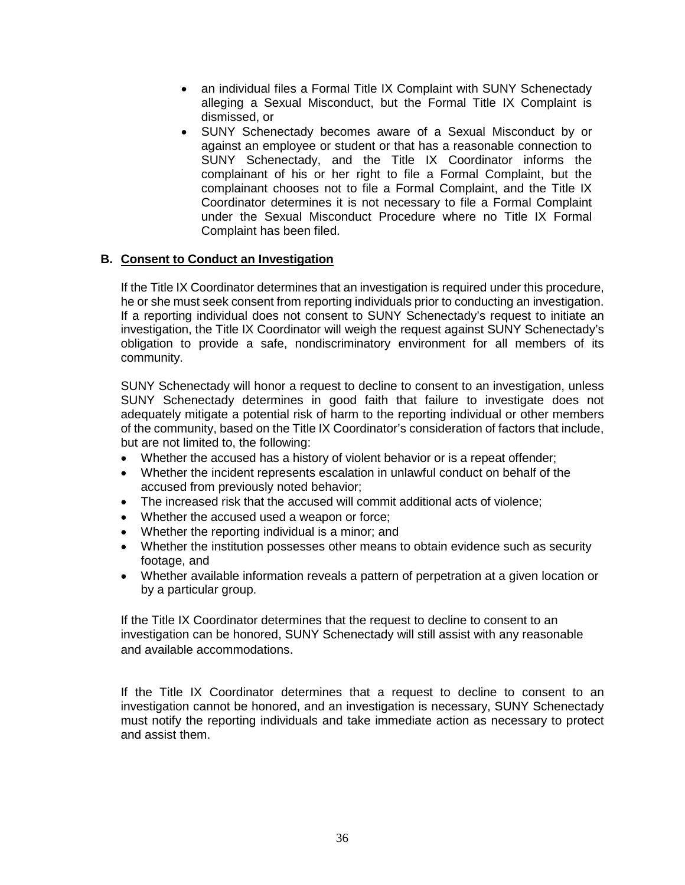- alleging a Sexual Misconduct, but the Formal Title IX Complaint is • an individual files a Formal Title IX Complaint with SUNY Schenectady dismissed, or
- • SUNY Schenectady becomes aware of a Sexual Misconduct by or against an employee or student or that has a reasonable connection to SUNY Schenectady, and the Title IX Coordinator informs the complainant of his or her right to file a Formal Complaint, but the complainant chooses not to file a Formal Complaint, and the Title IX Coordinator determines it is not necessary to file a Formal Complaint under the Sexual Misconduct Procedure where no Title IX Formal Complaint has been filed.

#### **B. Consent to Conduct an Investigation**

 If a reporting individual does not consent to SUNY Schenectady's request to initiate an investigation, the Title IX Coordinator will weigh the request against SUNY Schenectady's obligation to provide a safe, nondiscriminatory environment for all members of its If the Title IX Coordinator determines that an investigation is required under this procedure, he or she must seek consent from reporting individuals prior to conducting an investigation. community.

 SUNY Schenectady will honor a request to decline to consent to an investigation, unless adequately mitigate a potential risk of harm to the reporting individual or other members but are not limited to, the following: SUNY Schenectady determines in good faith that failure to investigate does not of the community, based on the Title IX Coordinator's consideration of factors that include,

- Whether the accused has a history of violent behavior or is a repeat offender;
- • Whether the incident represents escalation in unlawful conduct on behalf of the accused from previously noted behavior;
- The increased risk that the accused will commit additional acts of violence;
- Whether the accused used a weapon or force;
- Whether the reporting individual is a minor; and
- • Whether the institution possesses other means to obtain evidence such as security footage, and
- Whether available information reveals a pattern of perpetration at a given location or by a particular group.

 If the Title IX Coordinator determines that the request to decline to consent to an investigation can be honored, SUNY Schenectady will still assist with any reasonable and available accommodations.

 must notify the reporting individuals and take immediate action as necessary to protect If the Title IX Coordinator determines that a request to decline to consent to an investigation cannot be honored, and an investigation is necessary, SUNY Schenectady and assist them.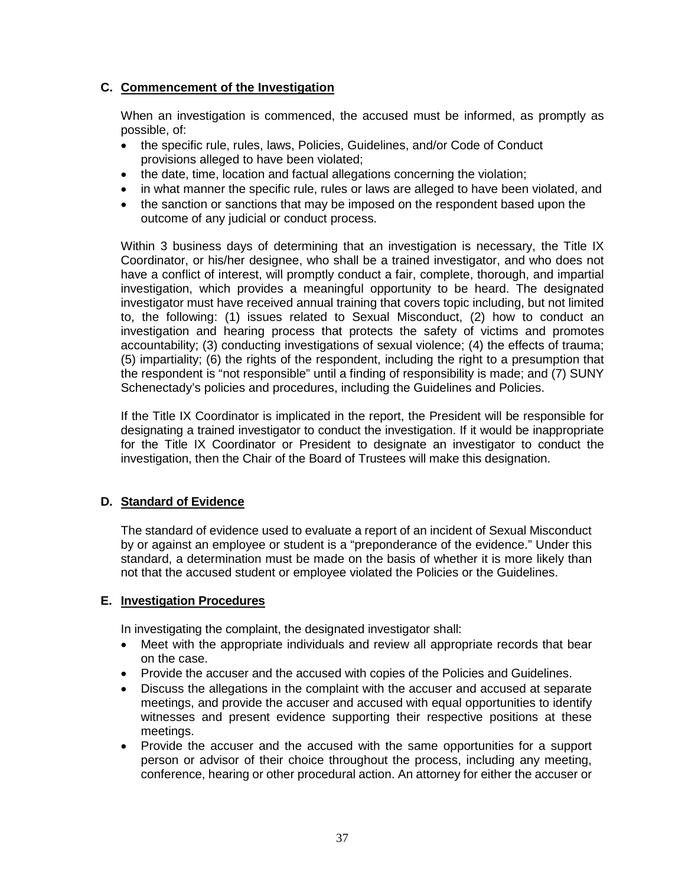# **C. Commencement of the Investigation**

When an investigation is commenced, the accused must be informed, as promptly as possible, of:

- the specific rule, rules, laws, Policies, Guidelines, and/or Code of Conduct provisions alleged to have been violated;
- the date, time, location and factual allegations concerning the violation;
- in what manner the specific rule, rules or laws are alleged to have been violated, and
- the sanction or sanctions that may be imposed on the respondent based upon the outcome of any judicial or conduct process.

 Within 3 business days of determining that an investigation is necessary, the Title IX accountability; (3) conducting investigations of sexual violence; (4) the effects of trauma; (5) impartiality; (6) the rights of the respondent, including the right to a presumption that the respondent is "not responsible" until a finding of responsibility is made; and (7) SUNY Coordinator, or his/her designee, who shall be a trained investigator, and who does not have a conflict of interest, will promptly conduct a fair, complete, thorough, and impartial investigation, which provides a meaningful opportunity to be heard. The designated investigator must have received annual training that covers topic including, but not limited to, the following: (1) issues related to Sexual Misconduct, (2) how to conduct an investigation and hearing process that protects the safety of victims and promotes Schenectady's policies and procedures, including the Guidelines and Policies.

 designating a trained investigator to conduct the investigation. If it would be inappropriate If the Title IX Coordinator is implicated in the report, the President will be responsible for for the Title IX Coordinator or President to designate an investigator to conduct the investigation, then the Chair of the Board of Trustees will make this designation.

# **D. Standard of Evidence**

 by or against an employee or student is a "preponderance of the evidence." Under this The standard of evidence used to evaluate a report of an incident of Sexual Misconduct standard, a determination must be made on the basis of whether it is more likely than not that the accused student or employee violated the Policies or the Guidelines.

# **E. Investigation Procedures**

In investigating the complaint, the designated investigator shall:

- • Meet with the appropriate individuals and review all appropriate records that bear on the case.
- Provide the accuser and the accused with copies of the Policies and Guidelines.
- • Discuss the allegations in the complaint with the accuser and accused at separate meetings, and provide the accuser and accused with equal opportunities to identify witnesses and present evidence supporting their respective positions at these meetings.
- • Provide the accuser and the accused with the same opportunities for a support person or advisor of their choice throughout the process, including any meeting, conference, hearing or other procedural action. An attorney for either the accuser or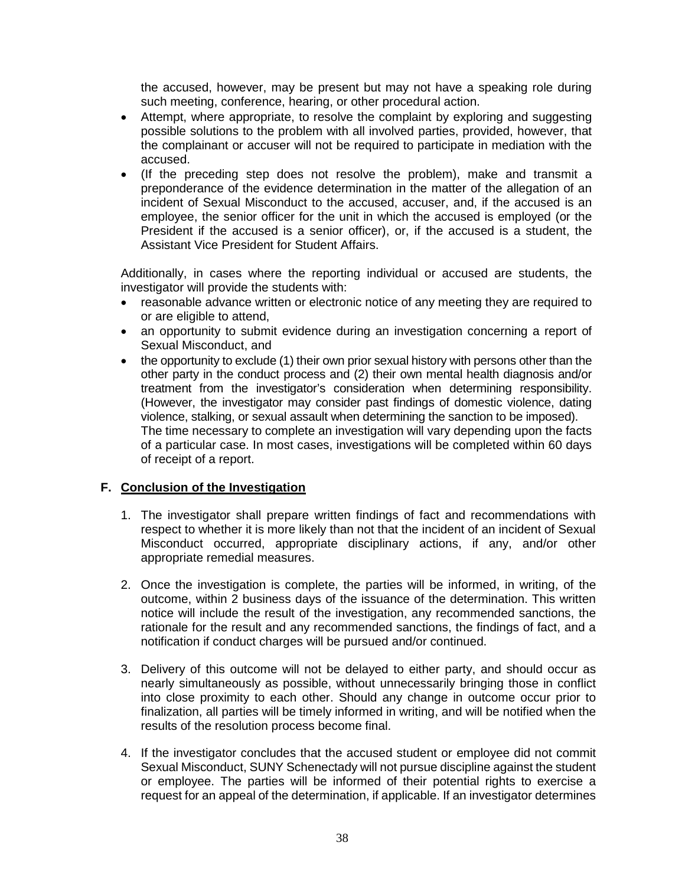the accused, however, may be present but may not have a speaking role during such meeting, conference, hearing, or other procedural action.

- possible solutions to the problem with all involved parties, provided, however, that • Attempt, where appropriate, to resolve the complaint by exploring and suggesting the complainant or accuser will not be required to participate in mediation with the accused.
- • (If the preceding step does not resolve the problem), make and transmit a incident of Sexual Misconduct to the accused, accuser, and, if the accused is an employee, the senior officer for the unit in which the accused is employed (or the preponderance of the evidence determination in the matter of the allegation of an President if the accused is a senior officer), or, if the accused is a student, the Assistant Vice President for Student Affairs.

 Additionally, in cases where the reporting individual or accused are students, the investigator will provide the students with:<br>• reasonable advance written or electron

- reasonable advance written or electronic notice of any meeting they are required to or are eligible to attend,
- an opportunity to submit evidence during an investigation concerning a report of Sexual Misconduct, and
- • the opportunity to exclude (1) their own prior sexual history with persons other than the other party in the conduct process and (2) their own mental health diagnosis and/or (However, the investigator may consider past findings of domestic violence, dating of a particular case. In most cases, investigations will be completed within 60 days treatment from the investigator's consideration when determining responsibility. violence, stalking, or sexual assault when determining the sanction to be imposed). The time necessary to complete an investigation will vary depending upon the facts of receipt of a report.

# **F. Conclusion of the Investigation**

- 1. The investigator shall prepare written findings of fact and recommendations with respect to whether it is more likely than not that the incident of an incident of Sexual Misconduct occurred, appropriate disciplinary actions, if any, and/or other appropriate remedial measures.
- 2. Once the investigation is complete, the parties will be informed, in writing, of the notice will include the result of the investigation, any recommended sanctions, the rationale for the result and any recommended sanctions, the findings of fact, and a outcome, within 2 business days of the issuance of the determination. This written notification if conduct charges will be pursued and/or continued.
- nearly simultaneously as possible, without unnecessarily bringing those in conflict into close proximity to each other. Should any change in outcome occur prior to 3. Delivery of this outcome will not be delayed to either party, and should occur as finalization, all parties will be timely informed in writing, and will be notified when the results of the resolution process become final.
- or employee. The parties will be informed of their potential rights to exercise a 4. If the investigator concludes that the accused student or employee did not commit Sexual Misconduct, SUNY Schenectady will not pursue discipline against the student request for an appeal of the determination, if applicable. If an investigator determines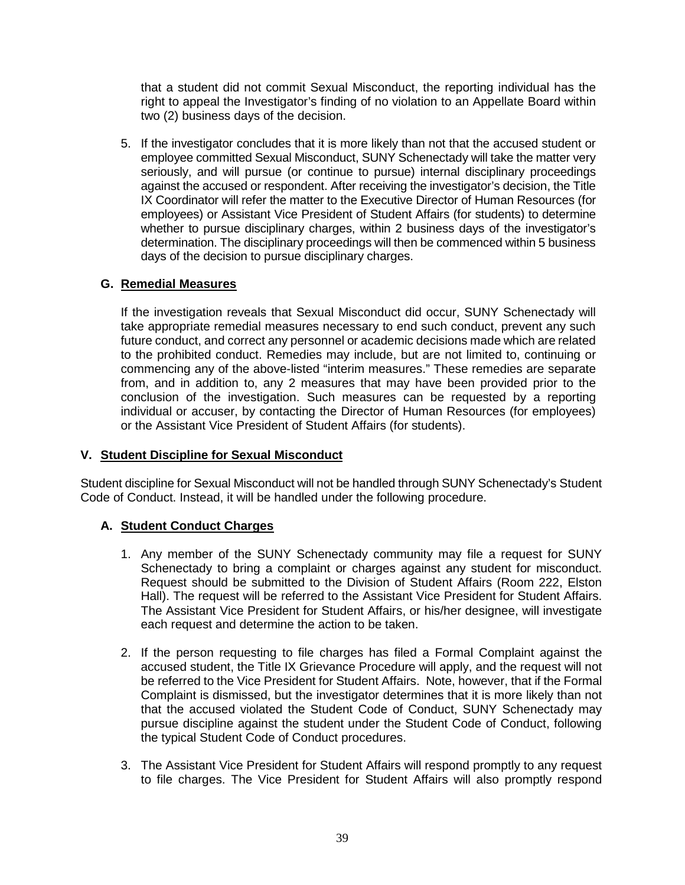<span id="page-39-0"></span> that a student did not commit Sexual Misconduct, the reporting individual has the right to appeal the Investigator's finding of no violation to an Appellate Board within two (2) business days of the decision.

 5. If the investigator concludes that it is more likely than not that the accused student or employees) or Assistant Vice President of Student Affairs (for students) to determine whether to pursue disciplinary charges, within 2 business days of the investigator's employee committed Sexual Misconduct, SUNY Schenectady will take the matter very seriously, and will pursue (or continue to pursue) internal disciplinary proceedings against the accused or respondent. After receiving the investigator's decision, the Title IX Coordinator will refer the matter to the Executive Director of Human Resources (for determination. The disciplinary proceedings will then be commenced within 5 business days of the decision to pursue disciplinary charges.

# **G. Remedial Measures**

 If the investigation reveals that Sexual Misconduct did occur, SUNY Schenectady will future conduct, and correct any personnel or academic decisions made which are related to the prohibited conduct. Remedies may include, but are not limited to, continuing or commencing any of the above-listed "interim measures." These remedies are separate from, and in addition to, any 2 measures that may have been provided prior to the take appropriate remedial measures necessary to end such conduct, prevent any such conclusion of the investigation. Such measures can be requested by a reporting individual or accuser, by contacting the Director of Human Resources (for employees) or the Assistant Vice President of Student Affairs (for students).

# **V. Student Discipline for Sexual Misconduct**

 Code of Conduct. Instead, it will be handled under the following procedure. Student discipline for Sexual Misconduct will not be handled through SUNY Schenectady's Student

# **A. Student Conduct Charges**

- 1. Any member of the SUNY Schenectady community may file a request for SUNY Schenectady to bring a complaint or charges against any student for misconduct. Request should be submitted to the Division of Student Affairs (Room 222, Elston Hall). The request will be referred to the Assistant Vice President for Student Affairs. each request and determine the action to be taken. The Assistant Vice President for Student Affairs, or his/her designee, will investigate
- 2. If the person requesting to file charges has filed a Formal Complaint against the accused student, the Title IX Grievance Procedure will apply, and the request will not be referred to the Vice President for Student Affairs. Note, however, that if the Formal Complaint is dismissed, but the investigator determines that it is more likely than not that the accused violated the Student Code of Conduct, SUNY Schenectady may pursue discipline against the student under the Student Code of Conduct, following the typical Student Code of Conduct procedures.
- 3. The Assistant Vice President for Student Affairs will respond promptly to any request to file charges. The Vice President for Student Affairs will also promptly respond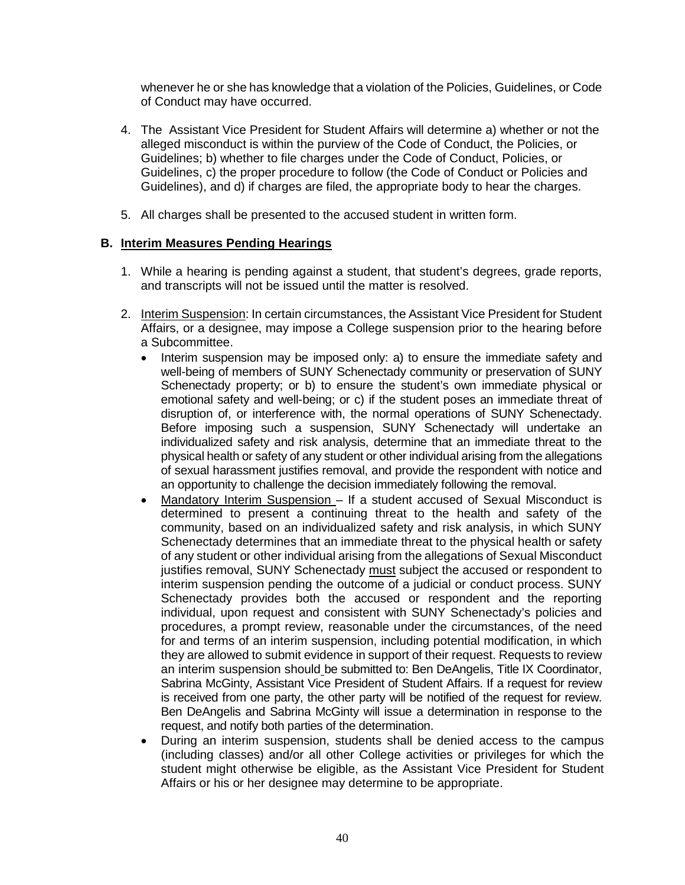whenever he or she has knowledge that a violation of the Policies, Guidelines, or Code of Conduct may have occurred.

- 4. The Assistant Vice President for Student Affairs will determine a) whether or not the alleged misconduct is within the purview of the Code of Conduct, the Policies, or Guidelines; b) whether to file charges under the Code of Conduct, Policies, or Guidelines, c) the proper procedure to follow (the Code of Conduct or Policies and Guidelines), and d) if charges are filed, the appropriate body to hear the charges.
- 5. All charges shall be presented to the accused student in written form.

# **B. Interim Measures Pending Hearings**

- 1. While a hearing is pending against a student, that student's degrees, grade reports, and transcripts will not be issued until the matter is resolved.
- 2. Interim Suspension: In certain circumstances, the Assistant Vice President for Student Affairs, or a designee, may impose a College suspension prior to the hearing before a Subcommittee.
	- • Interim suspension may be imposed only: a) to ensure the immediate safety and well-being of members of SUNY Schenectady community or preservation of SUNY Schenectady property; or b) to ensure the student's own immediate physical or emotional safety and well-being; or c) if the student poses an immediate threat of Before imposing such a suspension, SUNY Schenectady will undertake an physical health or safety of any student or other individual arising from the allegations of sexual harassment justifies removal, and provide the respondent with notice and disruption of, or interference with, the normal operations of SUNY Schenectady. individualized safety and risk analysis, determine that an immediate threat to the an opportunity to challenge the decision immediately following the removal.
	- Schenectady determines that an immediate threat to the physical health or safety of any student or other individual arising from the allegations of Sexual Misconduct justifies removal, SUNY Schenectady must subject the accused or respondent to interim suspension pending the outcome of a judicial or conduct process. SUNY Schenectady provides both the accused or respondent and the reporting procedures, a prompt review, reasonable under the circumstances, of the need for and terms of an interim suspension, including potential modification, in which Sabrina McGinty, Assistant Vice President of Student Affairs. If a request for review is received from one party, the other party will be notified of the request for review. Ben DeAngelis and Sabrina McGinty will issue a determination in response to the • Mandatory Interim Suspension – If a student accused of Sexual Misconduct is determined to present a continuing threat to the health and safety of the community, based on an individualized safety and risk analysis, in which SUNY individual, upon request and consistent with SUNY Schenectady's policies and they are allowed to submit evidence in support of their request. Requests to review an interim suspension should be submitted to: Ben DeAngelis, Title IX Coordinator, request, and notify both parties of the determination.
	- student might otherwise be eligible, as the Assistant Vice President for Student • During an interim suspension, students shall be denied access to the campus (including classes) and/or all other College activities or privileges for which the Affairs or his or her designee may determine to be appropriate.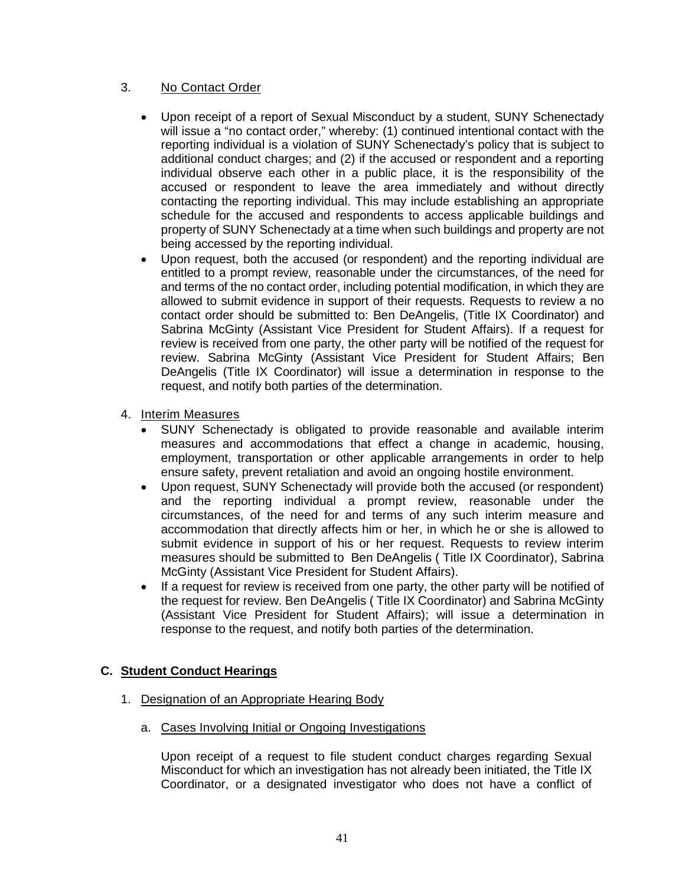# 3. No Contact Order

- • Upon receipt of a report of Sexual Misconduct by a student, SUNY Schenectady will issue a "no contact order," whereby: (1) continued intentional contact with the accused or respondent to leave the area immediately and without directly schedule for the accused and respondents to access applicable buildings and reporting individual is a violation of SUNY Schenectady's policy that is subject to additional conduct charges; and (2) if the accused or respondent and a reporting individual observe each other in a public place, it is the responsibility of the contacting the reporting individual. This may include establishing an appropriate property of SUNY Schenectady at a time when such buildings and property are not being accessed by the reporting individual.
- and terms of the no contact order, including potential modification, in which they are contact order should be submitted to: Ben DeAngelis, (Title IX Coordinator) and review is received from one party, the other party will be notified of the request for • Upon request, both the accused (or respondent) and the reporting individual are entitled to a prompt review, reasonable under the circumstances, of the need for allowed to submit evidence in support of their requests. Requests to review a no Sabrina McGinty (Assistant Vice President for Student Affairs). If a request for review. Sabrina McGinty (Assistant Vice President for Student Affairs; Ben DeAngelis (Title IX Coordinator) will issue a determination in response to the request, and notify both parties of the determination.
- 4. Interim Measures
	- • SUNY Schenectady is obligated to provide reasonable and available interim measures and accommodations that effect a change in academic, housing, employment, transportation or other applicable arrangements in order to help ensure safety, prevent retaliation and avoid an ongoing hostile environment.
	- accommodation that directly affects him or her, in which he or she is allowed to submit evidence in support of his or her request. Requests to review interim • Upon request, SUNY Schenectady will provide both the accused (or respondent) and the reporting individual a prompt review, reasonable under the circumstances, of the need for and terms of any such interim measure and measures should be submitted to Ben DeAngelis ( Title IX Coordinator), Sabrina McGinty (Assistant Vice President for Student Affairs).
	- • If a request for review is received from one party, the other party will be notified of the request for review. Ben DeAngelis ( Title IX Coordinator) and Sabrina McGinty (Assistant Vice President for Student Affairs); will issue a determination in response to the request, and notify both parties of the determination.

# **C. Student Conduct Hearings**

- 1. Designation of an Appropriate Hearing Body
	- a. Cases Involving Initial or Ongoing Investigations

 Upon receipt of a request to file student conduct charges regarding Sexual Coordinator, or a designated investigator who does not have a conflict of Misconduct for which an investigation has not already been initiated, the Title IX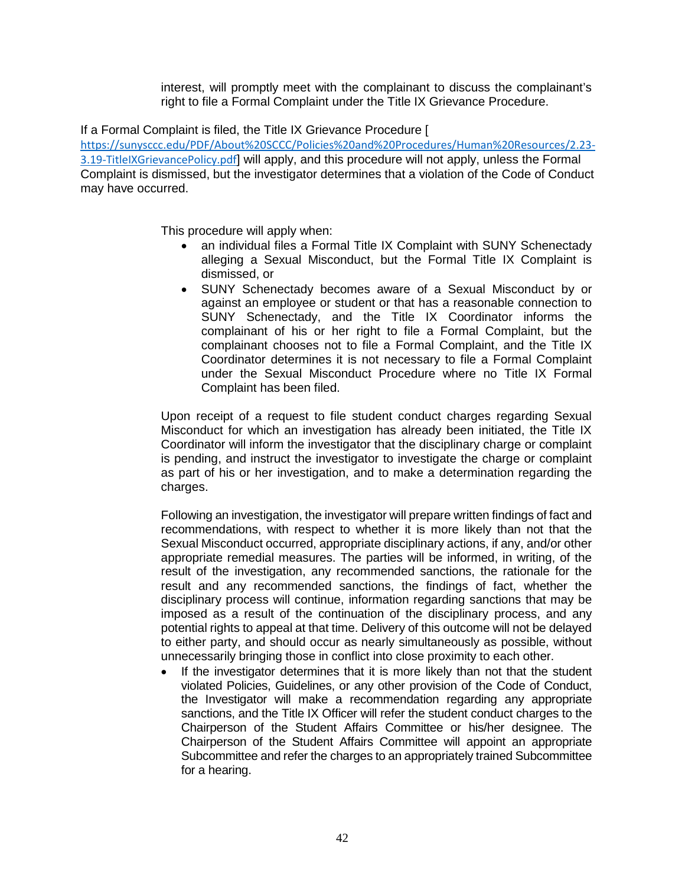interest, will promptly meet with the complainant to discuss the complainant's

right to file a Formal Complaint under the Title IX Grievance Procedure. If a Formal Complaint is filed, the Title IX Grievance Procedure [

 Complaint is dismissed, but the investigator determines that a violation of the Code of Conduct may have occurred. [https://sunysccc.edu/PDF/About%20SCCC/Policies%20and%20Procedures/Human%20Resources/2.23-](https://sunysccc.edu/PDF/About%20SCCC/Policies%20and%20Procedures/Human%20Resources/2.23-3.19-TitleIXGrievancePolicy.pdf) [3.19-TitleIXGrievancePolicy.pdf](https://sunysccc.edu/PDF/About%20SCCC/Policies%20and%20Procedures/Human%20Resources/2.23-3.19-TitleIXGrievancePolicy.pdf)] will apply, and this procedure will not apply, unless the Formal

This procedure will apply when:

- • an individual files a Formal Title IX Complaint with SUNY Schenectady alleging a Sexual Misconduct, but the Formal Title IX Complaint is dismissed, or
- • SUNY Schenectady becomes aware of a Sexual Misconduct by or against an employee or student or that has a reasonable connection to SUNY Schenectady, and the Title IX Coordinator informs the complainant of his or her right to file a Formal Complaint, but the complainant chooses not to file a Formal Complaint, and the Title IX Coordinator determines it is not necessary to file a Formal Complaint under the Sexual Misconduct Procedure where no Title IX Formal Complaint has been filed.

 Upon receipt of a request to file student conduct charges regarding Sexual Coordinator will inform the investigator that the disciplinary charge or complaint as part of his or her investigation, and to make a determination regarding the Misconduct for which an investigation has already been initiated, the Title IX is pending, and instruct the investigator to investigate the charge or complaint charges.

 Following an investigation, the investigator will prepare written findings of fact and recommendations, with respect to whether it is more likely than not that the Sexual Misconduct occurred, appropriate disciplinary actions, if any, and/or other appropriate remedial measures. The parties will be informed, in writing, of the result of the investigation, any recommended sanctions, the rationale for the result and any recommended sanctions, the findings of fact, whether the disciplinary process will continue, information regarding sanctions that may be imposed as a result of the continuation of the disciplinary process, and any potential rights to appeal at that time. Delivery of this outcome will not be delayed to either party, and should occur as nearly simultaneously as possible, without unnecessarily bringing those in conflict into close proximity to each other.

 • If the investigator determines that it is more likely than not that the student violated Policies, Guidelines, or any other provision of the Code of Conduct, the Investigator will make a recommendation regarding any appropriate sanctions, and the Title IX Officer will refer the student conduct charges to the Chairperson of the Student Affairs Committee or his/her designee. The Chairperson of the Student Affairs Committee will appoint an appropriate Subcommittee and refer the charges to an appropriately trained Subcommittee for a hearing.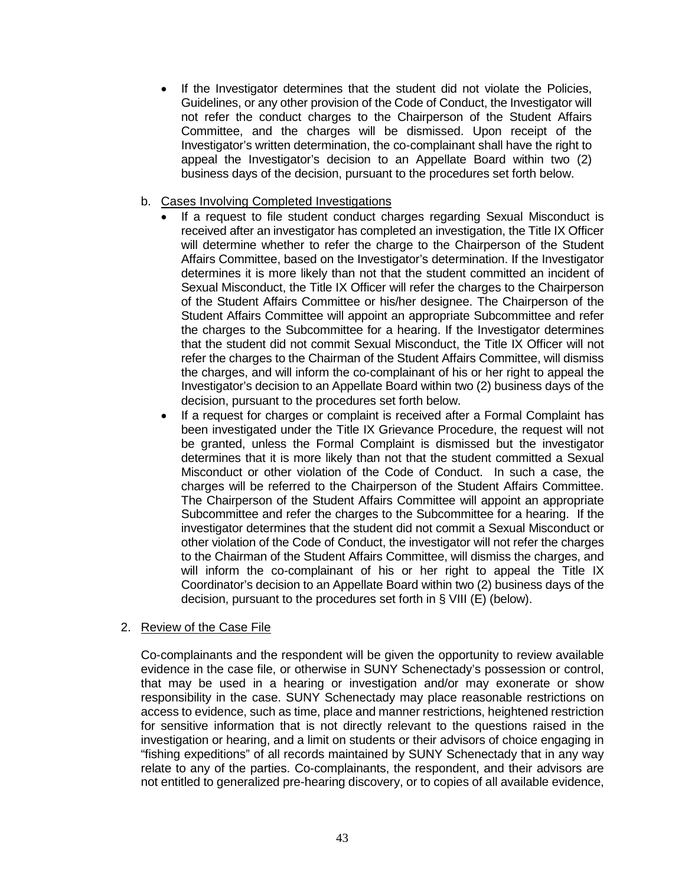• If the Investigator determines that the student did not violate the Policies, Guidelines, or any other provision of the Code of Conduct, the Investigator will not refer the conduct charges to the Chairperson of the Student Affairs Committee, and the charges will be dismissed. Upon receipt of the Investigator's written determination, the co-complainant shall have the right to appeal the Investigator's decision to an Appellate Board within two (2) business days of the decision, pursuant to the procedures set forth below.

# b. Cases Involving Completed Investigations

- • If a request to file student conduct charges regarding Sexual Misconduct is received after an investigator has completed an investigation, the Title IX Officer the charges to the Subcommittee for a hearing. If the Investigator determines the charges, and will inform the co-complainant of his or her right to appeal the will determine whether to refer the charge to the Chairperson of the Student Affairs Committee, based on the Investigator's determination. If the Investigator determines it is more likely than not that the student committed an incident of Sexual Misconduct, the Title IX Officer will refer the charges to the Chairperson of the Student Affairs Committee or his/her designee. The Chairperson of the Student Affairs Committee will appoint an appropriate Subcommittee and refer that the student did not commit Sexual Misconduct, the Title IX Officer will not refer the charges to the Chairman of the Student Affairs Committee, will dismiss Investigator's decision to an Appellate Board within two (2) business days of the decision, pursuant to the procedures set forth below.
- • If a request for charges or complaint is received after a Formal Complaint has determines that it is more likely than not that the student committed a Sexual Misconduct or other violation of the Code of Conduct. In such a case, the charges will be referred to the Chairperson of the Student Affairs Committee. Subcommittee and refer the charges to the Subcommittee for a hearing. If the will inform the co-complainant of his or her right to appeal the Title IX Coordinator's decision to an Appellate Board within two (2) business days of the been investigated under the Title IX Grievance Procedure, the request will not be granted, unless the Formal Complaint is dismissed but the investigator The Chairperson of the Student Affairs Committee will appoint an appropriate investigator determines that the student did not commit a Sexual Misconduct or other violation of the Code of Conduct, the investigator will not refer the charges to the Chairman of the Student Affairs Committee, will dismiss the charges, and decision, pursuant to the procedures set forth in § VIII (E) (below).

#### 2. Review of the Case File

 Co-complainants and the respondent will be given the opportunity to review available evidence in the case file, or otherwise in SUNY Schenectady's possession or control, that may be used in a hearing or investigation and/or may exonerate or show responsibility in the case. SUNY Schenectady may place reasonable restrictions on for sensitive information that is not directly relevant to the questions raised in the investigation or hearing, and a limit on students or their advisors of choice engaging in "fishing expeditions" of all records maintained by SUNY Schenectady that in any way not entitled to generalized pre-hearing discovery, or to copies of all available evidence, access to evidence, such as time, place and manner restrictions, heightened restriction relate to any of the parties. Co-complainants, the respondent, and their advisors are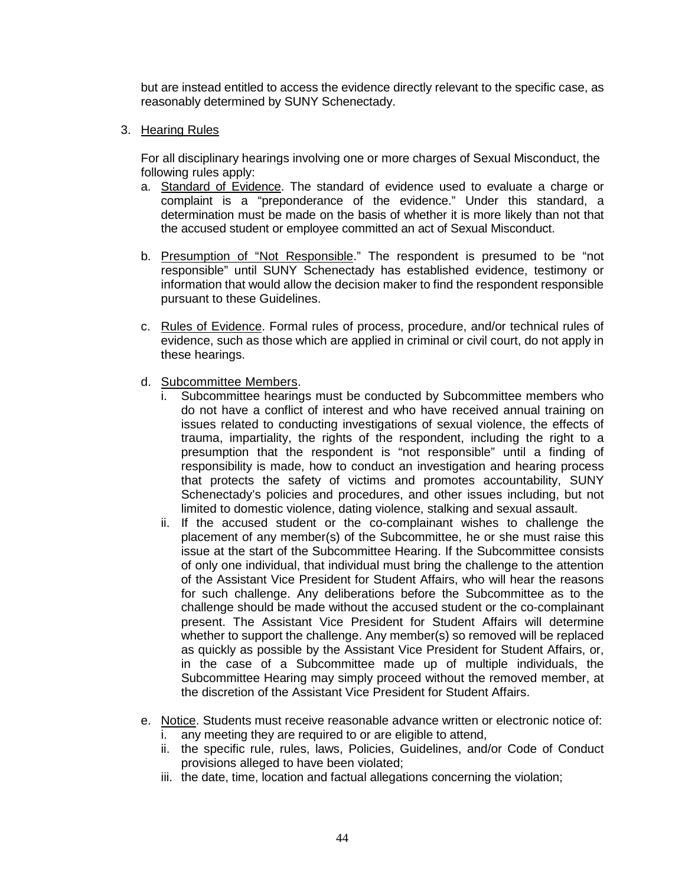but are instead entitled to access the evidence directly relevant to the specific case, as reasonably determined by SUNY Schenectady.

3. Hearing Rules

 For all disciplinary hearings involving one or more charges of Sexual Misconduct, the following rules apply:

- a. Standard of Evidence. The standard of evidence used to evaluate a charge or complaint is a "preponderance of the evidence." Under this standard, a determination must be made on the basis of whether it is more likely than not that the accused student or employee committed an act of Sexual Misconduct.
- information that would allow the decision maker to find the respondent responsible b. Presumption of "Not Responsible." The respondent is presumed to be "not responsible" until SUNY Schenectady has established evidence, testimony or pursuant to these Guidelines.
- c. Rules of Evidence. Formal rules of process, procedure, and/or technical rules of evidence, such as those which are applied in criminal or civil court, do not apply in these hearings.
- d. Subcommittee Members.
	- i. Subcommittee hearings must be conducted by Subcommittee members who do not have a conflict of interest and who have received annual training on issues related to conducting investigations of sexual violence, the effects of trauma, impartiality, the rights of the respondent, including the right to a presumption that the respondent is "not responsible" until a finding of responsibility is made, how to conduct an investigation and hearing process that protects the safety of victims and promotes accountability, SUNY Schenectady's policies and procedures, and other issues including, but not limited to domestic violence, dating violence, stalking and sexual assault.
	- placement of any member(s) of the Subcommittee, he or she must raise this of only one individual, that individual must bring the challenge to the attention for such challenge. Any deliberations before the Subcommittee as to the challenge should be made without the accused student or the co-complainant present. The Assistant Vice President for Student Affairs will determine ii. If the accused student or the co-complainant wishes to challenge the issue at the start of the Subcommittee Hearing. If the Subcommittee consists of the Assistant Vice President for Student Affairs, who will hear the reasons whether to support the challenge. Any member(s) so removed will be replaced as quickly as possible by the Assistant Vice President for Student Affairs, or, in the case of a Subcommittee made up of multiple individuals, the Subcommittee Hearing may simply proceed without the removed member, at the discretion of the Assistant Vice President for Student Affairs.
- e. Notice. Students must receive reasonable advance written or electronic notice of: i. any meeting they are required to or are eligible to attend,
	- ii. the specific rule, rules, laws, Policies, Guidelines, and/or Code of Conduct provisions alleged to have been violated;
	- iii. the date, time, location and factual allegations concerning the violation;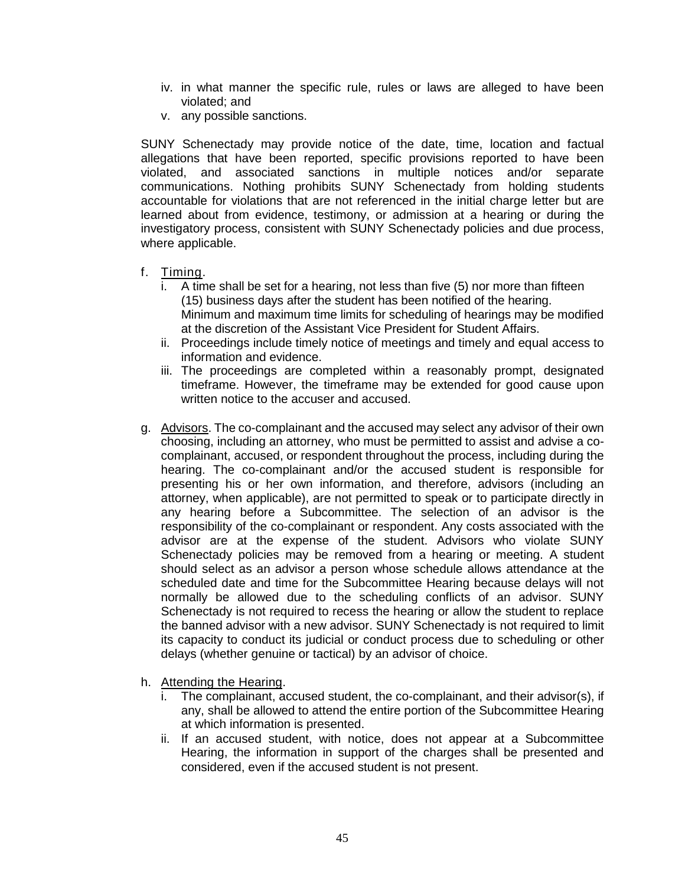- iv. in what manner the specific rule, rules or laws are alleged to have been violated; and
- v. any possible sanctions.

 allegations that have been reported, specific provisions reported to have been violated, and associated sanctions in multiple notices and/or separate accountable for violations that are not referenced in the initial charge letter but are SUNY Schenectady may provide notice of the date, time, location and factual communications. Nothing prohibits SUNY Schenectady from holding students learned about from evidence, testimony, or admission at a hearing or during the investigatory process, consistent with SUNY Schenectady policies and due process, where applicable.

- f. Timing.
	- i. A time shall be set for a hearing, not less than five (5) nor more than fifteen (15) business days after the student has been notified of the hearing. Minimum and maximum time limits for scheduling of hearings may be modified at the discretion of the Assistant Vice President for Student Affairs.
	- ii. Proceedings include timely notice of meetings and timely and equal access to information and evidence.
	- iii. The proceedings are completed within a reasonably prompt, designated timeframe. However, the timeframe may be extended for good cause upon written notice to the accuser and accused.
- g. Advisors. The co-complainant and the accused may select any advisor of their own hearing. The co-complainant and/or the accused student is responsible for responsibility of the co-complainant or respondent. Any costs associated with the Schenectady policies may be removed from a hearing or meeting. A student should select as an advisor a person whose schedule allows attendance at the scheduled date and time for the Subcommittee Hearing because delays will not Schenectady is not required to recess the hearing or allow the student to replace its capacity to conduct its judicial or conduct process due to scheduling or other choosing, including an attorney, who must be permitted to assist and advise a cocomplainant, accused, or respondent throughout the process, including during the presenting his or her own information, and therefore, advisors (including an attorney, when applicable), are not permitted to speak or to participate directly in any hearing before a Subcommittee. The selection of an advisor is the advisor are at the expense of the student. Advisors who violate SUNY normally be allowed due to the scheduling conflicts of an advisor. SUNY the banned advisor with a new advisor. SUNY Schenectady is not required to limit delays (whether genuine or tactical) by an advisor of choice.
- h. Attending the Hearing.
	- The complainant, accused student, the co-complainant, and their advisor(s), if any, shall be allowed to attend the entire portion of the Subcommittee Hearing at which information is presented.
	- Hearing, the information in support of the charges shall be presented and ii. If an accused student, with notice, does not appear at a Subcommittee considered, even if the accused student is not present.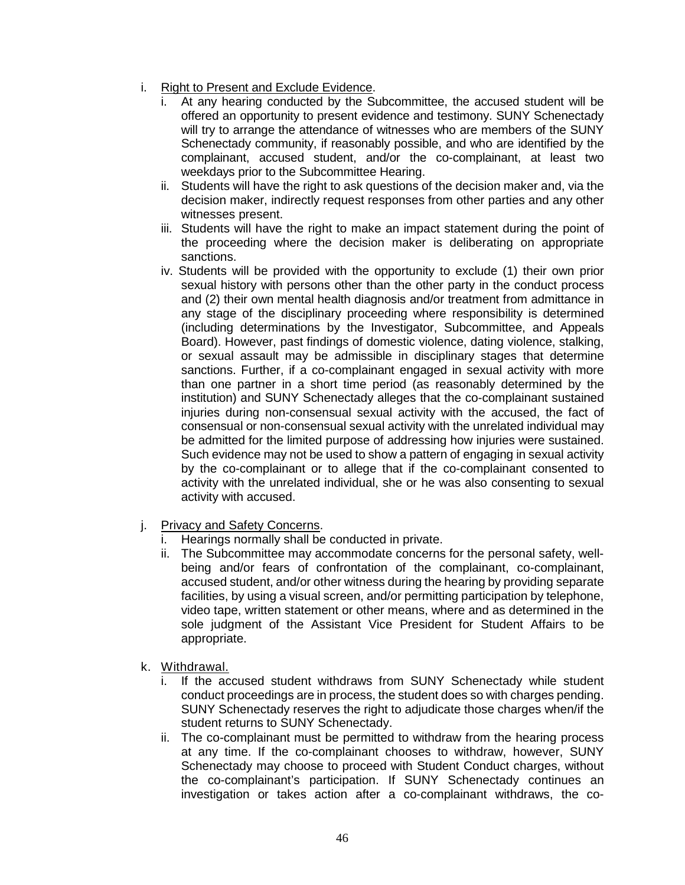- i. Right to Present and Exclude Evidence.
	- will try to arrange the attendance of witnesses who are members of the SUNY Schenectady community, if reasonably possible, and who are identified by the i. At any hearing conducted by the Subcommittee, the accused student will be offered an opportunity to present evidence and testimony. SUNY Schenectady complainant, accused student, and/or the co-complainant, at least two weekdays prior to the Subcommittee Hearing.
	- ii. Students will have the right to ask questions of the decision maker and, via the decision maker, indirectly request responses from other parties and any other witnesses present.
	- iii. Students will have the right to make an impact statement during the point of the proceeding where the decision maker is deliberating on appropriate sanctions.
	- iv. Students will be provided with the opportunity to exclude (1) their own prior and (2) their own mental health diagnosis and/or treatment from admittance in any stage of the disciplinary proceeding where responsibility is determined Board). However, past findings of domestic violence, dating violence, stalking, than one partner in a short time period (as reasonably determined by the injuries during non-consensual sexual activity with the accused, the fact of be admitted for the limited purpose of addressing how injuries were sustained. sexual history with persons other than the other party in the conduct process (including determinations by the Investigator, Subcommittee, and Appeals or sexual assault may be admissible in disciplinary stages that determine sanctions. Further, if a co-complainant engaged in sexual activity with more institution) and SUNY Schenectady alleges that the co-complainant sustained consensual or non-consensual sexual activity with the unrelated individual may Such evidence may not be used to show a pattern of engaging in sexual activity by the co-complainant or to allege that if the co-complainant consented to activity with the unrelated individual, she or he was also consenting to sexual activity with accused.
- j. Privacy and Safety Concerns.
	- i. Hearings normally shall be conducted in private.
	- accused student, and/or other witness during the hearing by providing separate ii. The Subcommittee may accommodate concerns for the personal safety, wellbeing and/or fears of confrontation of the complainant, co-complainant, facilities, by using a visual screen, and/or permitting participation by telephone, video tape, written statement or other means, where and as determined in the sole judgment of the Assistant Vice President for Student Affairs to be appropriate.
- k. Withdrawal.
	- i. If the accused student withdraws from SUNY Schenectady while student conduct proceedings are in process, the student does so with charges pending. SUNY Schenectady reserves the right to adjudicate those charges when/if the student returns to SUNY Schenectady.
	- at any time. If the co-complainant chooses to withdraw, however, SUNY the co-complainant's participation. If SUNY Schenectady continues an investigation or takes action after a co-complainant withdraws, the coii. The co-complainant must be permitted to withdraw from the hearing process Schenectady may choose to proceed with Student Conduct charges, without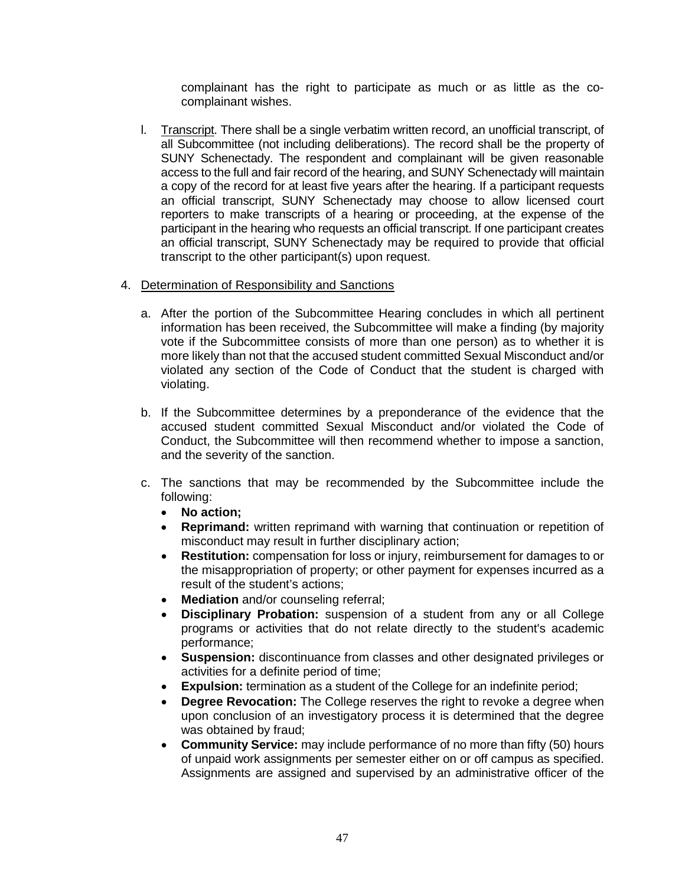complainant has the right to participate as much or as little as the cocomplainant wishes.

l. Transcript. There shall be a single verbatim written record, an unofficial transcript, of SUNY Schenectady. The respondent and complainant will be given reasonable access to the full and fair record of the hearing, and SUNY Schenectady will maintain a copy of the record for at least five years after the hearing. If a participant requests an official transcript, SUNY Schenectady may choose to allow licensed court reporters to make transcripts of a hearing or proceeding, at the expense of the participant in the hearing who requests an official transcript. If one participant creates an official transcript, SUNY Schenectady may be required to provide that official all Subcommittee (not including deliberations). The record shall be the property of transcript to the other participant(s) upon request.

#### 4. Determination of Responsibility and Sanctions

- information has been received, the Subcommittee will make a finding (by majority vote if the Subcommittee consists of more than one person) as to whether it is violated any section of the Code of Conduct that the student is charged with a. After the portion of the Subcommittee Hearing concludes in which all pertinent more likely than not that the accused student committed Sexual Misconduct and/or violating.
- b. If the Subcommittee determines by a preponderance of the evidence that the accused student committed Sexual Misconduct and/or violated the Code of Conduct, the Subcommittee will then recommend whether to impose a sanction, and the severity of the sanction.
- c. The sanctions that may be recommended by the Subcommittee include the following:
	- **No action;**
	- • **Reprimand:** written reprimand with warning that continuation or repetition of misconduct may result in further disciplinary action;
	- the misappropriation of property; or other payment for expenses incurred as a • **Restitution:** compensation for loss or injury, reimbursement for damages to or result of the student's actions;
	- **Mediation** and/or counseling referral;
	- programs or activities that do not relate directly to the student's academic • **Disciplinary Probation:** suspension of a student from any or all College performance;
	- • **Suspension:** discontinuance from classes and other designated privileges or activities for a definite period of time;
	- **Expulsion:** termination as a student of the College for an indefinite period;
	- **Degree Revocation:** The College reserves the right to revoke a degree when upon conclusion of an investigatory process it is determined that the degree was obtained by fraud;
	- of unpaid work assignments per semester either on or off campus as specified. • **Community Service:** may include performance of no more than fifty (50) hours Assignments are assigned and supervised by an administrative officer of the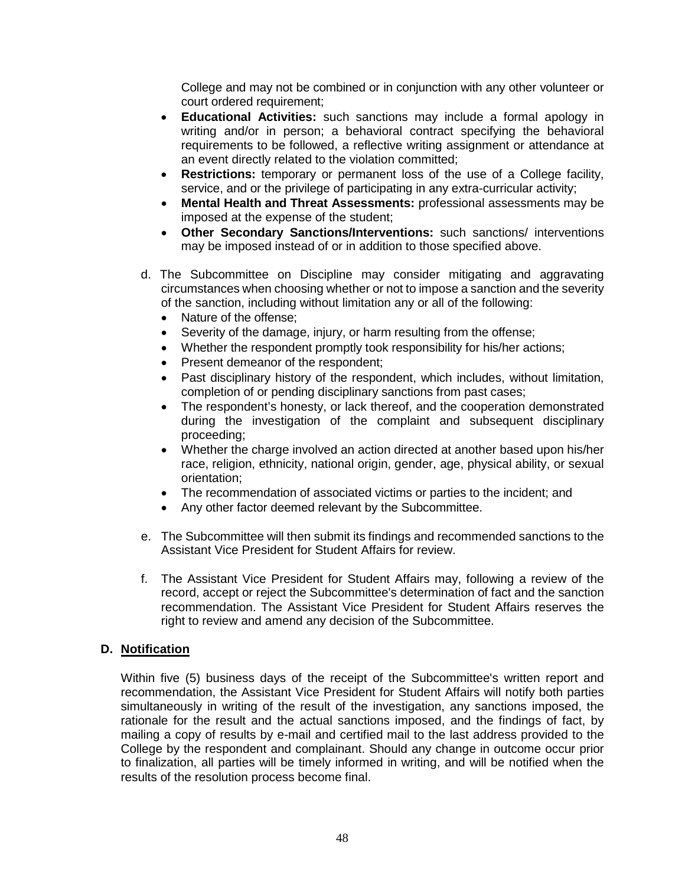College and may not be combined or in conjunction with any other volunteer or court ordered requirement;

- • **Educational Activities:** such sanctions may include a formal apology in writing and/or in person; a behavioral contract specifying the behavioral requirements to be followed, a reflective writing assignment or attendance at an event directly related to the violation committed;
- service, and or the privilege of participating in any extra-curricular activity; • **Restrictions:** temporary or permanent loss of the use of a College facility,
- **Mental Health and Threat Assessments:** professional assessments may be imposed at the expense of the student;
- **Other Secondary Sanctions/Interventions:** such sanctions/ interventions may be imposed instead of or in addition to those specified above.
- d. The Subcommittee on Discipline may consider mitigating and aggravating circumstances when choosing whether or not to impose a sanction and the severity of the sanction, including without limitation any or all of the following:
	- Nature of the offense:
	- Severity of the damage, injury, or harm resulting from the offense;
	- Whether the respondent promptly took responsibility for his/her actions;
	- Present demeanor of the respondent;
	- • Past disciplinary history of the respondent, which includes, without limitation, completion of or pending disciplinary sanctions from past cases;
	- • The respondent's honesty, or lack thereof, and the cooperation demonstrated during the investigation of the complaint and subsequent disciplinary proceeding;
	- race, religion, ethnicity, national origin, gender, age, physical ability, or sexual • Whether the charge involved an action directed at another based upon his/her orientation;
	- The recommendation of associated victims or parties to the incident; and
	- Any other factor deemed relevant by the Subcommittee.
- e. The Subcommittee will then submit its findings and recommended sanctions to the Assistant Vice President for Student Affairs for review.
- recommendation. The Assistant Vice President for Student Affairs reserves the f. The Assistant Vice President for Student Affairs may, following a review of the record, accept or reject the Subcommittee's determination of fact and the sanction right to review and amend any decision of the Subcommittee.

# **D. Notification**

 Within five (5) business days of the receipt of the Subcommittee's written report and simultaneously in writing of the result of the investigation, any sanctions imposed, the rationale for the result and the actual sanctions imposed, and the findings of fact, by recommendation, the Assistant Vice President for Student Affairs will notify both parties mailing a copy of results by e-mail and certified mail to the last address provided to the College by the respondent and complainant. Should any change in outcome occur prior to finalization, all parties will be timely informed in writing, and will be notified when the results of the resolution process become final.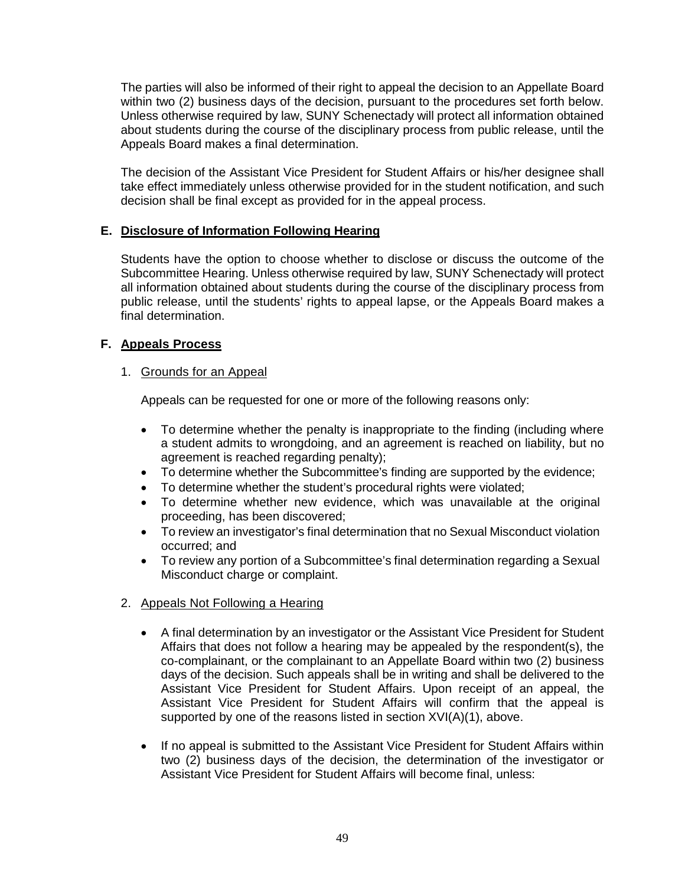about students during the course of the disciplinary process from public release, until the The parties will also be informed of their right to appeal the decision to an Appellate Board within two (2) business days of the decision, pursuant to the procedures set forth below. Unless otherwise required by law, SUNY Schenectady will protect all information obtained Appeals Board makes a final determination.

 The decision of the Assistant Vice President for Student Affairs or his/her designee shall take effect immediately unless otherwise provided for in the student notification, and such decision shall be final except as provided for in the appeal process.

# **E. Disclosure of Information Following Hearing**

 Students have the option to choose whether to disclose or discuss the outcome of the all information obtained about students during the course of the disciplinary process from public release, until the students' rights to appeal lapse, or the Appeals Board makes a Subcommittee Hearing. Unless otherwise required by law, SUNY Schenectady will protect final determination.

# **F. Appeals Process**

### 1. Grounds for an Appeal

Appeals can be requested for one or more of the following reasons only:

- To determine whether the penalty is inappropriate to the finding (including where a student admits to wrongdoing, and an agreement is reached on liability, but no agreement is reached regarding penalty);
- To determine whether the Subcommittee's finding are supported by the evidence;
- To determine whether the student's procedural rights were violated;
- • To determine whether new evidence, which was unavailable at the original proceeding, has been discovered;
- To review an investigator's final determination that no Sexual Misconduct violation occurred; and
- To review any portion of a Subcommittee's final determination regarding a Sexual Misconduct charge or complaint.
- 2. Appeals Not Following a Hearing
	- • A final determination by an investigator or the Assistant Vice President for Student co-complainant, or the complainant to an Appellate Board within two (2) business Assistant Vice President for Student Affairs. Upon receipt of an appeal, the Assistant Vice President for Student Affairs will confirm that the appeal is Affairs that does not follow a hearing may be appealed by the respondent(s), the days of the decision. Such appeals shall be in writing and shall be delivered to the supported by one of the reasons listed in section XVI(A)(1), above.
	- • If no appeal is submitted to the Assistant Vice President for Student Affairs within two (2) business days of the decision, the determination of the investigator or Assistant Vice President for Student Affairs will become final, unless: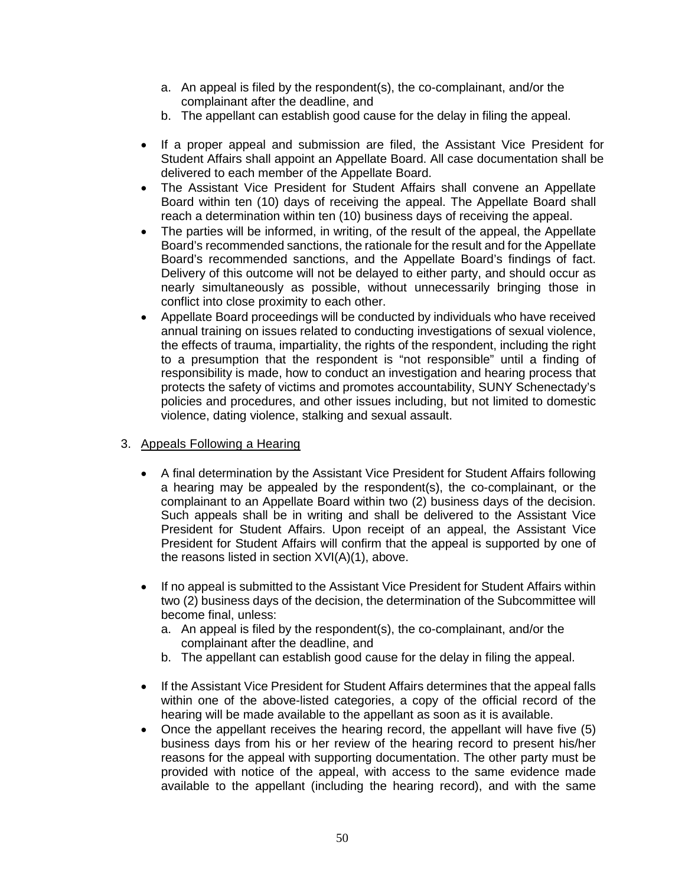- <span id="page-50-0"></span>a. An appeal is filed by the respondent(s), the co-complainant, and/or the complainant after the deadline, and
- b. The appellant can establish good cause for the delay in filing the appeal.
- Student Affairs shall appoint an Appellate Board. All case documentation shall be • If a proper appeal and submission are filed, the Assistant Vice President for delivered to each member of the Appellate Board.
- The Assistant Vice President for Student Affairs shall convene an Appellate Board within ten (10) days of receiving the appeal. The Appellate Board shall reach a determination within ten (10) business days of receiving the appeal.
- • The parties will be informed, in writing, of the result of the appeal, the Appellate Board's recommended sanctions, and the Appellate Board's findings of fact. Delivery of this outcome will not be delayed to either party, and should occur as nearly simultaneously as possible, without unnecessarily bringing those in Board's recommended sanctions, the rationale for the result and for the Appellate conflict into close proximity to each other.
- to a presumption that the respondent is "not responsible" until a finding of • Appellate Board proceedings will be conducted by individuals who have received annual training on issues related to conducting investigations of sexual violence, the effects of trauma, impartiality, the rights of the respondent, including the right responsibility is made, how to conduct an investigation and hearing process that protects the safety of victims and promotes accountability, SUNY Schenectady's policies and procedures, and other issues including, but not limited to domestic violence, dating violence, stalking and sexual assault.

# 3. Appeals Following a Hearing

- a hearing may be appealed by the respondent(s), the co-complainant, or the Such appeals shall be in writing and shall be delivered to the Assistant Vice President for Student Affairs. Upon receipt of an appeal, the Assistant Vice President for Student Affairs will confirm that the appeal is supported by one of • A final determination by the Assistant Vice President for Student Affairs following complainant to an Appellate Board within two (2) business days of the decision. the reasons listed in section XVI(A)(1), above.
- • If no appeal is submitted to the Assistant Vice President for Student Affairs within two (2) business days of the decision, the determination of the Subcommittee will become final, unless:
	- a. An appeal is filed by the respondent(s), the co-complainant, and/or the complainant after the deadline, and
	- b. The appellant can establish good cause for the delay in filing the appeal.
- • If the Assistant Vice President for Student Affairs determines that the appeal falls within one of the above-listed categories, a copy of the official record of the hearing will be made available to the appellant as soon as it is available.
- business days from his or her review of the hearing record to present his/her • Once the appellant receives the hearing record, the appellant will have five (5) reasons for the appeal with supporting documentation. The other party must be provided with notice of the appeal, with access to the same evidence made available to the appellant (including the hearing record), and with the same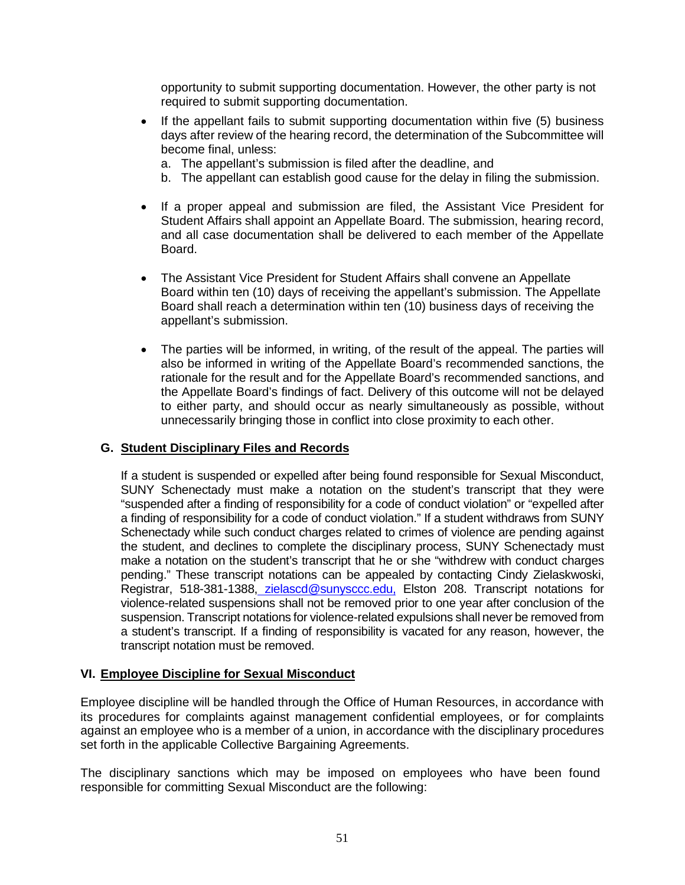<span id="page-51-0"></span> opportunity to submit supporting documentation. However, the other party is not required to submit supporting documentation.

- days after review of the hearing record, the determination of the Subcommittee will • If the appellant fails to submit supporting documentation within five (5) business become final, unless:
	- a. The appellant's submission is filed after the deadline, and
	- b. The appellant can establish good cause for the delay in filing the submission.
- Student Affairs shall appoint an Appellate Board. The submission, hearing record, • If a proper appeal and submission are filed, the Assistant Vice President for and all case documentation shall be delivered to each member of the Appellate Board.
- The Assistant Vice President for Student Affairs shall convene an Appellate Board within ten (10) days of receiving the appellant's submission. The Appellate Board shall reach a determination within ten (10) business days of receiving the appellant's submission.
- • The parties will be informed, in writing, of the result of the appeal. The parties will also be informed in writing of the Appellate Board's recommended sanctions, the rationale for the result and for the Appellate Board's recommended sanctions, and the Appellate Board's findings of fact. Delivery of this outcome will not be delayed to either party, and should occur as nearly simultaneously as possible, without unnecessarily bringing those in conflict into close proximity to each other.

# **G. Student Disciplinary Files and Records**

 If a student is suspended or expelled after being found responsible for Sexual Misconduct, SUNY Schenectady must make a notation on the student's transcript that they were "suspended after a finding of responsibility for a code of conduct violation" or "expelled after a finding of responsibility for a code of conduct violation." If a student withdraws from SUNY Schenectady while such conduct charges related to crimes of violence are pending against the student, and declines to complete the disciplinary process, SUNY Schenectady must make a notation on the student's transcript that he or she "withdrew with conduct charges violence-related suspensions shall not be removed prior to one year after conclusion of the a student's transcript. If a finding of responsibility is vacated for any reason, however, the pending." These transcript notations can be appealed by contacting Cindy Zielaskwoski, Registrar, 518-381-1388, [zielascd@sunysccc.edu,](mailto:zielascd@sunysccc.edu) Elston 208. Transcript notations for suspension. Transcript notations for violence-related expulsions shall never be removed from transcript notation must be removed.

# **VI. Employee Discipline for Sexual Misconduct**

 Employee discipline will be handled through the Office of Human Resources, in accordance with its procedures for complaints against management confidential employees, or for complaints against an employee who is a member of a union, in accordance with the disciplinary procedures set forth in the applicable Collective Bargaining Agreements.

The disciplinary sanctions which may be imposed on employees who have been found responsible for committing Sexual Misconduct are the following: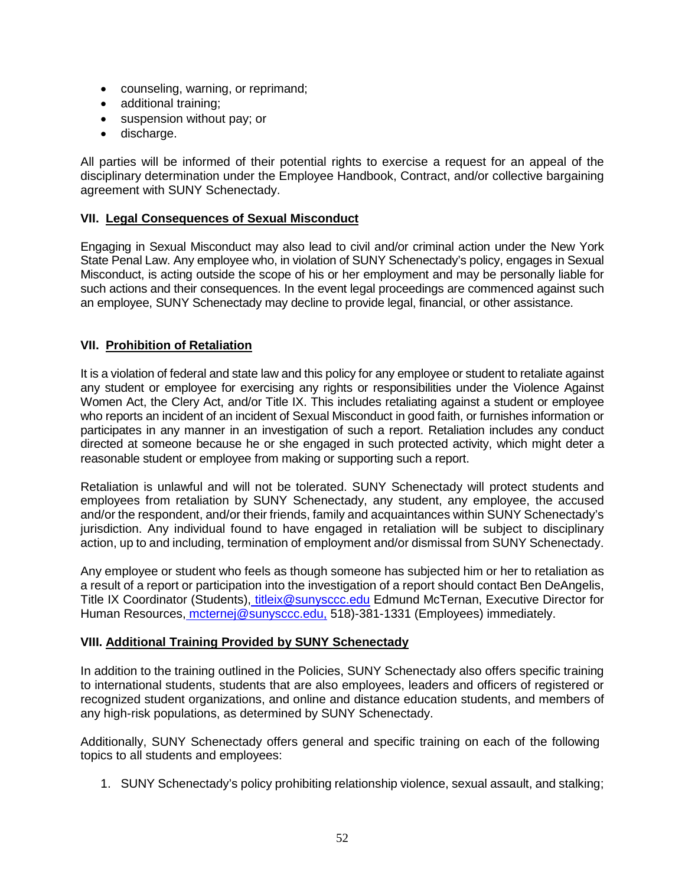- counseling, warning, or reprimand;
- additional training;
- suspension without pay; or
- discharge.

 All parties will be informed of their potential rights to exercise a request for an appeal of the disciplinary determination under the Employee Handbook, Contract, and/or collective bargaining agreement with SUNY Schenectady.

# **VII. Legal Consequences of Sexual Misconduct**

 Engaging in Sexual Misconduct may also lead to civil and/or criminal action under the New York State Penal Law. Any employee who, in violation of SUNY Schenectady's policy, engages in Sexual Misconduct, is acting outside the scope of his or her employment and may be personally liable for such actions and their consequences. In the event legal proceedings are commenced against such an employee, SUNY Schenectady may decline to provide legal, financial, or other assistance.

# **VII. Prohibition of Retaliation**

 It is a violation of federal and state law and this policy for any employee or student to retaliate against any student or employee for exercising any rights or responsibilities under the Violence Against Women Act, the Clery Act, and/or Title IX. This includes retaliating against a student or employee who reports an incident of an incident of Sexual Misconduct in good faith, or furnishes information or participates in any manner in an investigation of such a report. Retaliation includes any conduct directed at someone because he or she engaged in such protected activity, which might deter a reasonable student or employee from making or supporting such a report.

 employees from retaliation by SUNY Schenectady, any student, any employee, the accused and/or the respondent, and/or their friends, family and acquaintances within SUNY Schenectady's jurisdiction. Any individual found to have engaged in retaliation will be subject to disciplinary Retaliation is unlawful and will not be tolerated. SUNY Schenectady will protect students and action, up to and including, termination of employment and/or dismissal from SUNY Schenectady.

Title IX Coordinator (Students)<u>, titleix@sunysccc.edu</u> Edmund McTernan, Executive Director for Any employee or student who feels as though someone has subjected him or her to retaliation as a result of a report or participation into the investigation of a report should contact Ben DeAngelis, Human Resources[, mcternej@sunysccc.edu,](mailto:mcternej@sunysccc.edu) 518)-381-1331 (Employees) immediately.

# **VIII. Additional Training Provided by SUNY Schenectady**

 to international students, students that are also employees, leaders and officers of registered or recognized student organizations, and online and distance education students, and members of In addition to the training outlined in the Policies, SUNY Schenectady also offers specific training any high-risk populations, as determined by SUNY Schenectady.

 Additionally, SUNY Schenectady offers general and specific training on each of the following topics to all students and employees:

1. SUNY Schenectady's policy prohibiting relationship violence, sexual assault, and stalking;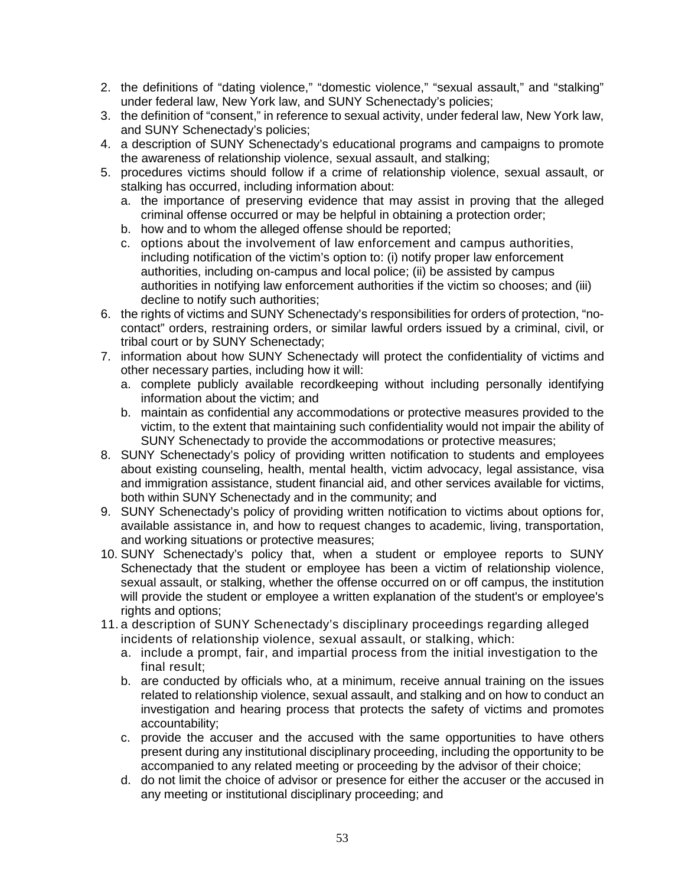- <span id="page-53-0"></span> 2. the definitions of "dating violence," "domestic violence," "sexual assault," and "stalking" under federal law, New York law, and SUNY Schenectady's policies;
- 3. the definition of "consent," in reference to sexual activity, under federal law, New York law, and SUNY Schenectady's policies;
- 4. a description of SUNY Schenectady's educational programs and campaigns to promote the awareness of relationship violence, sexual assault, and stalking;
- 5. procedures victims should follow if a crime of relationship violence, sexual assault, or stalking has occurred, including information about:
	- a. the importance of preserving evidence that may assist in proving that the alleged criminal offense occurred or may be helpful in obtaining a protection order;
	- b. how and to whom the alleged offense should be reported;
	- c. options about the involvement of law enforcement and campus authorities, including notification of the victim's option to: (i) notify proper law enforcement authorities, including on-campus and local police; (ii) be assisted by campus authorities in notifying law enforcement authorities if the victim so chooses; and (iii) decline to notify such authorities;
- 6. the rights of victims and SUNY Schenectady's responsibilities for orders of protection, "nocontact" orders, restraining orders, or similar lawful orders issued by a criminal, civil, or tribal court or by SUNY Schenectady;
- 7. information about how SUNY Schenectady will protect the confidentiality of victims and other necessary parties, including how it will:
	- a. complete publicly available recordkeeping without including personally identifying information about the victim; and
	- b. maintain as confidential any accommodations or protective measures provided to the victim, to the extent that maintaining such confidentiality would not impair the ability of SUNY Schenectady to provide the accommodations or protective measures;
- about existing counseling, health, mental health, victim advocacy, legal assistance, visa and immigration assistance, student financial aid, and other services available for victims, 8. SUNY Schenectady's policy of providing written notification to students and employees both within SUNY Schenectady and in the community; and
- 9. SUNY Schenectady's policy of providing written notification to victims about options for, available assistance in, and how to request changes to academic, living, transportation, and working situations or protective measures;
- 10. SUNY Schenectady's policy that, when a student or employee reports to SUNY sexual assault, or stalking, whether the offense occurred on or off campus, the institution Schenectady that the student or employee has been a victim of relationship violence, will provide the student or employee a written explanation of the student's or employee's rights and options;
- 11. a description of SUNY Schenectady's disciplinary proceedings regarding alleged incidents of relationship violence, sexual assault, or stalking, which:
	- a. include a prompt, fair, and impartial process from the initial investigation to the final result;
	- b. are conducted by officials who, at a minimum, receive annual training on the issues related to relationship violence, sexual assault, and stalking and on how to conduct an investigation and hearing process that protects the safety of victims and promotes accountability;
	- c. provide the accuser and the accused with the same opportunities to have others accompanied to any related meeting or proceeding by the advisor of their choice; present during any institutional disciplinary proceeding, including the opportunity to be
	- d. do not limit the choice of advisor or presence for either the accuser or the accused in any meeting or institutional disciplinary proceeding; and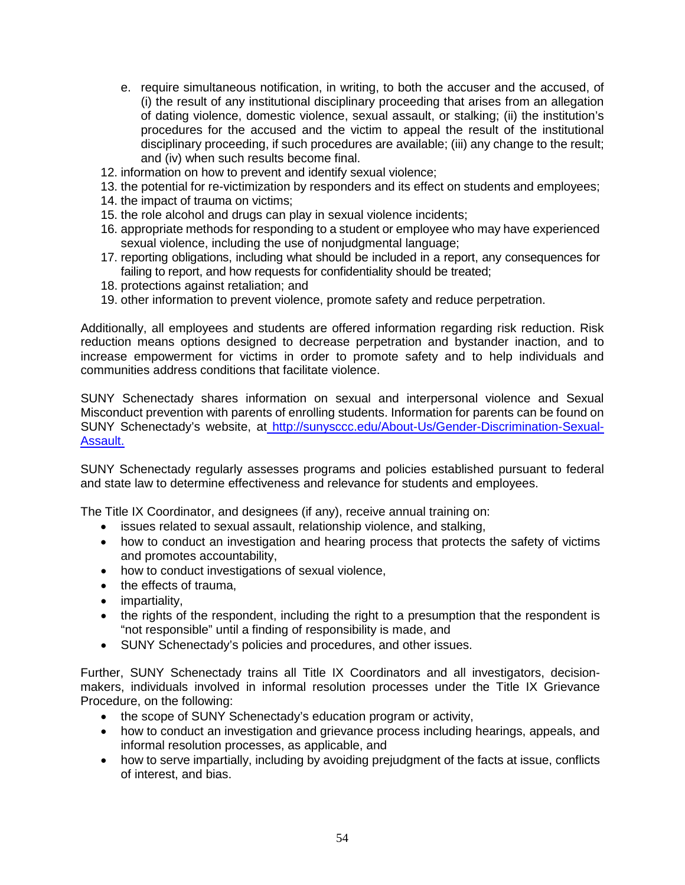- <span id="page-54-0"></span> (i) the result of any institutional disciplinary proceeding that arises from an allegation procedures for the accused and the victim to appeal the result of the institutional e. require simultaneous notification, in writing, to both the accuser and the accused, of of dating violence, domestic violence, sexual assault, or stalking; (ii) the institution's disciplinary proceeding, if such procedures are available; (iii) any change to the result; and (iv) when such results become final.
- 12. information on how to prevent and identify sexual violence;
- 13. the potential for re-victimization by responders and its effect on students and employees;
- 14. the impact of trauma on victims;
- 15. the role alcohol and drugs can play in sexual violence incidents;
- 16. appropriate methods for responding to a student or employee who may have experienced sexual violence, including the use of nonjudgmental language;
- 17. reporting obligations, including what should be included in a report, any consequences for failing to report, and how requests for confidentiality should be treated;
- 18. protections against retaliation; and
- 19. other information to prevent violence, promote safety and reduce perpetration.

 Additionally, all employees and students are offered information regarding risk reduction. Risk increase empowerment for victims in order to promote safety and to help individuals and reduction means options designed to decrease perpetration and bystander inaction, and to communities address conditions that facilitate violence.

SUNY Schenectady shares information on sexual and interpersonal violence and Sexual Misconduct prevention with parents of enrolling students. Information for parents can be found on SUNY Schenectady's website, at [http://sunysccc.edu/About-Us/Gender-Discrimination-Sexual-](http://sunysccc.edu/About-Us/Gender-Discrimination-Sexual-Assault)[Assault.](http://sunysccc.edu/About-Us/Gender-Discrimination-Sexual-Assault)

 SUNY Schenectady regularly assesses programs and policies established pursuant to federal and state law to determine effectiveness and relevance for students and employees.

The Title IX Coordinator, and designees (if any), receive annual training on:

- issues related to sexual assault, relationship violence, and stalking,
- how to conduct an investigation and hearing process that protects the safety of victims and promotes accountability,
- how to conduct investigations of sexual violence,
- the effects of trauma.
- impartiality,
- the rights of the respondent, including the right to a presumption that the respondent is "not responsible" until a finding of responsibility is made, and
- SUNY Schenectady's policies and procedures, and other issues.

 makers, individuals involved in informal resolution processes under the Title IX Grievance Further, SUNY Schenectady trains all Title IX Coordinators and all investigators, decision-Procedure, on the following:

- the scope of SUNY Schenectady's education program or activity,
- how to conduct an investigation and grievance process including hearings, appeals, and informal resolution processes, as applicable, and
- how to serve impartially, including by avoiding prejudgment of the facts at issue, conflicts of interest, and bias.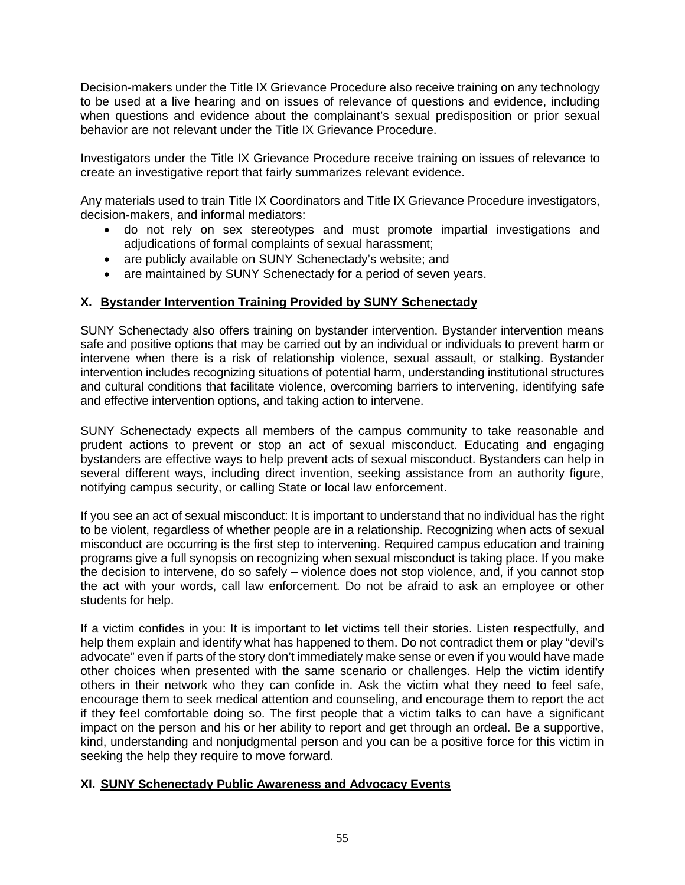Decision-makers under the Title IX Grievance Procedure also receive training on any technology to be used at a live hearing and on issues of relevance of questions and evidence, including when questions and evidence about the complainant's sexual predisposition or prior sexual behavior are not relevant under the Title IX Grievance Procedure.

 Investigators under the Title IX Grievance Procedure receive training on issues of relevance to create an investigative report that fairly summarizes relevant evidence.

Any materials used to train Title IX Coordinators and Title IX Grievance Procedure investigators, decision-makers, and informal mediators:

- • do not rely on sex stereotypes and must promote impartial investigations and adjudications of formal complaints of sexual harassment;
- are publicly available on SUNY Schenectady's website; and
- are maintained by SUNY Schenectady for a period of seven years.

# **X. Bystander Intervention Training Provided by SUNY Schenectady**

SUNY Schenectady also offers training on bystander intervention. Bystander intervention means safe and positive options that may be carried out by an individual or individuals to prevent harm or intervene when there is a risk of relationship violence, sexual assault, or stalking. Bystander intervention includes recognizing situations of potential harm, understanding institutional structures and cultural conditions that facilitate violence, overcoming barriers to intervening, identifying safe and effective intervention options, and taking action to intervene.

 SUNY Schenectady expects all members of the campus community to take reasonable and bystanders are effective ways to help prevent acts of sexual misconduct. Bystanders can help in several different ways, including direct invention, seeking assistance from an authority figure, prudent actions to prevent or stop an act of sexual misconduct. Educating and engaging notifying campus security, or calling State or local law enforcement.

 If you see an act of sexual misconduct: It is important to understand that no individual has the right to be violent, regardless of whether people are in a relationship. Recognizing when acts of sexual misconduct are occurring is the first step to intervening. Required campus education and training the act with your words, call law enforcement. Do not be afraid to ask an employee or other programs give a full synopsis on recognizing when sexual misconduct is taking place. If you make the decision to intervene, do so safely – violence does not stop violence, and, if you cannot stop students for help.

 others in their network who they can confide in. Ask the victim what they need to feel safe, encourage them to seek medical attention and counseling, and encourage them to report the act if they feel comfortable doing so. The first people that a victim talks to can have a significant impact on the person and his or her ability to report and get through an ordeal. Be a supportive, kind, understanding and nonjudgmental person and you can be a positive force for this victim in If a victim confides in you: It is important to let victims tell their stories. Listen respectfully, and help them explain and identify what has happened to them. Do not contradict them or play "devil's advocate" even if parts of the story don't immediately make sense or even if you would have made other choices when presented with the same scenario or challenges. Help the victim identify seeking the help they require to move forward.

# **XI. SUNY Schenectady Public Awareness and Advocacy Events**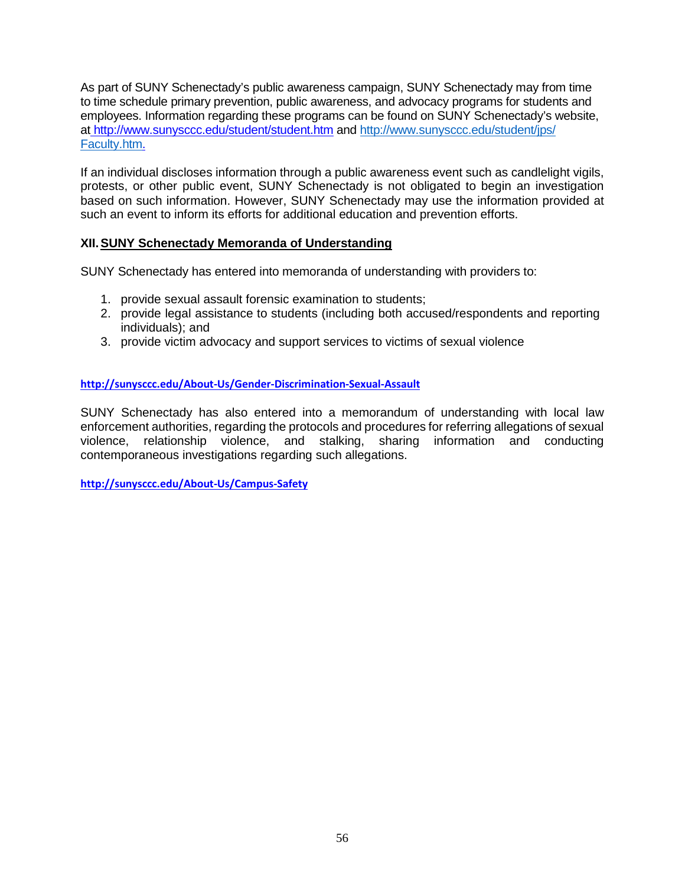<span id="page-56-0"></span> As part of SUNY Schenectady's public awareness campaign, SUNY Schenectady may from time employees. Information regarding these programs can be found on SUNY Schenectady's website, a[t](http://www.sunysccc.edu/student/student.htm) [http://www.sunysccc.edu/student/student.htm](http://and/) and [http://www.sunysccc.edu/student/jps/](http://www.sunysccc.edu/student/jps/%20Faculty.htm)  [Faculty.htm.](http://www.sunysccc.edu/student/jps/%20Faculty.htm) to time schedule primary prevention, public awareness, and advocacy programs for students and

 such an event to inform its efforts for additional education and prevention efforts. If an individual discloses information through a public awareness event such as candlelight vigils, protests, or other public event, SUNY Schenectady is not obligated to begin an investigation based on such information. However, SUNY Schenectady may use the information provided at

# **XII. SUNY Schenectady Memoranda of Understanding**

SUNY Schenectady has entered into memoranda of understanding with providers to:

- 1. provide sexual assault forensic examination to students;
- 2. provide legal assistance to students (including both accused/respondents and reporting individuals); and
- 3. provide victim advocacy and support services to victims of sexual violence

#### **<http://sunysccc.edu/About-Us/Gender-Discrimination-Sexual-Assault>**

 enforcement authorities, regarding the protocols and procedures for referring allegations of sexual SUNY Schenectady has also entered into a memorandum of understanding with local law violence, relationship violence, and stalking, sharing information and conducting contemporaneous investigations regarding such allegations.

 **<http://sunysccc.edu/About-Us/Campus-Safety>**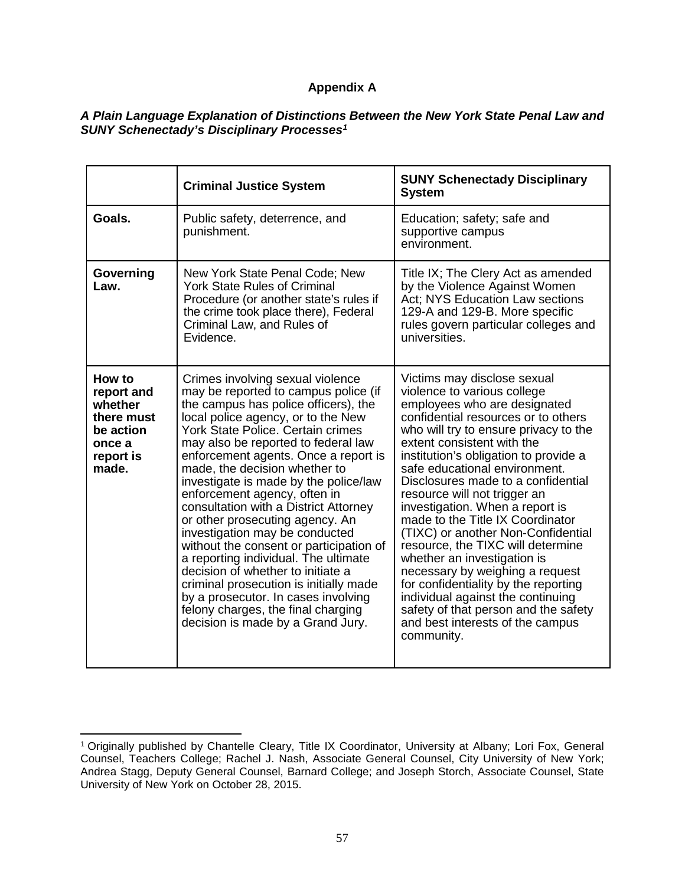# **Appendix A**

#### *A Plain Language Explanation of Distinctions Between the New York State Penal Law and SUNY Schenectady's Disciplinary Processes[1](#page-57-0)*

|                                                                                            | <b>Criminal Justice System</b>                                                                                                                                                                                                                                                                                                                                                                                                                                                                                                                                                                                                                                                                                                                                                         | <b>SUNY Schenectady Disciplinary</b><br><b>System</b>                                                                                                                                                                                                                                                                                                                                                                                                                                                                                                                                                                                                                                                                                               |
|--------------------------------------------------------------------------------------------|----------------------------------------------------------------------------------------------------------------------------------------------------------------------------------------------------------------------------------------------------------------------------------------------------------------------------------------------------------------------------------------------------------------------------------------------------------------------------------------------------------------------------------------------------------------------------------------------------------------------------------------------------------------------------------------------------------------------------------------------------------------------------------------|-----------------------------------------------------------------------------------------------------------------------------------------------------------------------------------------------------------------------------------------------------------------------------------------------------------------------------------------------------------------------------------------------------------------------------------------------------------------------------------------------------------------------------------------------------------------------------------------------------------------------------------------------------------------------------------------------------------------------------------------------------|
| Goals.                                                                                     | Public safety, deterrence, and<br>punishment.                                                                                                                                                                                                                                                                                                                                                                                                                                                                                                                                                                                                                                                                                                                                          | Education; safety; safe and<br>supportive campus<br>environment.                                                                                                                                                                                                                                                                                                                                                                                                                                                                                                                                                                                                                                                                                    |
| Governing<br>Law.                                                                          | New York State Penal Code; New<br><b>York State Rules of Criminal</b><br>Procedure (or another state's rules if<br>the crime took place there), Federal<br>Criminal Law, and Rules of<br>Evidence.                                                                                                                                                                                                                                                                                                                                                                                                                                                                                                                                                                                     | Title IX; The Clery Act as amended<br>by the Violence Against Women<br>Act; NYS Education Law sections<br>129-A and 129-B. More specific<br>rules govern particular colleges and<br>universities.                                                                                                                                                                                                                                                                                                                                                                                                                                                                                                                                                   |
| How to<br>report and<br>whether<br>there must<br>be action<br>once a<br>report is<br>made. | Crimes involving sexual violence<br>may be reported to campus police (if<br>the campus has police officers), the<br>local police agency, or to the New<br>York State Police. Certain crimes<br>may also be reported to federal law<br>enforcement agents. Once a report is<br>made, the decision whether to<br>investigate is made by the police/law<br>enforcement agency, often in<br>consultation with a District Attorney<br>or other prosecuting agency. An<br>investigation may be conducted<br>without the consent or participation of<br>a reporting individual. The ultimate<br>decision of whether to initiate a<br>criminal prosecution is initially made<br>by a prosecutor. In cases involving<br>felony charges, the final charging<br>decision is made by a Grand Jury. | Victims may disclose sexual<br>violence to various college<br>employees who are designated<br>confidential resources or to others<br>who will try to ensure privacy to the<br>extent consistent with the<br>institution's obligation to provide a<br>safe educational environment.<br>Disclosures made to a confidential<br>resource will not trigger an<br>investigation. When a report is<br>made to the Title IX Coordinator<br>(TIXC) or another Non-Confidential<br>resource, the TIXC will determine<br>whether an investigation is<br>necessary by weighing a request<br>for confidentiality by the reporting<br>individual against the continuing<br>safety of that person and the safety<br>and best interests of the campus<br>community. |

 $\overline{a}$ 

<span id="page-57-0"></span> 1 Originally published by Chantelle Cleary, Title IX Coordinator, University at Albany; Lori Fox, General Counsel, Teachers College; Rachel J. Nash, Associate General Counsel, City University of New York; Andrea Stagg, Deputy General Counsel, Barnard College; and Joseph Storch, Associate Counsel, State University of New York on October 28, 2015.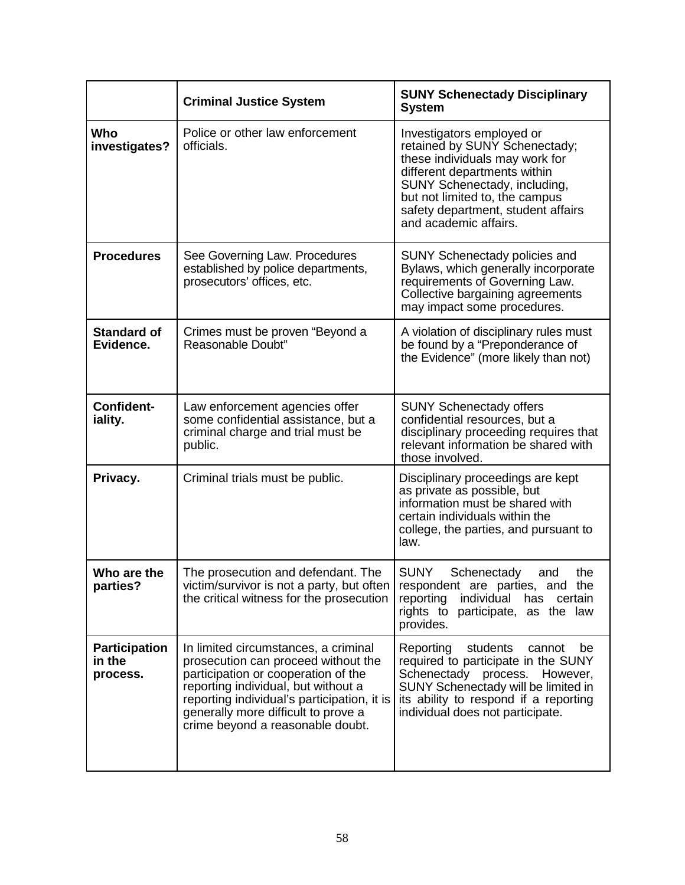|                                            | <b>Criminal Justice System</b>                                                                                                                                                                                                                                                      | <b>SUNY Schenectady Disciplinary</b><br><b>System</b>                                                                                                                                                                                                         |
|--------------------------------------------|-------------------------------------------------------------------------------------------------------------------------------------------------------------------------------------------------------------------------------------------------------------------------------------|---------------------------------------------------------------------------------------------------------------------------------------------------------------------------------------------------------------------------------------------------------------|
| Who<br>investigates?                       | Police or other law enforcement<br>officials.                                                                                                                                                                                                                                       | Investigators employed or<br>retained by SUNY Schenectady;<br>these individuals may work for<br>different departments within<br>SUNY Schenectady, including,<br>but not limited to, the campus<br>safety department, student affairs<br>and academic affairs. |
| <b>Procedures</b>                          | See Governing Law. Procedures<br>established by police departments,<br>prosecutors' offices, etc.                                                                                                                                                                                   | <b>SUNY Schenectady policies and</b><br>Bylaws, which generally incorporate<br>requirements of Governing Law.<br>Collective bargaining agreements<br>may impact some procedures.                                                                              |
| <b>Standard of</b><br>Evidence.            | Crimes must be proven "Beyond a<br>Reasonable Doubt"                                                                                                                                                                                                                                | A violation of disciplinary rules must<br>be found by a "Preponderance of<br>the Evidence" (more likely than not)                                                                                                                                             |
| <b>Confident-</b><br>iality.               | Law enforcement agencies offer<br>some confidential assistance, but a<br>criminal charge and trial must be<br>public.                                                                                                                                                               | <b>SUNY Schenectady offers</b><br>confidential resources, but a<br>disciplinary proceeding requires that<br>relevant information be shared with<br>those involved.                                                                                            |
| Privacy.                                   | Criminal trials must be public.                                                                                                                                                                                                                                                     | Disciplinary proceedings are kept<br>as private as possible, but<br>information must be shared with<br>certain individuals within the<br>college, the parties, and pursuant to<br>law.                                                                        |
| Who are the<br>parties?                    | The prosecution and defendant. The<br>victim/survivor is not a party, but often<br>the critical witness for the prosecution                                                                                                                                                         | <b>SUNY</b><br>Schenectady<br>the<br>and<br>respondent are parties, and the<br>reporting<br>individual<br>has<br>certain<br>rights to participate, as the law<br>provides.                                                                                    |
| <b>Participation</b><br>in the<br>process. | In limited circumstances, a criminal<br>prosecution can proceed without the<br>participation or cooperation of the<br>reporting individual, but without a<br>reporting individual's participation, it is<br>generally more difficult to prove a<br>crime beyond a reasonable doubt. | Reporting<br>students<br>cannot<br>be<br>required to participate in the SUNY<br>Schenectady process. However,<br>SUNY Schenectady will be limited in<br>its ability to respond if a reporting<br>individual does not participate.                             |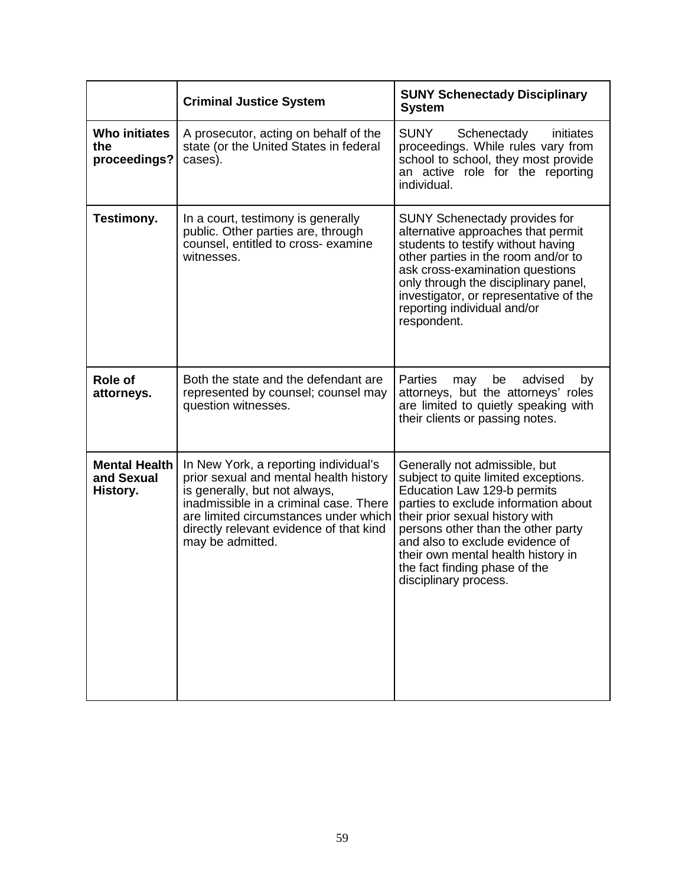|                                                | <b>Criminal Justice System</b>                                                                                                                                                                                                                                     | <b>SUNY Schenectady Disciplinary</b><br><b>System</b>                                                                                                                                                                                                                                                                                                    |
|------------------------------------------------|--------------------------------------------------------------------------------------------------------------------------------------------------------------------------------------------------------------------------------------------------------------------|----------------------------------------------------------------------------------------------------------------------------------------------------------------------------------------------------------------------------------------------------------------------------------------------------------------------------------------------------------|
| <b>Who initiates</b><br>the<br>proceedings?    | A prosecutor, acting on behalf of the<br>state (or the United States in federal<br>cases).                                                                                                                                                                         | <b>SUNY</b><br>Schenectady<br>initiates<br>proceedings. While rules vary from<br>school to school, they most provide<br>an active role for the reporting<br>individual.                                                                                                                                                                                  |
| Testimony.                                     | In a court, testimony is generally<br>public. Other parties are, through<br>counsel, entitled to cross- examine<br>witnesses.                                                                                                                                      | <b>SUNY Schenectady provides for</b><br>alternative approaches that permit<br>students to testify without having<br>other parties in the room and/or to<br>ask cross-examination questions<br>only through the disciplinary panel,<br>investigator, or representative of the<br>reporting individual and/or<br>respondent.                               |
| <b>Role of</b><br>attorneys.                   | Both the state and the defendant are<br>represented by counsel; counsel may<br>question witnesses.                                                                                                                                                                 | <b>Parties</b><br>be<br>advised<br>may<br>by<br>attorneys, but the attorneys' roles<br>are limited to quietly speaking with<br>their clients or passing notes.                                                                                                                                                                                           |
| <b>Mental Health</b><br>and Sexual<br>History. | In New York, a reporting individual's<br>prior sexual and mental health history<br>is generally, but not always,<br>inadmissible in a criminal case. There<br>are limited circumstances under which<br>directly relevant evidence of that kind<br>may be admitted. | Generally not admissible, but<br>subject to quite limited exceptions.<br>Education Law 129-b permits<br>parties to exclude information about<br>their prior sexual history with<br>persons other than the other party<br>and also to exclude evidence of<br>their own mental health history in<br>the fact finding phase of the<br>disciplinary process. |